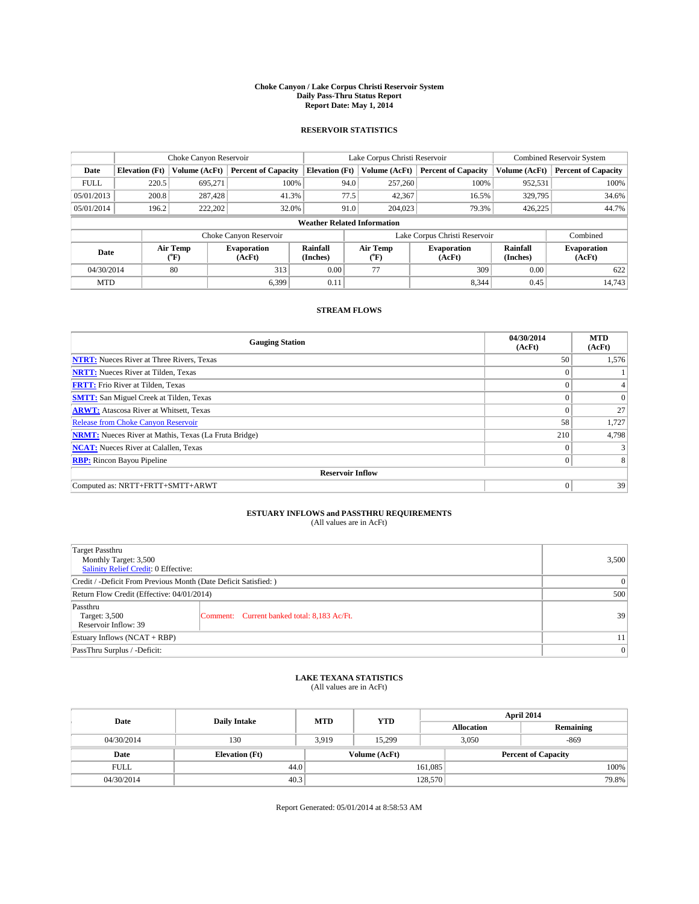#### **Choke Canyon / Lake Corpus Christi Reservoir System Daily Pass-Thru Status Report Report Date: May 1, 2014**

## **RESERVOIR STATISTICS**

|             | Choke Canyon Reservoir             |                  | Lake Corpus Christi Reservoir |                             |                             |               | Combined Reservoir System     |                             |                              |
|-------------|------------------------------------|------------------|-------------------------------|-----------------------------|-----------------------------|---------------|-------------------------------|-----------------------------|------------------------------|
| Date        | <b>Elevation</b> (Ft)              | Volume (AcFt)    | <b>Percent of Capacity</b>    | <b>Elevation</b> (Ft)       |                             | Volume (AcFt) | <b>Percent of Capacity</b>    | Volume (AcFt)               | <b>Percent of Capacity</b>   |
| <b>FULL</b> | 220.5                              | 695,271          | 100%                          |                             | 94.0                        | 257,260       | 100%                          | 952,531                     | 100%                         |
| 05/01/2013  | 200.8                              | 287,428          | 41.3%                         |                             | 77.5                        | 42,367        | 16.5%                         | 329,795                     | 34.6%                        |
| 05/01/2014  | 196.2                              | 222,202          | 32.0%                         |                             | 91.0                        | 204,023       | 79.3%                         | 426,225                     | 44.7%                        |
|             | <b>Weather Related Information</b> |                  |                               |                             |                             |               |                               |                             |                              |
|             |                                    |                  | Choke Canyon Reservoir        |                             |                             |               | Lake Corpus Christi Reservoir |                             | Combined                     |
| Date        |                                    | Air Temp<br>(°F) | <b>Evaporation</b><br>(AcFt)  | <b>Rainfall</b><br>(Inches) | Air Temp<br>$({}^{\circ}F)$ |               | <b>Evaporation</b><br>(AcFt)  | <b>Rainfall</b><br>(Inches) | <b>Evaporation</b><br>(AcFt) |
|             | 80<br>04/30/2014                   |                  | 313                           | 0.00                        | 77                          |               | 309                           | 0.00                        | 622                          |
| <b>MTD</b>  |                                    |                  | 6,399                         | 0.11                        |                             |               | 8,344                         | 0.45                        | 14,743                       |

# **STREAM FLOWS**

| <b>Gauging Station</b>                                       | 04/30/2014<br>(AcFt) | <b>MTD</b><br>(AcFt) |  |  |  |  |
|--------------------------------------------------------------|----------------------|----------------------|--|--|--|--|
| <b>NTRT:</b> Nueces River at Three Rivers, Texas             | 50                   | 1,576                |  |  |  |  |
| <b>NRTT:</b> Nueces River at Tilden, Texas                   | $\mathbf{0}$         |                      |  |  |  |  |
| <b>FRTT:</b> Frio River at Tilden, Texas                     | $\mathbf{0}$         |                      |  |  |  |  |
| <b>SMTT:</b> San Miguel Creek at Tilden, Texas               | $\Omega$             | $\Omega$             |  |  |  |  |
| <b>ARWT:</b> Atascosa River at Whitsett, Texas               | $\mathbf{0}$         | 27                   |  |  |  |  |
| <b>Release from Choke Canyon Reservoir</b>                   | 58                   | 1,727                |  |  |  |  |
| <b>NRMT:</b> Nueces River at Mathis, Texas (La Fruta Bridge) | 210                  | 4,798                |  |  |  |  |
| <b>NCAT:</b> Nueces River at Calallen, Texas                 | $\Omega$             |                      |  |  |  |  |
| <b>RBP:</b> Rincon Bayou Pipeline                            | $\mathbf{0}$         | 8                    |  |  |  |  |
| <b>Reservoir Inflow</b>                                      |                      |                      |  |  |  |  |
| Computed as: NRTT+FRTT+SMTT+ARWT                             | $\mathbf{0}$         | 39                   |  |  |  |  |

# **ESTUARY INFLOWS and PASSTHRU REQUIREMENTS**<br>(All values are in AcFt)

| <b>Target Passthru</b><br>Monthly Target: 3,500<br><b>Salinity Relief Credit: 0 Effective:</b> | 3,500                                       |    |
|------------------------------------------------------------------------------------------------|---------------------------------------------|----|
| Credit / -Deficit From Previous Month (Date Deficit Satisfied: )                               | $\overline{0}$                              |    |
| Return Flow Credit (Effective: 04/01/2014)                                                     | 500                                         |    |
| Passthru<br>Target: 3,500<br>Reservoir Inflow: 39                                              | Comment: Current banked total: 8,183 Ac/Ft. | 39 |
| Estuary Inflows $(NCAT + RBP)$                                                                 | 11                                          |    |
| PassThru Surplus / -Deficit:                                                                   | $\overline{0}$                              |    |

### **LAKE TEXANA STATISTICS**

(All values are in AcFt)

| Date        | <b>Daily Intake</b>   | <b>MTD</b> | <b>YTD</b>    | April 2014        |                            |           |  |
|-------------|-----------------------|------------|---------------|-------------------|----------------------------|-----------|--|
|             |                       |            |               | <b>Allocation</b> |                            | Remaining |  |
| 04/30/2014  | 130                   | 3.919      | 15.299        | 3,050             |                            | $-869$    |  |
| Date        | <b>Elevation</b> (Ft) |            | Volume (AcFt) |                   | <b>Percent of Capacity</b> |           |  |
| <b>FULL</b> | 44.0                  |            |               | 161,085           |                            | 100%      |  |
| 04/30/2014  | 40.3                  |            |               | 128,570           |                            | 79.8%     |  |

Report Generated: 05/01/2014 at 8:58:53 AM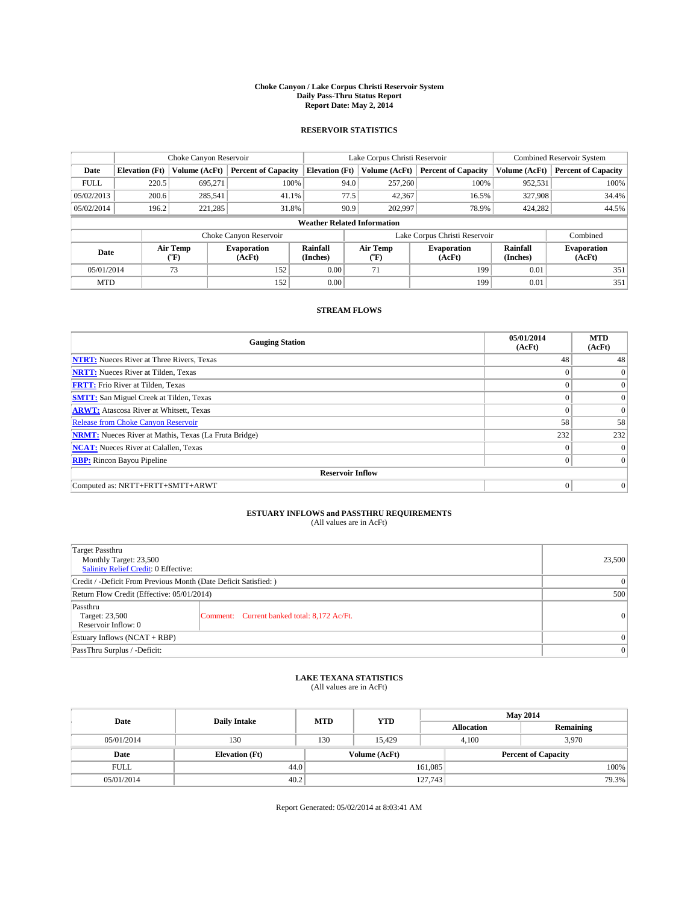#### **Choke Canyon / Lake Corpus Christi Reservoir System Daily Pass-Thru Status Report Report Date: May 2, 2014**

## **RESERVOIR STATISTICS**

|                                    |                         | Choke Canyon Reservoir |                            |                       | Lake Corpus Christi Reservoir | <b>Combined Reservoir System</b> |                      |                              |
|------------------------------------|-------------------------|------------------------|----------------------------|-----------------------|-------------------------------|----------------------------------|----------------------|------------------------------|
| Date                               | <b>Elevation</b> (Ft)   | Volume (AcFt)          | <b>Percent of Capacity</b> | <b>Elevation (Ft)</b> | Volume (AcFt)                 | <b>Percent of Capacity</b>       | Volume (AcFt)        | <b>Percent of Capacity</b>   |
| <b>FULL</b>                        | 220.5                   | 695,271                | 100%                       | 94.0                  | 257,260                       | 100%                             | 952,531              | 100%                         |
| 05/02/2013                         | 200.6                   | 285,541                | 41.1%                      | 77.5                  | 42,367                        | 16.5%                            | 327,908              | 34.4%                        |
| 05/02/2014                         | 196.2                   | 221,285                | 31.8%                      | 90.9                  | 202,997                       | 78.9%                            | 424,282              | 44.5%                        |
| <b>Weather Related Information</b> |                         |                        |                            |                       |                               |                                  |                      |                              |
|                                    |                         |                        | Choke Canyon Reservoir     |                       |                               | Lake Corpus Christi Reservoir    |                      | Combined                     |
| Date                               |                         | Air Temp<br>(°F)       | Evaporation<br>(AcFt)      | Rainfall<br>(Inches)  | Air Temp<br>$\rm ^{o}F$       | <b>Evaporation</b><br>(AcFt)     | Rainfall<br>(Inches) | <b>Evaporation</b><br>(AcFt) |
|                                    | 73<br>05/01/2014<br>152 |                        |                            | 0.00                  | 71<br>199                     |                                  | 0.01                 | 351                          |
| <b>MTD</b>                         |                         |                        | 152                        | 0.00                  |                               | 199                              | 0.01                 | 351                          |

# **STREAM FLOWS**

| <b>Gauging Station</b>                                       | 05/01/2014<br>(AcFt) | <b>MTD</b><br>(AcFt) |  |  |  |  |  |
|--------------------------------------------------------------|----------------------|----------------------|--|--|--|--|--|
| <b>NTRT:</b> Nueces River at Three Rivers, Texas             | 48                   | 48                   |  |  |  |  |  |
| <b>NRTT:</b> Nueces River at Tilden, Texas                   |                      | $\mathbf{0}$         |  |  |  |  |  |
| <b>FRTT:</b> Frio River at Tilden, Texas                     |                      | $\overline{0}$       |  |  |  |  |  |
| <b>SMTT:</b> San Miguel Creek at Tilden, Texas               | $\theta$             | $\overline{0}$       |  |  |  |  |  |
| <b>ARWT:</b> Atascosa River at Whitsett, Texas               | $\theta$             | $\theta$             |  |  |  |  |  |
| Release from Choke Canyon Reservoir                          | 58                   | 58                   |  |  |  |  |  |
| <b>NRMT:</b> Nueces River at Mathis, Texas (La Fruta Bridge) | 232                  | 232                  |  |  |  |  |  |
| <b>NCAT:</b> Nueces River at Calallen, Texas                 | $\theta$             | $\Omega$             |  |  |  |  |  |
| <b>RBP:</b> Rincon Bayou Pipeline                            | $\mathbf{0}$         | $\overline{0}$       |  |  |  |  |  |
| <b>Reservoir Inflow</b>                                      |                      |                      |  |  |  |  |  |
| Computed as: NRTT+FRTT+SMTT+ARWT                             | $\theta$             | $\overline{0}$       |  |  |  |  |  |

# **ESTUARY INFLOWS and PASSTHRU REQUIREMENTS**<br>(All values are in AcFt)

| <b>Target Passthru</b><br>Monthly Target: 23,500<br>Salinity Relief Credit: 0 Effective: | 23,500                                      |              |
|------------------------------------------------------------------------------------------|---------------------------------------------|--------------|
| Credit / -Deficit From Previous Month (Date Deficit Satisfied: )                         | $\theta$                                    |              |
| Return Flow Credit (Effective: 05/01/2014)                                               | 500                                         |              |
| Passthru<br>Target: 23,500<br>Reservoir Inflow: 0                                        | Comment: Current banked total: 8,172 Ac/Ft. | $\mathbf{0}$ |
| Estuary Inflows (NCAT + RBP)                                                             | $\mathbf{0}$                                |              |
| PassThru Surplus / -Deficit:                                                             | $\mathbf{0}$                                |              |

### **LAKE TEXANA STATISTICS**

(All values are in AcFt)

| Date        | <b>Daily Intake</b>   | <b>MTD</b> | <b>YTD</b>    | <b>May 2014</b>   |                            |           |  |
|-------------|-----------------------|------------|---------------|-------------------|----------------------------|-----------|--|
|             |                       |            |               | <b>Allocation</b> |                            | Remaining |  |
| 05/01/2014  | 130                   | 130        | 15.429        |                   | 3.970<br>4.100             |           |  |
| Date        | <b>Elevation</b> (Ft) |            | Volume (AcFt) |                   | <b>Percent of Capacity</b> |           |  |
| <b>FULL</b> | 44.0                  |            |               | 161,085           |                            | 100%      |  |
| 05/01/2014  | 40.2                  |            |               | 127,743           |                            | 79.3%     |  |

Report Generated: 05/02/2014 at 8:03:41 AM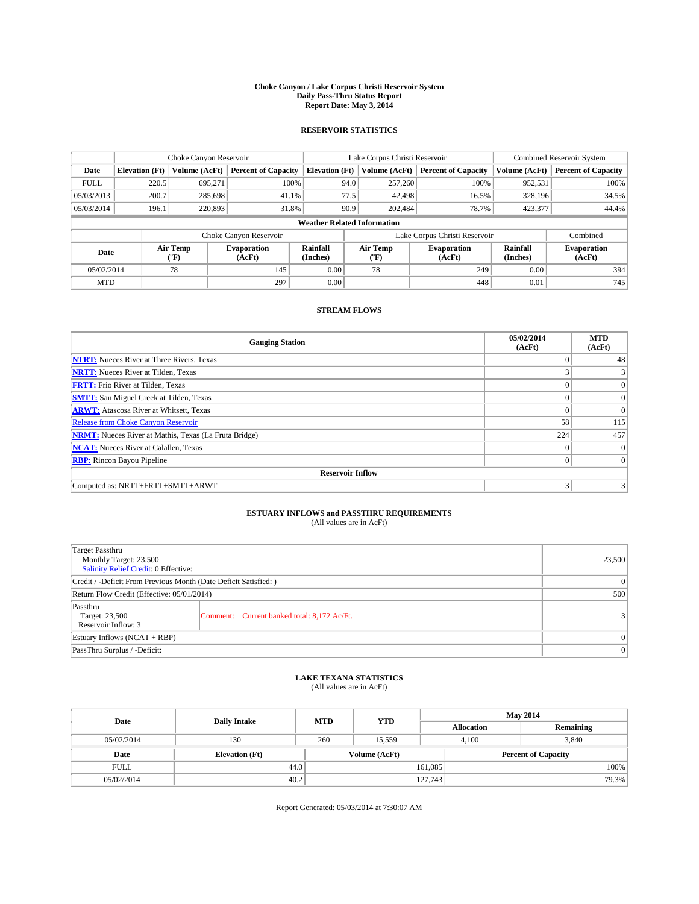#### **Choke Canyon / Lake Corpus Christi Reservoir System Daily Pass-Thru Status Report Report Date: May 3, 2014**

## **RESERVOIR STATISTICS**

|             |                                    | Choke Canyon Reservoir |                              |                       | Lake Corpus Christi Reservoir | <b>Combined Reservoir System</b> |                      |                              |  |
|-------------|------------------------------------|------------------------|------------------------------|-----------------------|-------------------------------|----------------------------------|----------------------|------------------------------|--|
| Date        | <b>Elevation</b> (Ft)              | Volume (AcFt)          | <b>Percent of Capacity</b>   | <b>Elevation</b> (Ft) | Volume (AcFt)                 | <b>Percent of Capacity</b>       | Volume (AcFt)        | <b>Percent of Capacity</b>   |  |
| <b>FULL</b> | 220.5                              | 695,271                | 100%                         | 94.0                  | 257,260                       | 100%                             | 952,531              | 100%                         |  |
| 05/03/2013  | 200.7                              | 285,698                | 41.1%                        | 77.5                  | 42,498                        | 16.5%                            | 328,196              | 34.5%                        |  |
| 05/03/2014  | 196.1                              | 220,893                | 31.8%                        | 90.9                  | 202.484                       | 78.7%                            | 423,377              | 44.4%                        |  |
|             | <b>Weather Related Information</b> |                        |                              |                       |                               |                                  |                      |                              |  |
|             |                                    |                        | Choke Canyon Reservoir       |                       |                               | Lake Corpus Christi Reservoir    |                      | Combined                     |  |
| Date        |                                    | Air Temp<br>(°F)       | <b>Evaporation</b><br>(AcFt) | Rainfall<br>(Inches)  | Air Temp<br>("F)              | <b>Evaporation</b><br>(AcFt)     | Rainfall<br>(Inches) | <b>Evaporation</b><br>(AcFt) |  |
| 05/02/2014  | 78                                 |                        | 145                          | 0.00                  | 78<br>249                     |                                  | 0.00                 | 394                          |  |
| <b>MTD</b>  |                                    |                        | 297                          | 0.00                  |                               | 448                              | 0.01                 | 745                          |  |

# **STREAM FLOWS**

| <b>Gauging Station</b>                                       | 05/02/2014<br>(AcFt) | <b>MTD</b><br>(AcFt) |  |  |  |  |
|--------------------------------------------------------------|----------------------|----------------------|--|--|--|--|
| <b>NTRT:</b> Nueces River at Three Rivers, Texas             | $\mathbf{0}$         | 48                   |  |  |  |  |
| <b>NRTT:</b> Nueces River at Tilden, Texas                   | $\sim$               | 3                    |  |  |  |  |
| <b>FRTT:</b> Frio River at Tilden, Texas                     | $\Omega$             | $\Omega$             |  |  |  |  |
| <b>SMTT:</b> San Miguel Creek at Tilden, Texas               | $\Omega$             | $\Omega$             |  |  |  |  |
| <b>ARWT:</b> Atascosa River at Whitsett, Texas               | $\Omega$             | $\Omega$             |  |  |  |  |
| <b>Release from Choke Canyon Reservoir</b>                   | 58                   | 115                  |  |  |  |  |
| <b>NRMT:</b> Nueces River at Mathis, Texas (La Fruta Bridge) | 224                  | 457                  |  |  |  |  |
| <b>NCAT:</b> Nueces River at Calallen, Texas                 | $\Omega$             | $\Omega$             |  |  |  |  |
| <b>RBP:</b> Rincon Bayou Pipeline                            | $\mathbf{0}$         | $\Omega$             |  |  |  |  |
| <b>Reservoir Inflow</b>                                      |                      |                      |  |  |  |  |
| Computed as: NRTT+FRTT+SMTT+ARWT                             | 3                    |                      |  |  |  |  |

# **ESTUARY INFLOWS and PASSTHRU REQUIREMENTS**<br>(All values are in AcFt)

| <b>Target Passthru</b><br>Monthly Target: 23,500<br>Salinity Relief Credit: 0 Effective: | 23,500                                      |  |  |  |
|------------------------------------------------------------------------------------------|---------------------------------------------|--|--|--|
| Credit / -Deficit From Previous Month (Date Deficit Satisfied: )                         | $\mathbf{0}$                                |  |  |  |
| Return Flow Credit (Effective: 05/01/2014)                                               |                                             |  |  |  |
| Passthru<br>Target: 23,500<br>Reservoir Inflow: 3                                        | Comment: Current banked total: 8,172 Ac/Ft. |  |  |  |
| Estuary Inflows (NCAT + RBP)                                                             |                                             |  |  |  |
| PassThru Surplus / -Deficit:                                                             | $\mathbf{0}$                                |  |  |  |

## **LAKE TEXANA STATISTICS**

(All values are in AcFt)

| Date        | <b>Daily Intake</b>   | <b>MTD</b>    | <b>YTD</b> | <b>May 2014</b>   |                            |           |  |
|-------------|-----------------------|---------------|------------|-------------------|----------------------------|-----------|--|
|             |                       |               |            | <b>Allocation</b> |                            | Remaining |  |
| 05/02/2014  | 130                   | 260           | 15.559     | 4.100             |                            | 3,840     |  |
| Date        | <b>Elevation</b> (Ft) | Volume (AcFt) |            |                   | <b>Percent of Capacity</b> |           |  |
| <b>FULL</b> | 44.0                  |               |            | 161,085           |                            | 100%      |  |
| 05/02/2014  | 40.2                  |               |            | 127,743           |                            | 79.3%     |  |

Report Generated: 05/03/2014 at 7:30:07 AM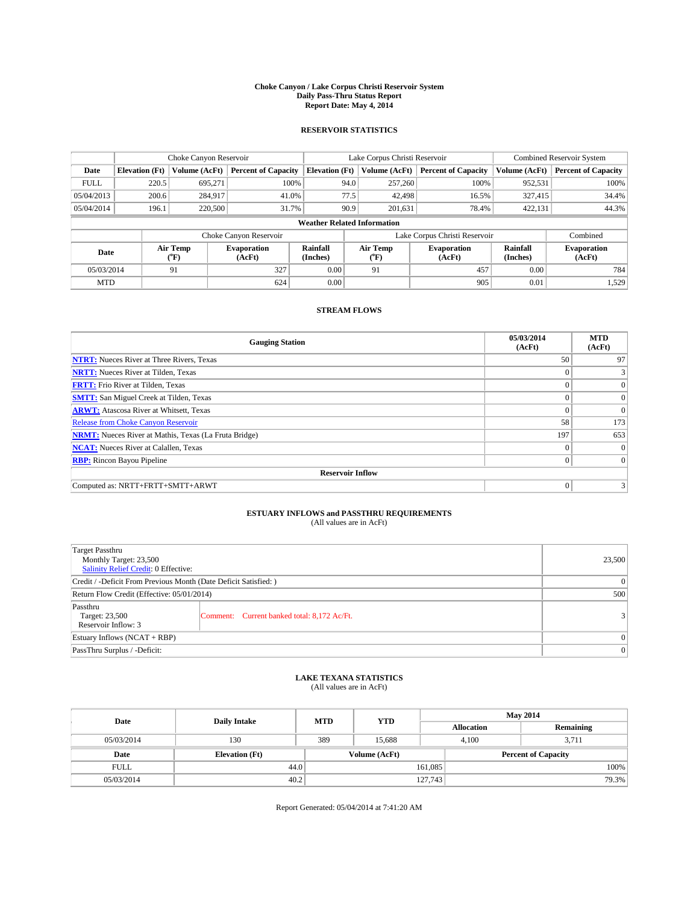#### **Choke Canyon / Lake Corpus Christi Reservoir System Daily Pass-Thru Status Report Report Date: May 4, 2014**

## **RESERVOIR STATISTICS**

|             |                       | Choke Canyon Reservoir |                            |                                    | Lake Corpus Christi Reservoir | Combined Reservoir System    |                      |                              |
|-------------|-----------------------|------------------------|----------------------------|------------------------------------|-------------------------------|------------------------------|----------------------|------------------------------|
| Date        | <b>Elevation</b> (Ft) | Volume (AcFt)          | <b>Percent of Capacity</b> | <b>Elevation (Ft)</b>              | Volume (AcFt)                 | <b>Percent of Capacity</b>   | Volume (AcFt)        | <b>Percent of Capacity</b>   |
| <b>FULL</b> | 220.5                 | 695,271                | 100%                       | 94.0                               | 257,260                       | 100%                         | 952,531              | 100%                         |
| 05/04/2013  | 200.6                 | 284,917                | 41.0%                      | 77.5                               | 42,498                        | 16.5%                        | 327.415              | 34.4%                        |
| 05/04/2014  | 196.1                 | 220,500                | 31.7%                      | 90.9                               | 201.631                       | 78.4%                        | 422,131              | 44.3%                        |
|             |                       |                        |                            | <b>Weather Related Information</b> |                               |                              |                      |                              |
|             |                       |                        | Choke Canyon Reservoir     |                                    | Lake Corpus Christi Reservoir |                              | Combined             |                              |
| Date        |                       | Air Temp<br>(°F)       | Evaporation<br>(AcFt)      | Rainfall<br>(Inches)               | Air Temp<br>("F)              | <b>Evaporation</b><br>(AcFt) | Rainfall<br>(Inches) | <b>Evaporation</b><br>(AcFt) |
| 05/03/2014  |                       | 91                     | 327                        | 0.00                               | 91                            | 457                          | 0.00                 | 784                          |
| <b>MTD</b>  |                       |                        | 624                        | 0.00                               |                               | 905                          | 0.01                 | 1,529                        |

# **STREAM FLOWS**

| <b>Gauging Station</b>                                       | 05/03/2014<br>(AcFt) | <b>MTD</b><br>(AcFt) |  |  |  |  |  |  |
|--------------------------------------------------------------|----------------------|----------------------|--|--|--|--|--|--|
| <b>NTRT:</b> Nueces River at Three Rivers, Texas             | 50 <sup>1</sup>      | 97                   |  |  |  |  |  |  |
| <b>NRTT:</b> Nueces River at Tilden, Texas                   | $\Omega$             |                      |  |  |  |  |  |  |
| <b>FRTT:</b> Frio River at Tilden, Texas                     | $\Omega$             | $\Omega$             |  |  |  |  |  |  |
| <b>SMTT:</b> San Miguel Creek at Tilden, Texas               | $\Omega$             | $\Omega$             |  |  |  |  |  |  |
| <b>ARWT:</b> Atascosa River at Whitsett, Texas               | $\Omega$             | $\Omega$             |  |  |  |  |  |  |
| Release from Choke Canyon Reservoir                          | 58                   | 173                  |  |  |  |  |  |  |
| <b>NRMT:</b> Nueces River at Mathis, Texas (La Fruta Bridge) | 197                  | 653                  |  |  |  |  |  |  |
| <b>NCAT:</b> Nueces River at Calallen, Texas                 | $\Omega$             | $\Omega$             |  |  |  |  |  |  |
| <b>RBP:</b> Rincon Bayou Pipeline                            | $\mathbf{0}$         | $\Omega$             |  |  |  |  |  |  |
| <b>Reservoir Inflow</b>                                      |                      |                      |  |  |  |  |  |  |
| Computed as: NRTT+FRTT+SMTT+ARWT                             | $\mathbf{0}$         |                      |  |  |  |  |  |  |

# **ESTUARY INFLOWS and PASSTHRU REQUIREMENTS**<br>(All values are in AcFt)

| Target Passthru<br>Monthly Target: 23,500<br><b>Salinity Relief Credit: 0 Effective:</b> |                                             |  |  |  |  |
|------------------------------------------------------------------------------------------|---------------------------------------------|--|--|--|--|
| Credit / -Deficit From Previous Month (Date Deficit Satisfied: )                         |                                             |  |  |  |  |
| Return Flow Credit (Effective: 05/01/2014)                                               |                                             |  |  |  |  |
| Passthru<br>Target: 23,500<br>Reservoir Inflow: 3                                        | Comment: Current banked total: 8,172 Ac/Ft. |  |  |  |  |
| Estuary Inflows (NCAT + RBP)                                                             |                                             |  |  |  |  |
| PassThru Surplus / -Deficit:                                                             | $\mathbf{0}$                                |  |  |  |  |

### **LAKE TEXANA STATISTICS**

(All values are in AcFt)

| Date        | <b>Daily Intake</b>   | <b>MTD</b> | <b>YTD</b>    | <b>May 2014</b>   |                            |           |  |
|-------------|-----------------------|------------|---------------|-------------------|----------------------------|-----------|--|
|             |                       |            |               | <b>Allocation</b> |                            | Remaining |  |
| 05/03/2014  | 130                   | 389        | 15.688        |                   | 4.100<br>3.711             |           |  |
| Date        | <b>Elevation</b> (Ft) |            | Volume (AcFt) |                   | <b>Percent of Capacity</b> |           |  |
| <b>FULL</b> | 44.0                  |            |               | 161,085           |                            | 100%      |  |
| 05/03/2014  | 40.2                  |            |               | 127,743           |                            | 79.3%     |  |

Report Generated: 05/04/2014 at 7:41:20 AM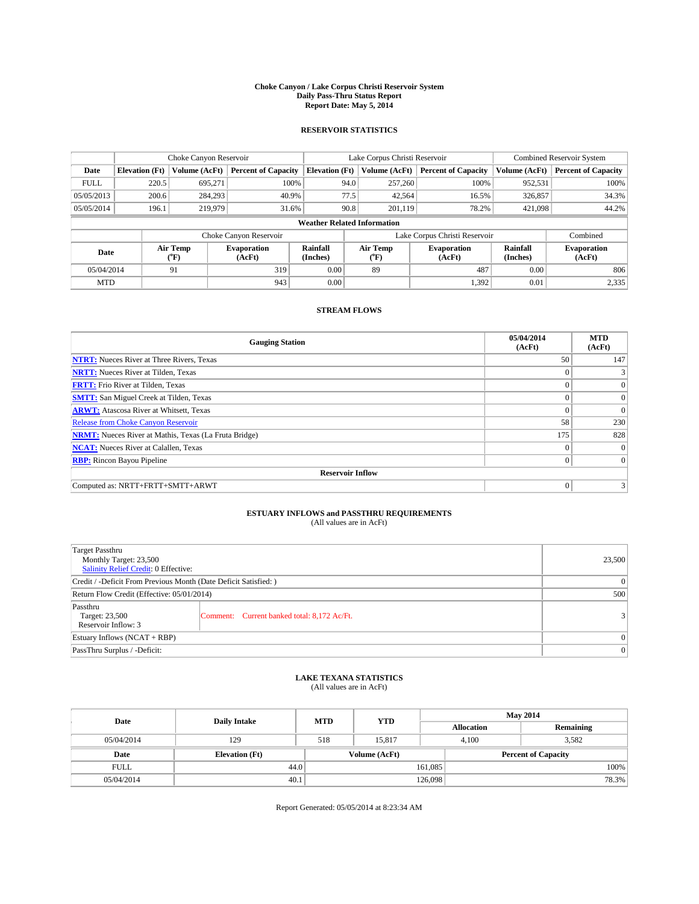#### **Choke Canyon / Lake Corpus Christi Reservoir System Daily Pass-Thru Status Report Report Date: May 5, 2014**

## **RESERVOIR STATISTICS**

|             |                       | Choke Canyon Reservoir |                              |                                    | Lake Corpus Christi Reservoir | <b>Combined Reservoir System</b> |                      |                              |
|-------------|-----------------------|------------------------|------------------------------|------------------------------------|-------------------------------|----------------------------------|----------------------|------------------------------|
| Date        | <b>Elevation</b> (Ft) | Volume (AcFt)          | <b>Percent of Capacity</b>   | <b>Elevation</b> (Ft)              | Volume (AcFt)                 | <b>Percent of Capacity</b>       | Volume (AcFt)        | <b>Percent of Capacity</b>   |
| <b>FULL</b> | 220.5                 | 695,271                | 100%                         | 94.0                               | 257,260                       | 100%                             | 952,531              | 100%                         |
| 05/05/2013  | 200.6                 | 284.293                | 40.9%                        | 77.5                               | 42,564                        | 16.5%                            | 326,857              | 34.3%                        |
| 05/05/2014  | 196.1                 | 219,979                | 31.6%                        | 90.8                               | 201.119                       | 78.2%                            | 421,098              | 44.2%                        |
|             |                       |                        |                              | <b>Weather Related Information</b> |                               |                                  |                      |                              |
|             |                       |                        | Choke Canyon Reservoir       |                                    | Lake Corpus Christi Reservoir | Combined                         |                      |                              |
| Date        |                       | Air Temp<br>(°F)       | <b>Evaporation</b><br>(AcFt) | Rainfall<br>(Inches)               | Air Temp<br>("F)              | <b>Evaporation</b><br>(AcFt)     | Rainfall<br>(Inches) | <b>Evaporation</b><br>(AcFt) |
| 05/04/2014  |                       | 91                     | 319                          | 0.00                               | 89                            | 487                              | 0.00                 | 806                          |
| <b>MTD</b>  |                       |                        | 943                          | 0.00                               |                               | 1,392                            | 0.01                 | 2,335                        |

# **STREAM FLOWS**

| <b>Gauging Station</b>                                       | 05/04/2014<br>(AcFt) | <b>MTD</b><br>(AcFt) |  |  |  |  |  |
|--------------------------------------------------------------|----------------------|----------------------|--|--|--|--|--|
| <b>NTRT:</b> Nueces River at Three Rivers, Texas             | 50                   | 147                  |  |  |  |  |  |
| <b>NRTT:</b> Nueces River at Tilden, Texas                   |                      |                      |  |  |  |  |  |
| <b>FRTT:</b> Frio River at Tilden, Texas                     |                      | $\overline{0}$       |  |  |  |  |  |
| <b>SMTT:</b> San Miguel Creek at Tilden, Texas               | $\theta$             | $\overline{0}$       |  |  |  |  |  |
| <b>ARWT:</b> Atascosa River at Whitsett, Texas               | $\theta$             | $\theta$             |  |  |  |  |  |
| Release from Choke Canyon Reservoir                          | 58                   | 230                  |  |  |  |  |  |
| <b>NRMT:</b> Nueces River at Mathis, Texas (La Fruta Bridge) | 175                  | 828                  |  |  |  |  |  |
| <b>NCAT:</b> Nueces River at Calallen, Texas                 | $\theta$             | $\Omega$             |  |  |  |  |  |
| <b>RBP:</b> Rincon Bayou Pipeline                            | $\mathbf{0}$         | $\overline{0}$       |  |  |  |  |  |
| <b>Reservoir Inflow</b>                                      |                      |                      |  |  |  |  |  |
| Computed as: NRTT+FRTT+SMTT+ARWT                             | $\theta$             | 3                    |  |  |  |  |  |

# **ESTUARY INFLOWS and PASSTHRU REQUIREMENTS**<br>(All values are in AcFt)

| Target Passthru<br>Monthly Target: 23,500<br><b>Salinity Relief Credit: 0 Effective:</b> |                                             |  |  |  |
|------------------------------------------------------------------------------------------|---------------------------------------------|--|--|--|
| Credit / -Deficit From Previous Month (Date Deficit Satisfied: )                         |                                             |  |  |  |
| Return Flow Credit (Effective: 05/01/2014)                                               |                                             |  |  |  |
| Passthru<br>Target: 23,500<br>Reservoir Inflow: 3                                        | Comment: Current banked total: 8,172 Ac/Ft. |  |  |  |
| Estuary Inflows (NCAT + RBP)                                                             |                                             |  |  |  |
| PassThru Surplus / -Deficit:                                                             | $\mathbf{0}$                                |  |  |  |

### **LAKE TEXANA STATISTICS**

(All values are in AcFt)

| Date        | <b>Daily Intake</b>   | <b>MTD</b> | <b>YTD</b>    | <b>May 2014</b>   |                            |           |  |
|-------------|-----------------------|------------|---------------|-------------------|----------------------------|-----------|--|
|             |                       |            |               | <b>Allocation</b> |                            | Remaining |  |
| 05/04/2014  | 129                   | 518        | 15.817        | 4.100             |                            | 3,582     |  |
| Date        | <b>Elevation</b> (Ft) |            | Volume (AcFt) |                   | <b>Percent of Capacity</b> |           |  |
| <b>FULL</b> | 44.0                  |            |               | 161,085           |                            | 100%      |  |
| 05/04/2014  | 40.1                  |            |               | 126,098           |                            | 78.3%     |  |

Report Generated: 05/05/2014 at 8:23:34 AM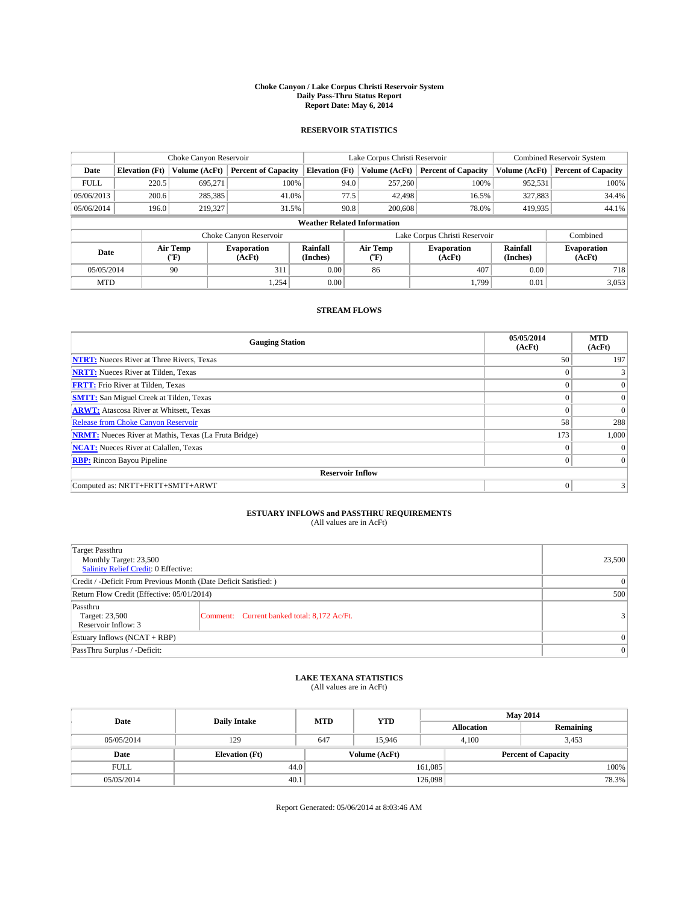#### **Choke Canyon / Lake Corpus Christi Reservoir System Daily Pass-Thru Status Report Report Date: May 6, 2014**

## **RESERVOIR STATISTICS**

|             | Choke Canyon Reservoir             |                  | Lake Corpus Christi Reservoir |                       |                               |                                   | <b>Combined Reservoir System</b> |                      |                              |
|-------------|------------------------------------|------------------|-------------------------------|-----------------------|-------------------------------|-----------------------------------|----------------------------------|----------------------|------------------------------|
| Date        | <b>Elevation</b> (Ft)              | Volume (AcFt)    | <b>Percent of Capacity</b>    | <b>Elevation</b> (Ft) |                               | Volume (AcFt)                     | <b>Percent of Capacity</b>       | Volume (AcFt)        | <b>Percent of Capacity</b>   |
| <b>FULL</b> | 220.5                              | 695,271          | 100%                          |                       | 94.0                          | 257,260                           | 100%                             | 952,531              | 100%                         |
| 05/06/2013  | 200.6                              | 285,385          | 41.0%                         |                       | 77.5                          | 42,498                            | 16.5%                            | 327,883              | 34.4%                        |
| 05/06/2014  | 196.0                              | 219,327          | 31.5%                         |                       | 90.8                          | 200,608                           | 78.0%                            | 419,935              | 44.1%                        |
|             | <b>Weather Related Information</b> |                  |                               |                       |                               |                                   |                                  |                      |                              |
|             |                                    |                  | Choke Canyon Reservoir        |                       | Lake Corpus Christi Reservoir |                                   |                                  |                      | Combined                     |
| Date        |                                    | Air Temp<br>(°F) | <b>Evaporation</b><br>(AcFt)  | Rainfall<br>(Inches)  |                               | Air Temp<br>$({}^{\circ}{\rm F})$ | <b>Evaporation</b><br>(AcFt)     | Rainfall<br>(Inches) | <b>Evaporation</b><br>(AcFt) |
| 05/05/2014  |                                    | 90               | 311                           | 0.00                  |                               | 407<br>86                         |                                  | 0.00                 | 718                          |
| <b>MTD</b>  |                                    |                  | 1.254                         | 0.00                  |                               |                                   | 1.799                            | 0.01                 | 3,053                        |

## **STREAM FLOWS**

| <b>Gauging Station</b>                                       | 05/05/2014<br>(AcFt) | <b>MTD</b><br>(AcFt) |  |  |  |  |  |  |
|--------------------------------------------------------------|----------------------|----------------------|--|--|--|--|--|--|
| <b>NTRT:</b> Nueces River at Three Rivers, Texas             | 50                   | 197                  |  |  |  |  |  |  |
| <b>NRTT:</b> Nueces River at Tilden, Texas                   | $\Omega$             |                      |  |  |  |  |  |  |
| <b>FRTT:</b> Frio River at Tilden, Texas                     | $\Omega$             | $\Omega$             |  |  |  |  |  |  |
| <b>SMTT:</b> San Miguel Creek at Tilden, Texas               | $\Omega$             | $\vert$ 0 $\vert$    |  |  |  |  |  |  |
| <b>ARWT:</b> Atascosa River at Whitsett, Texas               | $\Omega$             | $\Omega$             |  |  |  |  |  |  |
| <b>Release from Choke Canyon Reservoir</b>                   | 58                   | 288                  |  |  |  |  |  |  |
| <b>NRMT:</b> Nueces River at Mathis, Texas (La Fruta Bridge) | 173                  | 1,000                |  |  |  |  |  |  |
| <b>NCAT:</b> Nueces River at Calallen, Texas                 | $\Omega$             |                      |  |  |  |  |  |  |
| <b>RBP:</b> Rincon Bayou Pipeline                            | $\mathbf{0}$         | $\Omega$             |  |  |  |  |  |  |
| <b>Reservoir Inflow</b>                                      |                      |                      |  |  |  |  |  |  |
| Computed as: NRTT+FRTT+SMTT+ARWT                             | $\mathbf{0}$         |                      |  |  |  |  |  |  |

# **ESTUARY INFLOWS and PASSTHRU REQUIREMENTS**<br>(All values are in AcFt)

| <b>Target Passthru</b><br>Monthly Target: 23,500<br><b>Salinity Relief Credit: 0 Effective:</b> |                                             |               |  |  |
|-------------------------------------------------------------------------------------------------|---------------------------------------------|---------------|--|--|
| Credit / -Deficit From Previous Month (Date Deficit Satisfied: )                                |                                             |               |  |  |
| Return Flow Credit (Effective: 05/01/2014)                                                      | 500                                         |               |  |  |
| Passthru<br>Target: 23,500<br>Reservoir Inflow: 3                                               | Comment: Current banked total: 8,172 Ac/Ft. | $\frac{3}{2}$ |  |  |
| Estuary Inflows $(NCAT + RBP)$                                                                  | $\mathbf{0}$                                |               |  |  |
| PassThru Surplus / -Deficit:                                                                    | $\mathbf{0}$                                |               |  |  |

### **LAKE TEXANA STATISTICS**

(All values are in AcFt)

| Date        | <b>Daily Intake</b>   | <b>MTD</b> | <b>YTD</b>    | <b>May 2014</b>   |                            |           |       |
|-------------|-----------------------|------------|---------------|-------------------|----------------------------|-----------|-------|
|             |                       |            |               | <b>Allocation</b> |                            | Remaining |       |
| 05/05/2014  | 129                   | 647        | 15.946        | 4.100             |                            | 3,453     |       |
| Date        | <b>Elevation</b> (Ft) |            | Volume (AcFt) |                   | <b>Percent of Capacity</b> |           |       |
| <b>FULL</b> | 44.0                  |            |               | 161,085           |                            |           | 100%  |
| 05/05/2014  | 40.1                  |            |               | 126,098           |                            |           | 78.3% |

Report Generated: 05/06/2014 at 8:03:46 AM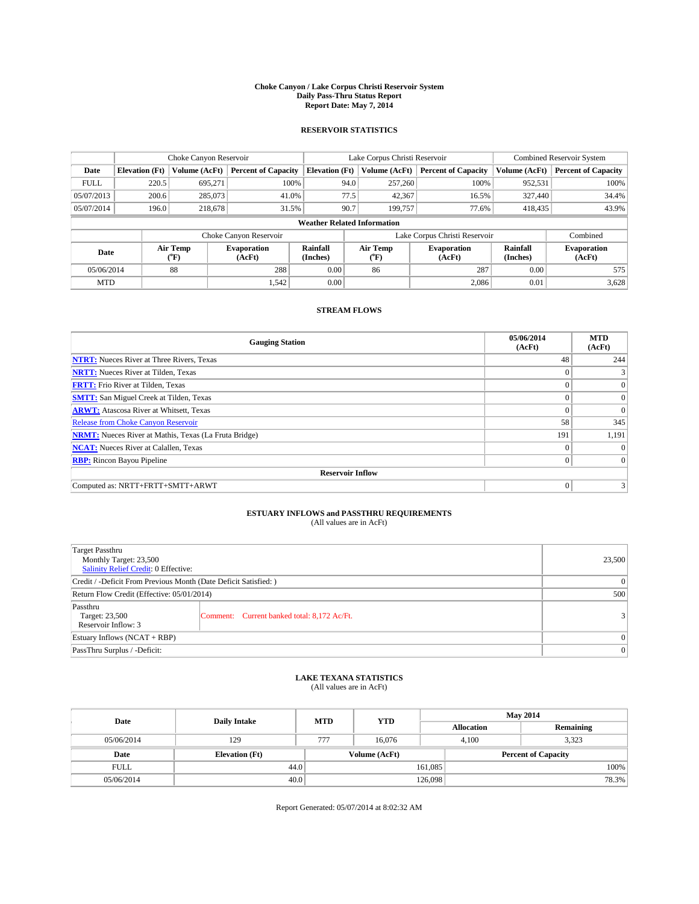#### **Choke Canyon / Lake Corpus Christi Reservoir System Daily Pass-Thru Status Report Report Date: May 7, 2014**

## **RESERVOIR STATISTICS**

|             |                                    | Choke Canyon Reservoir |                              |                       | Lake Corpus Christi Reservoir | Combined Reservoir System     |                             |                              |  |
|-------------|------------------------------------|------------------------|------------------------------|-----------------------|-------------------------------|-------------------------------|-----------------------------|------------------------------|--|
| Date        | <b>Elevation</b> (Ft)              | Volume (AcFt)          | <b>Percent of Capacity</b>   | <b>Elevation</b> (Ft) | Volume (AcFt)                 | <b>Percent of Capacity</b>    | Volume (AcFt)               | <b>Percent of Capacity</b>   |  |
| <b>FULL</b> | 220.5                              | 695,271                | 100%                         | 94.0                  | 257,260                       | 100%                          | 952,531                     | 100%                         |  |
| 05/07/2013  | 200.6                              | 285,073                | 41.0%                        | 77.5                  | 42,367                        | 16.5%                         | 327,440                     | 34.4%                        |  |
| 05/07/2014  | 196.0                              | 218,678                | 31.5%                        | 90.7                  | 199,757                       | 77.6%                         | 418,435                     | 43.9%                        |  |
|             | <b>Weather Related Information</b> |                        |                              |                       |                               |                               |                             |                              |  |
|             |                                    |                        | Choke Canyon Reservoir       |                       |                               | Lake Corpus Christi Reservoir |                             | Combined                     |  |
| Date        |                                    | Air Temp<br>(°F)       | <b>Evaporation</b><br>(AcFt) | Rainfall<br>(Inches)  | Air Temp<br>("F)              | <b>Evaporation</b><br>(AcFt)  | <b>Rainfall</b><br>(Inches) | <b>Evaporation</b><br>(AcFt) |  |
|             | 88<br>05/06/2014                   |                        | 288                          | 0.00                  | 86                            | 287                           | 0.00                        | 575                          |  |
|             | <b>MTD</b>                         |                        | 1,542                        | 0.00                  |                               | 2,086                         | 0.01                        | 3,628                        |  |

# **STREAM FLOWS**

| <b>Gauging Station</b>                                       | 05/06/2014<br>(AcFt) | <b>MTD</b><br>(AcFt) |  |  |  |  |
|--------------------------------------------------------------|----------------------|----------------------|--|--|--|--|
| <b>NTRT:</b> Nueces River at Three Rivers, Texas             | 48                   | 244                  |  |  |  |  |
| <b>NRTT:</b> Nueces River at Tilden, Texas                   | $\mathbf{0}$         |                      |  |  |  |  |
| <b>FRTT:</b> Frio River at Tilden, Texas                     | $\Omega$             | $\overline{0}$       |  |  |  |  |
| <b>SMTT:</b> San Miguel Creek at Tilden, Texas               | $\Omega$             | $\Omega$             |  |  |  |  |
| <b>ARWT:</b> Atascosa River at Whitsett, Texas               | $\Omega$             | $\Omega$             |  |  |  |  |
| <b>Release from Choke Canyon Reservoir</b>                   | 58                   | 345                  |  |  |  |  |
| <b>NRMT:</b> Nueces River at Mathis, Texas (La Fruta Bridge) | 191                  | 1,191                |  |  |  |  |
| <b>NCAT:</b> Nueces River at Calallen, Texas                 | $\Omega$             | $\Omega$             |  |  |  |  |
| <b>RBP:</b> Rincon Bayou Pipeline                            | $\overline{0}$       | $\Omega$             |  |  |  |  |
| <b>Reservoir Inflow</b>                                      |                      |                      |  |  |  |  |
| Computed as: NRTT+FRTT+SMTT+ARWT                             | $\mathbf{0}$         |                      |  |  |  |  |

# **ESTUARY INFLOWS and PASSTHRU REQUIREMENTS**<br>(All values are in AcFt)

| Target Passthru<br>Monthly Target: 23,500<br><b>Salinity Relief Credit: 0 Effective:</b> | 23,500                                      |  |
|------------------------------------------------------------------------------------------|---------------------------------------------|--|
| Credit / -Deficit From Previous Month (Date Deficit Satisfied: )                         | $\theta$                                    |  |
| Return Flow Credit (Effective: 05/01/2014)                                               | 500                                         |  |
| Passthru<br>Target: 23,500<br>Reservoir Inflow: 3                                        | Comment: Current banked total: 8,172 Ac/Ft. |  |
| Estuary Inflows (NCAT + RBP)                                                             | $\mathbf{0}$                                |  |
| PassThru Surplus / -Deficit:                                                             | $\mathbf{0}$                                |  |

### **LAKE TEXANA STATISTICS**

(All values are in AcFt)

| Date        | <b>Daily Intake</b>   | <b>MTD</b> | <b>YTD</b>    | <b>May 2014</b> |                            |           |  |
|-------------|-----------------------|------------|---------------|-----------------|----------------------------|-----------|--|
|             |                       |            |               |                 | <b>Allocation</b>          | Remaining |  |
| 05/06/2014  | 129                   | 777        | 16.076        |                 | 3,323<br>4.100             |           |  |
| Date        | <b>Elevation</b> (Ft) |            | Volume (AcFt) |                 | <b>Percent of Capacity</b> |           |  |
| <b>FULL</b> | 44.0                  |            |               | 161,085         |                            | 100%      |  |
| 05/06/2014  | 40.0                  |            |               | 126,098         |                            | 78.3%     |  |

Report Generated: 05/07/2014 at 8:02:32 AM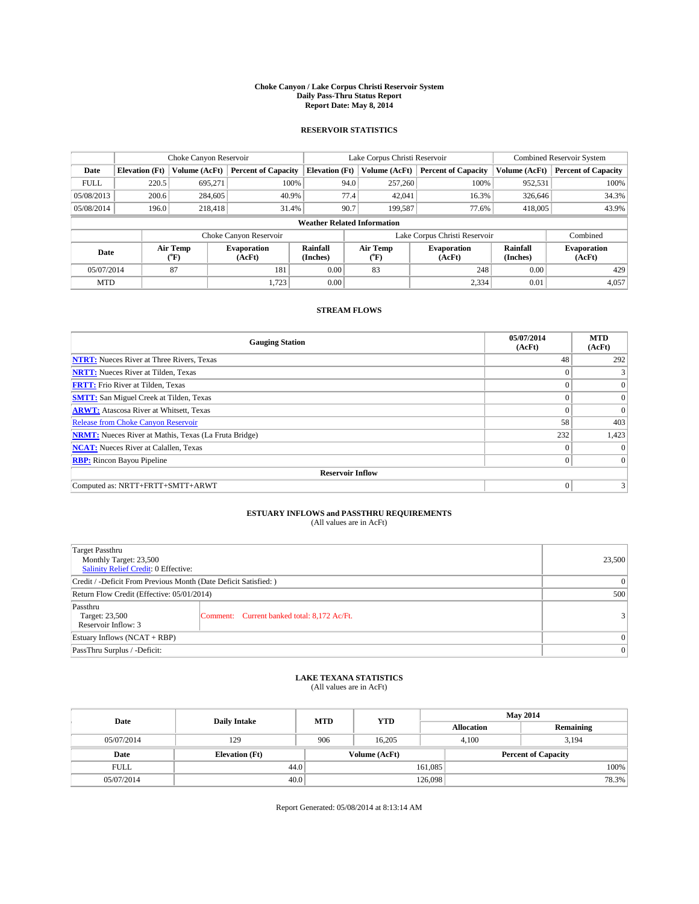#### **Choke Canyon / Lake Corpus Christi Reservoir System Daily Pass-Thru Status Report Report Date: May 8, 2014**

## **RESERVOIR STATISTICS**

|             |                                    | Choke Canyon Reservoir |                              |                       | Lake Corpus Christi Reservoir | Combined Reservoir System     |                      |                              |  |
|-------------|------------------------------------|------------------------|------------------------------|-----------------------|-------------------------------|-------------------------------|----------------------|------------------------------|--|
| Date        | <b>Elevation</b> (Ft)              | Volume (AcFt)          | <b>Percent of Capacity</b>   | <b>Elevation</b> (Ft) | Volume (AcFt)                 | <b>Percent of Capacity</b>    | Volume (AcFt)        | <b>Percent of Capacity</b>   |  |
| <b>FULL</b> | 220.5                              | 695,271                | 100%                         | 94.0                  | 257,260                       | 100%                          | 952,531              | 100%                         |  |
| 05/08/2013  | 200.6                              | 284,605                | 40.9%                        | 77.4                  | 42,041                        | 16.3%                         | 326,646              | 34.3%                        |  |
| 05/08/2014  | 196.0                              | 218,418                | 31.4%                        | 90.7                  | 199,587                       | 77.6%                         | 418,005              | 43.9%                        |  |
|             | <b>Weather Related Information</b> |                        |                              |                       |                               |                               |                      |                              |  |
|             |                                    |                        | Choke Canyon Reservoir       |                       |                               | Lake Corpus Christi Reservoir |                      | Combined                     |  |
| Date        |                                    | Air Temp<br>(°F)       | <b>Evaporation</b><br>(AcFt) | Rainfall<br>(Inches)  | Air Temp<br>("F)              | <b>Evaporation</b><br>(AcFt)  | Rainfall<br>(Inches) | <b>Evaporation</b><br>(AcFt) |  |
| 05/07/2014  |                                    | 87                     | 181                          | 0.00                  | 83                            | 248                           | 0.00                 | 429                          |  |
| <b>MTD</b>  |                                    |                        | 1,723                        | 0.00                  |                               | 2,334                         | 0.01                 | 4,057                        |  |

# **STREAM FLOWS**

| <b>Gauging Station</b>                                       | 05/07/2014<br>(AcFt) | <b>MTD</b><br>(AcFt) |  |  |  |  |
|--------------------------------------------------------------|----------------------|----------------------|--|--|--|--|
| <b>NTRT:</b> Nueces River at Three Rivers, Texas             | 48                   | 292                  |  |  |  |  |
| <b>NRTT:</b> Nueces River at Tilden, Texas                   | $\mathbf{0}$         |                      |  |  |  |  |
| <b>FRTT:</b> Frio River at Tilden, Texas                     | $\Omega$             | $\overline{0}$       |  |  |  |  |
| <b>SMTT:</b> San Miguel Creek at Tilden, Texas               | $\Omega$             | $\Omega$             |  |  |  |  |
| <b>ARWT:</b> Atascosa River at Whitsett, Texas               | $\Omega$             | $\Omega$             |  |  |  |  |
| <b>Release from Choke Canyon Reservoir</b>                   | 58                   | 403                  |  |  |  |  |
| <b>NRMT:</b> Nueces River at Mathis, Texas (La Fruta Bridge) | 232                  | 1,423                |  |  |  |  |
| <b>NCAT:</b> Nueces River at Calallen, Texas                 | $\Omega$             | $\theta$             |  |  |  |  |
| <b>RBP:</b> Rincon Bayou Pipeline                            | $\overline{0}$       | $\Omega$             |  |  |  |  |
| <b>Reservoir Inflow</b>                                      |                      |                      |  |  |  |  |
| Computed as: NRTT+FRTT+SMTT+ARWT                             | $\mathbf{0}$         |                      |  |  |  |  |

# **ESTUARY INFLOWS and PASSTHRU REQUIREMENTS**<br>(All values are in AcFt)

| <b>Target Passthru</b><br>Monthly Target: 23,500<br>Salinity Relief Credit: 0 Effective: |                                             |  |  |  |
|------------------------------------------------------------------------------------------|---------------------------------------------|--|--|--|
| Credit / -Deficit From Previous Month (Date Deficit Satisfied: )                         |                                             |  |  |  |
| Return Flow Credit (Effective: 05/01/2014)                                               |                                             |  |  |  |
| Passthru<br>Target: 23,500<br>Reservoir Inflow: 3                                        | Comment: Current banked total: 8,172 Ac/Ft. |  |  |  |
| Estuary Inflows (NCAT + RBP)                                                             |                                             |  |  |  |
| PassThru Surplus / -Deficit:                                                             | $\mathbf{0}$                                |  |  |  |

### **LAKE TEXANA STATISTICS**

(All values are in AcFt)

| Date        | <b>Daily Intake</b>   | <b>MTD</b> | <b>YTD</b>    | <b>May 2014</b>   |                            |           |  |
|-------------|-----------------------|------------|---------------|-------------------|----------------------------|-----------|--|
|             |                       |            |               | <b>Allocation</b> |                            | Remaining |  |
| 05/07/2014  | 129                   | 906        | 16.205        |                   | 3,194<br>4.100             |           |  |
| Date        | <b>Elevation</b> (Ft) |            | Volume (AcFt) |                   | <b>Percent of Capacity</b> |           |  |
| <b>FULL</b> | 44.0                  |            |               | 161,085           |                            | 100%      |  |
| 05/07/2014  | 40.0                  |            |               | 126,098           |                            | 78.3%     |  |

Report Generated: 05/08/2014 at 8:13:14 AM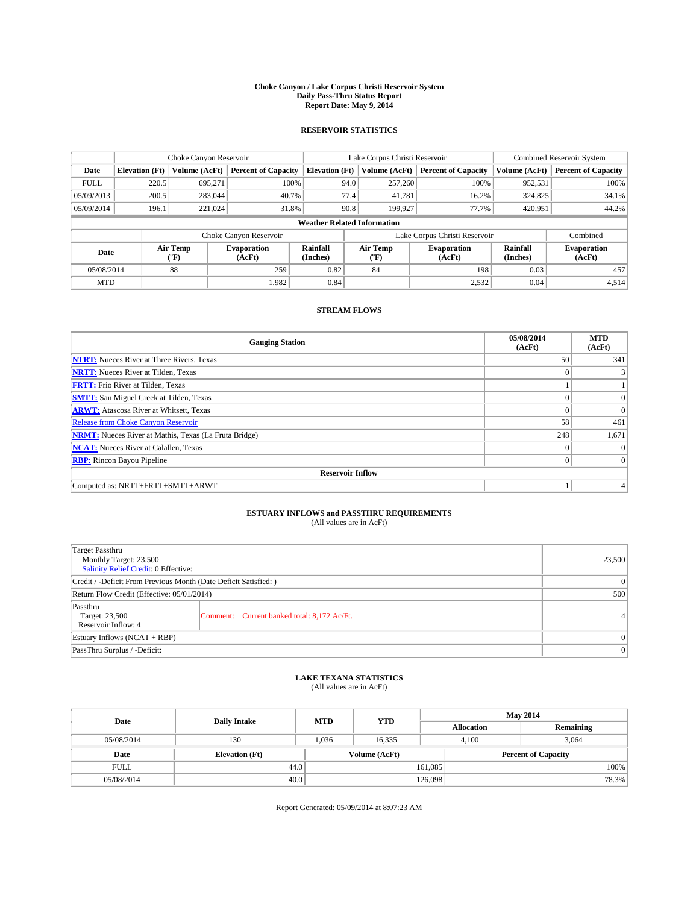#### **Choke Canyon / Lake Corpus Christi Reservoir System Daily Pass-Thru Status Report Report Date: May 9, 2014**

## **RESERVOIR STATISTICS**

|             |                                    | Choke Canyon Reservoir |                              |                       | Lake Corpus Christi Reservoir     | Combined Reservoir System     |                             |                              |  |
|-------------|------------------------------------|------------------------|------------------------------|-----------------------|-----------------------------------|-------------------------------|-----------------------------|------------------------------|--|
| Date        | <b>Elevation</b> (Ft)              | Volume (AcFt)          | <b>Percent of Capacity</b>   | <b>Elevation</b> (Ft) | Volume (AcFt)                     | <b>Percent of Capacity</b>    | Volume (AcFt)               | <b>Percent of Capacity</b>   |  |
| <b>FULL</b> | 220.5                              | 695,271                | 100%                         | 94.0                  | 257,260                           | 100%                          | 952,531                     | 100%                         |  |
| 05/09/2013  | 200.5                              | 283,044                | 40.7%                        | 77.4                  | 41,781                            | 16.2%                         | 324,825                     | 34.1%                        |  |
| 05/09/2014  | 196.1                              | 221,024                | 31.8%                        | 90.8                  | 199,927                           | 77.7%                         | 420,951                     | 44.2%                        |  |
|             | <b>Weather Related Information</b> |                        |                              |                       |                                   |                               |                             |                              |  |
|             |                                    |                        | Choke Canyon Reservoir       |                       |                                   | Lake Corpus Christi Reservoir |                             | Combined                     |  |
| Date        |                                    | Air Temp<br>(°F)       | <b>Evaporation</b><br>(AcFt) | Rainfall<br>(Inches)  | Air Temp<br>$({}^{\circ}{\rm F})$ | <b>Evaporation</b><br>(AcFt)  | <b>Rainfall</b><br>(Inches) | <b>Evaporation</b><br>(AcFt) |  |
| 05/08/2014  |                                    | 88                     | 259                          | 0.82<br>84            |                                   | 198                           | 0.03                        | 457                          |  |
| <b>MTD</b>  |                                    |                        | 1,982                        | 0.84                  |                                   | 2,532                         | 0.04                        | 4,514                        |  |

# **STREAM FLOWS**

| <b>Gauging Station</b>                                       | 05/08/2014<br>(AcFt) | <b>MTD</b><br>(AcFt) |  |  |  |  |
|--------------------------------------------------------------|----------------------|----------------------|--|--|--|--|
| <b>NTRT:</b> Nueces River at Three Rivers, Texas             | 50                   | 341                  |  |  |  |  |
| <b>NRTT:</b> Nueces River at Tilden, Texas                   | $\Omega$             |                      |  |  |  |  |
| <b>FRTT:</b> Frio River at Tilden, Texas                     |                      |                      |  |  |  |  |
| <b>SMTT:</b> San Miguel Creek at Tilden, Texas               | $\Omega$             | $\Omega$             |  |  |  |  |
| <b>ARWT:</b> Atascosa River at Whitsett, Texas               | $\Omega$             | $\Omega$             |  |  |  |  |
| Release from Choke Canyon Reservoir                          | 58                   | 461                  |  |  |  |  |
| <b>NRMT:</b> Nueces River at Mathis, Texas (La Fruta Bridge) | 248                  | 1,671                |  |  |  |  |
| <b>NCAT:</b> Nueces River at Calallen, Texas                 | $\Omega$             |                      |  |  |  |  |
| <b>RBP:</b> Rincon Bayou Pipeline                            | $\mathbf{0}$         | $\Omega$             |  |  |  |  |
| <b>Reservoir Inflow</b>                                      |                      |                      |  |  |  |  |
| Computed as: NRTT+FRTT+SMTT+ARWT                             |                      |                      |  |  |  |  |

# **ESTUARY INFLOWS and PASSTHRU REQUIREMENTS**<br>(All values are in AcFt)

| <b>Target Passthru</b><br>Monthly Target: 23,500<br>Salinity Relief Credit: 0 Effective: | 23,500                                      |   |
|------------------------------------------------------------------------------------------|---------------------------------------------|---|
| Credit / -Deficit From Previous Month (Date Deficit Satisfied: )                         | $\theta$                                    |   |
| Return Flow Credit (Effective: 05/01/2014)                                               | 500                                         |   |
| Passthru<br>Target: 23,500<br>Reservoir Inflow: 4                                        | Comment: Current banked total: 8,172 Ac/Ft. | 4 |
| Estuary Inflows (NCAT + RBP)                                                             | $\mathbf{0}$                                |   |
| PassThru Surplus / -Deficit:                                                             | $\mathbf{0}$                                |   |

### **LAKE TEXANA STATISTICS**

(All values are in AcFt)

| Date        | <b>Daily Intake</b>   | <b>MTD</b> | <b>YTD</b>    | <b>May 2014</b>   |                            |           |  |
|-------------|-----------------------|------------|---------------|-------------------|----------------------------|-----------|--|
|             |                       |            |               | <b>Allocation</b> |                            | Remaining |  |
| 05/08/2014  | 130                   | 1,036      | 16.335        |                   | 3,064<br>4.100             |           |  |
| Date        | <b>Elevation</b> (Ft) |            | Volume (AcFt) |                   | <b>Percent of Capacity</b> |           |  |
| <b>FULL</b> | 44.0                  |            |               | 161,085           |                            | 100%      |  |
| 05/08/2014  | 40.0                  |            |               | 126,098           |                            | 78.3%     |  |

Report Generated: 05/09/2014 at 8:07:23 AM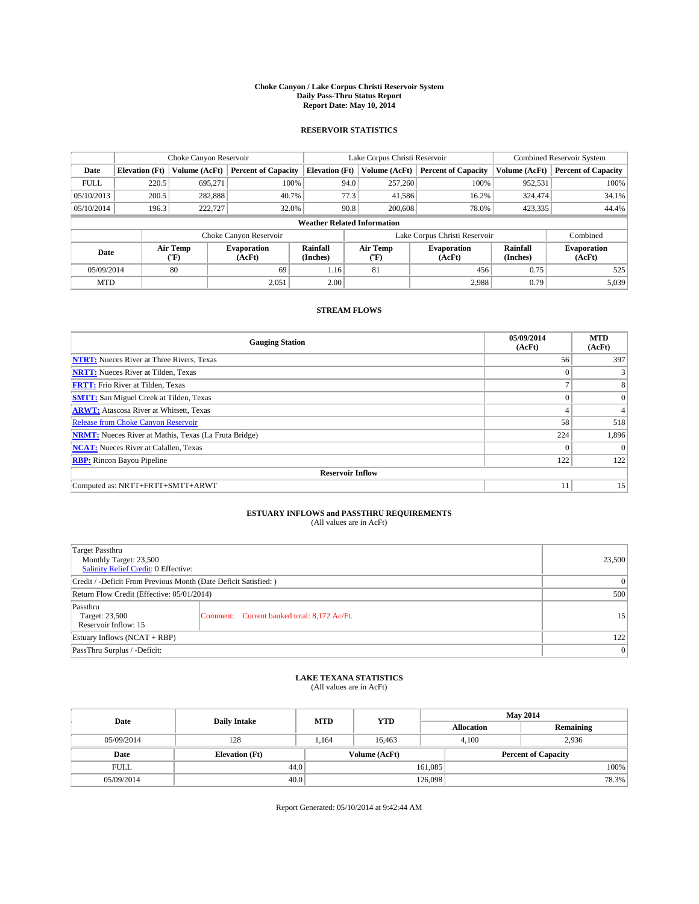#### **Choke Canyon / Lake Corpus Christi Reservoir System Daily Pass-Thru Status Report Report Date: May 10, 2014**

## **RESERVOIR STATISTICS**

|             | Choke Canyon Reservoir |                                    |                              |                                    | Lake Corpus Christi Reservoir | Combined Reservoir System     |                      |                              |
|-------------|------------------------|------------------------------------|------------------------------|------------------------------------|-------------------------------|-------------------------------|----------------------|------------------------------|
| Date        | <b>Elevation</b> (Ft)  | Volume (AcFt)                      | <b>Percent of Capacity</b>   | <b>Elevation</b> (Ft)              | Volume (AcFt)                 | <b>Percent of Capacity</b>    | Volume (AcFt)        | <b>Percent of Capacity</b>   |
| <b>FULL</b> | 220.5                  | 695,271                            | 100%                         | 94.0                               | 257,260                       | 100%                          | 952,531              | 100%                         |
| 05/10/2013  | 200.5                  | 282,888                            | 40.7%                        | 77.3                               | 41,586                        | 16.2%                         | 324,474              | 34.1%                        |
| 05/10/2014  | 196.3                  | 222,727                            | 32.0%                        | 90.8                               | 200,608                       | 78.0%                         | 423,335              | 44.4%                        |
|             |                        |                                    |                              | <b>Weather Related Information</b> |                               |                               |                      |                              |
|             |                        |                                    | Choke Canyon Reservoir       |                                    |                               | Lake Corpus Christi Reservoir |                      | Combined                     |
| Date        |                        | Air Temp<br>${}^{\prime\prime}$ F) | <b>Evaporation</b><br>(AcFt) | Rainfall<br>(Inches)               | Air Temp<br>("F)              | <b>Evaporation</b><br>(AcFt)  | Rainfall<br>(Inches) | <b>Evaporation</b><br>(AcFt) |
| 05/09/2014  |                        | 80                                 | 69                           | 1.16                               | 81                            | 456                           | 0.75                 | 525                          |
| <b>MTD</b>  |                        |                                    | 2,051                        | 2.00                               |                               | 2,988                         | 0.79                 | 5,039                        |

# **STREAM FLOWS**

| <b>Gauging Station</b>                                       | 05/09/2014<br>(AcFt) | <b>MTD</b><br>(AcFt) |  |  |  |  |
|--------------------------------------------------------------|----------------------|----------------------|--|--|--|--|
| <b>NTRT:</b> Nueces River at Three Rivers, Texas             | 56                   | 397                  |  |  |  |  |
| <b>NRTT:</b> Nueces River at Tilden, Texas                   | $\mathbf{0}$         |                      |  |  |  |  |
| <b>FRTT:</b> Frio River at Tilden, Texas                     | ∍                    | 8                    |  |  |  |  |
| <b>SMTT:</b> San Miguel Creek at Tilden, Texas               | $\Omega$             | $\Omega$             |  |  |  |  |
| <b>ARWT:</b> Atascosa River at Whitsett, Texas               | 4                    | 4                    |  |  |  |  |
| <b>Release from Choke Canyon Reservoir</b>                   | 58                   | 518                  |  |  |  |  |
| <b>NRMT:</b> Nueces River at Mathis, Texas (La Fruta Bridge) | 224                  | 1,896                |  |  |  |  |
| <b>NCAT:</b> Nueces River at Calallen, Texas                 | $\Omega$             |                      |  |  |  |  |
| <b>RBP:</b> Rincon Bayou Pipeline                            | 122                  | 122                  |  |  |  |  |
| <b>Reservoir Inflow</b>                                      |                      |                      |  |  |  |  |
| Computed as: NRTT+FRTT+SMTT+ARWT                             | 11                   | 15                   |  |  |  |  |

# **ESTUARY INFLOWS and PASSTHRU REQUIREMENTS**<br>(All values are in AcFt)

| <b>Target Passthru</b><br>Monthly Target: 23,500<br>Salinity Relief Credit: 0 Effective: | 23,500                                      |    |
|------------------------------------------------------------------------------------------|---------------------------------------------|----|
| Credit / -Deficit From Previous Month (Date Deficit Satisfied: )                         | $\theta$                                    |    |
| Return Flow Credit (Effective: 05/01/2014)                                               | 500                                         |    |
| Passthru<br>Target: 23,500<br>Reservoir Inflow: 15                                       | Comment: Current banked total: 8,172 Ac/Ft. | 15 |
| Estuary Inflows (NCAT + RBP)                                                             | 122                                         |    |
| PassThru Surplus / -Deficit:                                                             | $\overline{0}$                              |    |

## **LAKE TEXANA STATISTICS**

(All values are in AcFt)

| Date        | <b>Daily Intake</b>   | <b>MTD</b> | <b>YTD</b>    | <b>May 2014</b>   |                            |           |       |
|-------------|-----------------------|------------|---------------|-------------------|----------------------------|-----------|-------|
|             |                       |            |               | <b>Allocation</b> |                            | Remaining |       |
| 05/09/2014  | 128                   | .164       | 16.463        |                   | 2,936<br>4.100             |           |       |
| Date        | <b>Elevation</b> (Ft) |            | Volume (AcFt) |                   | <b>Percent of Capacity</b> |           |       |
| <b>FULL</b> | 44.0                  |            |               | 161,085           |                            |           | 100%  |
| 05/09/2014  | 40.0                  |            |               | 126,098           |                            |           | 78.3% |

Report Generated: 05/10/2014 at 9:42:44 AM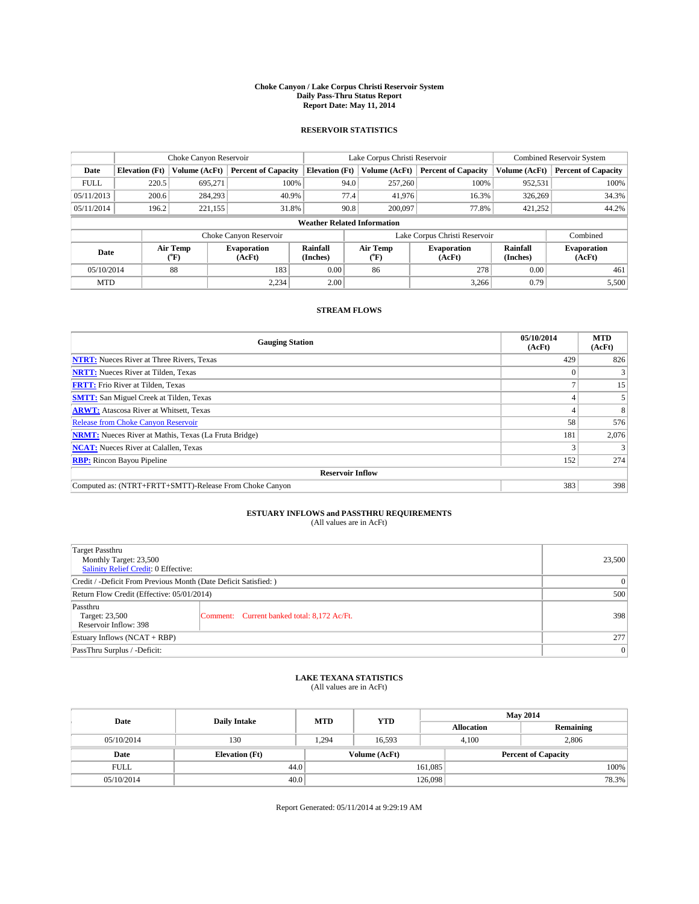#### **Choke Canyon / Lake Corpus Christi Reservoir System Daily Pass-Thru Status Report Report Date: May 11, 2014**

## **RESERVOIR STATISTICS**

|             | Choke Canyon Reservoir |                  |                              |                                    | Lake Corpus Christi Reservoir | Combined Reservoir System     |                      |                              |
|-------------|------------------------|------------------|------------------------------|------------------------------------|-------------------------------|-------------------------------|----------------------|------------------------------|
| Date        | <b>Elevation</b> (Ft)  | Volume (AcFt)    | <b>Percent of Capacity</b>   | <b>Elevation</b> (Ft)              | Volume (AcFt)                 | <b>Percent of Capacity</b>    | Volume (AcFt)        | <b>Percent of Capacity</b>   |
| <b>FULL</b> | 220.5                  | 695,271          | 100%                         | 94.0                               | 257,260                       | 100%                          | 952,531              | 100%                         |
| 05/11/2013  | 200.6                  | 284,293          | 40.9%                        | 77.4                               | 41,976                        | 16.3%                         | 326,269              | 34.3%                        |
| 05/11/2014  | 196.2                  | 221,155          | 31.8%                        | 90.8                               | 200,097                       | 77.8%                         | 421,252              | 44.2%                        |
|             |                        |                  |                              | <b>Weather Related Information</b> |                               |                               |                      |                              |
|             |                        |                  | Choke Canyon Reservoir       |                                    |                               | Lake Corpus Christi Reservoir |                      | Combined                     |
| Date        |                        | Air Temp<br>(°F) | <b>Evaporation</b><br>(AcFt) | Rainfall<br>(Inches)               | Air Temp<br>("F)              | <b>Evaporation</b><br>(AcFt)  | Rainfall<br>(Inches) | <b>Evaporation</b><br>(AcFt) |
| 05/10/2014  |                        | 88               | 183                          | 0.00                               | 86                            | 278                           | 0.00                 | 461                          |
| <b>MTD</b>  |                        |                  | 2.234                        | 2.00                               |                               | 3,266                         | 0.79                 | 5,500                        |

# **STREAM FLOWS**

| <b>Gauging Station</b>                                       | 05/10/2014<br>(AcFt) | <b>MTD</b><br>(AcFt) |  |  |  |  |
|--------------------------------------------------------------|----------------------|----------------------|--|--|--|--|
| <b>NTRT:</b> Nueces River at Three Rivers, Texas             | 429                  | 826                  |  |  |  |  |
| <b>NRTT:</b> Nueces River at Tilden, Texas                   | $\Omega$             |                      |  |  |  |  |
| <b>FRTT:</b> Frio River at Tilden, Texas                     |                      | 15                   |  |  |  |  |
| <b>SMTT:</b> San Miguel Creek at Tilden, Texas               |                      |                      |  |  |  |  |
| <b>ARWT:</b> Atascosa River at Whitsett, Texas               |                      | 8                    |  |  |  |  |
| <b>Release from Choke Canyon Reservoir</b>                   | 58                   | 576                  |  |  |  |  |
| <b>NRMT:</b> Nueces River at Mathis, Texas (La Fruta Bridge) | 181                  | 2,076                |  |  |  |  |
| <b>NCAT:</b> Nueces River at Calallen, Texas                 |                      |                      |  |  |  |  |
| <b>RBP:</b> Rincon Bayou Pipeline                            | 152                  | 274                  |  |  |  |  |
| <b>Reservoir Inflow</b>                                      |                      |                      |  |  |  |  |
| Computed as: (NTRT+FRTT+SMTT)-Release From Choke Canyon      | 383                  | 398                  |  |  |  |  |

# **ESTUARY INFLOWS and PASSTHRU REQUIREMENTS**<br>(All values are in AcFt)

| <b>Target Passthru</b><br>Monthly Target: 23,500<br><b>Salinity Relief Credit: 0 Effective:</b> | 23,500                                      |     |
|-------------------------------------------------------------------------------------------------|---------------------------------------------|-----|
| Credit / -Deficit From Previous Month (Date Deficit Satisfied: )                                |                                             | 0   |
| Return Flow Credit (Effective: 05/01/2014)                                                      | 500                                         |     |
| Passthru<br>Target: 23,500<br>Reservoir Inflow: 398                                             | Comment: Current banked total: 8,172 Ac/Ft. | 398 |
| Estuary Inflows $(NCAT + RBP)$                                                                  | 277                                         |     |
| PassThru Surplus / -Deficit:                                                                    | 0                                           |     |

### **LAKE TEXANA STATISTICS**

(All values are in AcFt)

| Date        | <b>Daily Intake</b>   | <b>MTD</b> | <b>YTD</b>    | <b>May 2014</b>            |                |           |  |
|-------------|-----------------------|------------|---------------|----------------------------|----------------|-----------|--|
|             |                       |            |               | <b>Allocation</b>          |                | Remaining |  |
| 05/10/2014  | 130                   | 1.294      | 16.593        |                            | 2,806<br>4.100 |           |  |
| Date        | <b>Elevation</b> (Ft) |            | Volume (AcFt) | <b>Percent of Capacity</b> |                |           |  |
| <b>FULL</b> | 44.0                  |            |               | 161,085                    |                | 100%      |  |
| 05/10/2014  | 40.0                  |            |               | 126,098                    |                | 78.3%     |  |

Report Generated: 05/11/2014 at 9:29:19 AM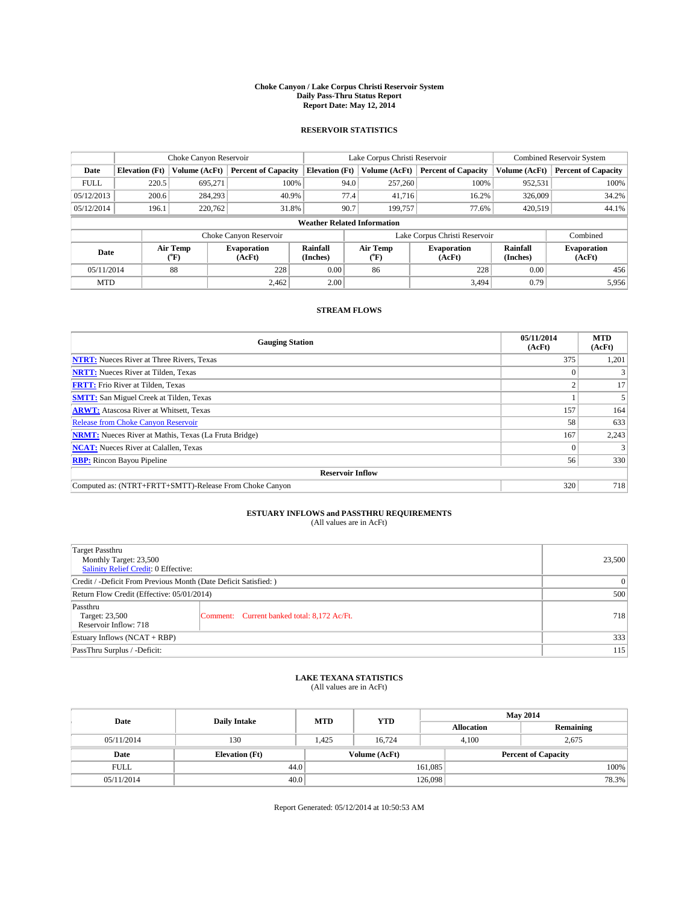#### **Choke Canyon / Lake Corpus Christi Reservoir System Daily Pass-Thru Status Report Report Date: May 12, 2014**

## **RESERVOIR STATISTICS**

|             | Choke Canyon Reservoir |                                    |                              |                                    | Lake Corpus Christi Reservoir | Combined Reservoir System     |                      |                              |
|-------------|------------------------|------------------------------------|------------------------------|------------------------------------|-------------------------------|-------------------------------|----------------------|------------------------------|
| Date        | <b>Elevation</b> (Ft)  | Volume (AcFt)                      | <b>Percent of Capacity</b>   | <b>Elevation</b> (Ft)              | Volume (AcFt)                 | <b>Percent of Capacity</b>    | Volume (AcFt)        | <b>Percent of Capacity</b>   |
| <b>FULL</b> | 220.5                  | 695,271                            | 100%                         | 94.0                               | 257,260                       | 100%                          | 952,531              | 100%                         |
| 05/12/2013  | 200.6                  | 284,293                            | 40.9%                        | 77.4                               | 41,716                        | 16.2%                         | 326,009              | 34.2%                        |
| 05/12/2014  | 196.1                  | 220,762                            | 31.8%                        | 90.7                               | 199,757                       | 77.6%                         | 420,519              | 44.1%                        |
|             |                        |                                    |                              | <b>Weather Related Information</b> |                               |                               |                      |                              |
|             |                        |                                    | Choke Canyon Reservoir       |                                    |                               | Lake Corpus Christi Reservoir |                      | Combined                     |
| Date        |                        | Air Temp<br>${}^{\prime\prime}$ F) | <b>Evaporation</b><br>(AcFt) | Rainfall<br>(Inches)               | Air Temp<br>$\rm ^{(o}F)$     | <b>Evaporation</b><br>(AcFt)  | Rainfall<br>(Inches) | <b>Evaporation</b><br>(AcFt) |
| 05/11/2014  |                        | 88                                 | 228                          | 0.00                               | 86                            | 228                           | 0.00                 | 456                          |
| <b>MTD</b>  |                        |                                    | 2.462                        | 2.00                               |                               | 3,494                         | 0.79                 | 5,956                        |

# **STREAM FLOWS**

| <b>Gauging Station</b>                                       | 05/11/2014<br>(AcFt) | <b>MTD</b><br>(AcFt) |  |  |  |  |
|--------------------------------------------------------------|----------------------|----------------------|--|--|--|--|
| <b>NTRT:</b> Nueces River at Three Rivers, Texas             | 375                  | 1,201                |  |  |  |  |
| <b>NRTT:</b> Nueces River at Tilden, Texas                   | $\Omega$             |                      |  |  |  |  |
| <b>FRTT:</b> Frio River at Tilden, Texas                     | $\sim$               | 17                   |  |  |  |  |
| <b>SMTT:</b> San Miguel Creek at Tilden, Texas               |                      |                      |  |  |  |  |
| <b>ARWT:</b> Atascosa River at Whitsett, Texas               | 157                  | 164                  |  |  |  |  |
| <b>Release from Choke Canyon Reservoir</b>                   | 58                   | 633                  |  |  |  |  |
| <b>NRMT:</b> Nueces River at Mathis, Texas (La Fruta Bridge) | 167                  | 2,243                |  |  |  |  |
| <b>NCAT:</b> Nueces River at Calallen, Texas                 | $\theta$             |                      |  |  |  |  |
| <b>RBP:</b> Rincon Bayou Pipeline                            | 56                   | 330                  |  |  |  |  |
| <b>Reservoir Inflow</b>                                      |                      |                      |  |  |  |  |
| Computed as: (NTRT+FRTT+SMTT)-Release From Choke Canyon      | 320                  | 718                  |  |  |  |  |

# **ESTUARY INFLOWS and PASSTHRU REQUIREMENTS**<br>(All values are in AcFt)

| <b>Target Passthru</b><br>Monthly Target: 23,500<br><b>Salinity Relief Credit: 0 Effective:</b> | 23,500                                      |     |
|-------------------------------------------------------------------------------------------------|---------------------------------------------|-----|
| Credit / -Deficit From Previous Month (Date Deficit Satisfied: )                                | 0                                           |     |
| Return Flow Credit (Effective: 05/01/2014)                                                      | 500                                         |     |
| Passthru<br>Target: 23,500<br>Reservoir Inflow: 718                                             | Comment: Current banked total: 8,172 Ac/Ft. | 718 |
| Estuary Inflows $(NCAT + RBP)$                                                                  | 333                                         |     |
| PassThru Surplus / -Deficit:                                                                    | 115                                         |     |

### **LAKE TEXANA STATISTICS**

(All values are in AcFt)

| Date        | <b>Daily Intake</b>   | <b>MTD</b> | <b>YTD</b>    | <b>May 2014</b>   |                            |           |  |
|-------------|-----------------------|------------|---------------|-------------------|----------------------------|-----------|--|
|             |                       |            |               | <b>Allocation</b> |                            | Remaining |  |
| 05/11/2014  | 130                   | 1.425      | 16.724        |                   | 4.100<br>2,675             |           |  |
| Date        | <b>Elevation</b> (Ft) |            | Volume (AcFt) |                   | <b>Percent of Capacity</b> |           |  |
| <b>FULL</b> | 44.0                  |            |               | 161,085           |                            | 100%      |  |
| 05/11/2014  | 40.0                  |            |               | 126,098           |                            | 78.3%     |  |

Report Generated: 05/12/2014 at 10:50:53 AM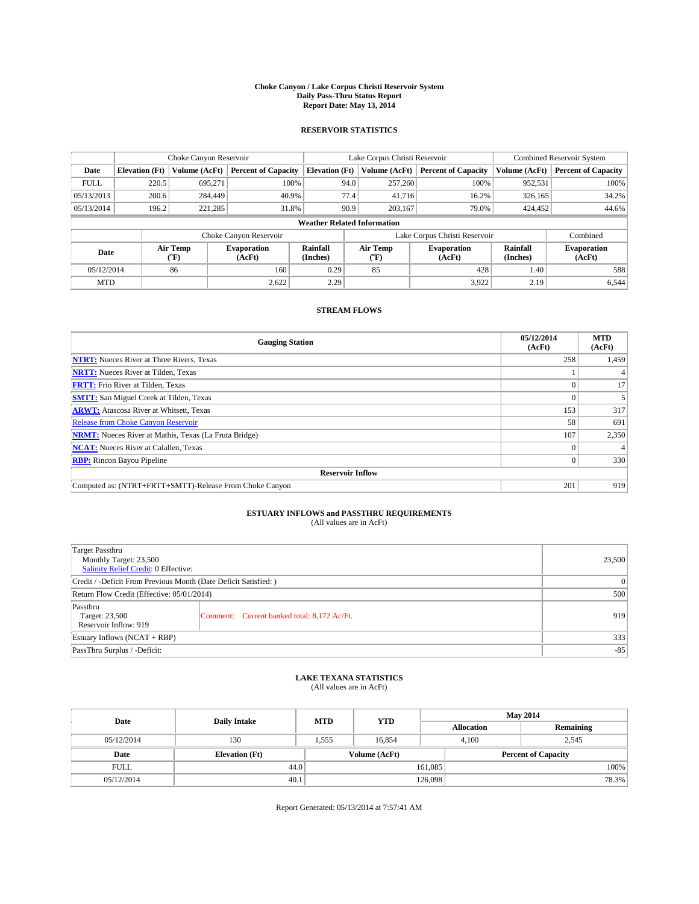#### **Choke Canyon / Lake Corpus Christi Reservoir System Daily Pass-Thru Status Report Report Date: May 13, 2014**

## **RESERVOIR STATISTICS**

|             |                       | Choke Canyon Reservoir             |                              |                                    | Lake Corpus Christi Reservoir | Combined Reservoir System     |                             |                              |
|-------------|-----------------------|------------------------------------|------------------------------|------------------------------------|-------------------------------|-------------------------------|-----------------------------|------------------------------|
| Date        | <b>Elevation</b> (Ft) | Volume (AcFt)                      | <b>Percent of Capacity</b>   | <b>Elevation</b> (Ft)              | Volume (AcFt)                 | <b>Percent of Capacity</b>    | Volume (AcFt)               | <b>Percent of Capacity</b>   |
| <b>FULL</b> | 220.5                 | 695,271                            | 100%                         | 94.0                               | 257,260                       | 100%                          | 952,531                     | 100%                         |
| 05/13/2013  | 200.6                 | 284,449                            | 40.9%                        | 77.4                               | 41,716                        | 16.2%                         | 326,165                     | 34.2%                        |
| 05/13/2014  | 196.2                 | 221,285                            | 31.8%                        | 90.9                               | 203,167                       | 79.0%                         | 424,452                     | 44.6%                        |
|             |                       |                                    |                              | <b>Weather Related Information</b> |                               |                               |                             |                              |
|             |                       |                                    | Choke Canyon Reservoir       |                                    |                               | Lake Corpus Christi Reservoir |                             | Combined                     |
| Date        |                       | Air Temp<br>${}^{\prime\prime}$ F) | <b>Evaporation</b><br>(AcFt) | Rainfall<br>(Inches)               | Air Temp<br>("F)              | <b>Evaporation</b><br>(AcFt)  | <b>Rainfall</b><br>(Inches) | <b>Evaporation</b><br>(AcFt) |
| 05/12/2014  | 86                    |                                    | 160                          | 0.29                               | 85                            | 428                           | 1.40                        | 588                          |
| <b>MTD</b>  |                       |                                    | 2,622                        | 2.29                               |                               | 3,922                         | 2.19                        | 6.544                        |

## **STREAM FLOWS**

| <b>Gauging Station</b>                                       | 05/12/2014<br>(AcFt) | <b>MTD</b><br>(AcFt) |  |  |  |  |
|--------------------------------------------------------------|----------------------|----------------------|--|--|--|--|
| <b>NTRT:</b> Nueces River at Three Rivers, Texas             | 258                  | 1,459                |  |  |  |  |
| <b>NRTT:</b> Nueces River at Tilden, Texas                   |                      |                      |  |  |  |  |
| <b>FRTT:</b> Frio River at Tilden, Texas                     |                      | 17                   |  |  |  |  |
| <b>SMTT:</b> San Miguel Creek at Tilden, Texas               |                      |                      |  |  |  |  |
| <b>ARWT:</b> Atascosa River at Whitsett, Texas               | 153                  | 317                  |  |  |  |  |
| <b>Release from Choke Canyon Reservoir</b>                   | 58                   | 691                  |  |  |  |  |
| <b>NRMT:</b> Nueces River at Mathis, Texas (La Fruta Bridge) | 107                  | 2,350                |  |  |  |  |
| <b>NCAT:</b> Nueces River at Calallen, Texas                 |                      |                      |  |  |  |  |
| <b>RBP:</b> Rincon Bayou Pipeline                            | 0                    | 330                  |  |  |  |  |
| <b>Reservoir Inflow</b>                                      |                      |                      |  |  |  |  |
| Computed as: (NTRT+FRTT+SMTT)-Release From Choke Canyon      | 201                  | 919                  |  |  |  |  |

# **ESTUARY INFLOWS and PASSTHRU REQUIREMENTS**<br>(All values are in AcFt)

| <b>Target Passthru</b><br>Monthly Target: 23,500<br><b>Salinity Relief Credit: 0 Effective:</b> |                                             |     |  |  |
|-------------------------------------------------------------------------------------------------|---------------------------------------------|-----|--|--|
| Credit / -Deficit From Previous Month (Date Deficit Satisfied: )                                | 0                                           |     |  |  |
| Return Flow Credit (Effective: 05/01/2014)                                                      | 500                                         |     |  |  |
| Passthru<br>Target: 23,500<br>Reservoir Inflow: 919                                             | Comment: Current banked total: 8,172 Ac/Ft. | 919 |  |  |
| Estuary Inflows $(NCAT + RBP)$                                                                  | 333                                         |     |  |  |
| PassThru Surplus / -Deficit:                                                                    | $-85$                                       |     |  |  |

## **LAKE TEXANA STATISTICS**

(All values are in AcFt)

| Date        |                       | <b>MTD</b> | <b>YTD</b>    | <b>May 2014</b>   |                            |           |  |
|-------------|-----------------------|------------|---------------|-------------------|----------------------------|-----------|--|
|             | <b>Daily Intake</b>   |            |               | <b>Allocation</b> |                            | Remaining |  |
| 05/12/2014  | 130                   | 1,555      | 16.854        |                   | 2.545<br>4.100             |           |  |
| Date        | <b>Elevation</b> (Ft) |            | Volume (AcFt) |                   | <b>Percent of Capacity</b> |           |  |
| <b>FULL</b> | 44.0                  |            |               | 161,085           |                            | 100%      |  |
| 05/12/2014  | 40.1                  |            |               | 126,098           |                            | 78.3%     |  |

Report Generated: 05/13/2014 at 7:57:41 AM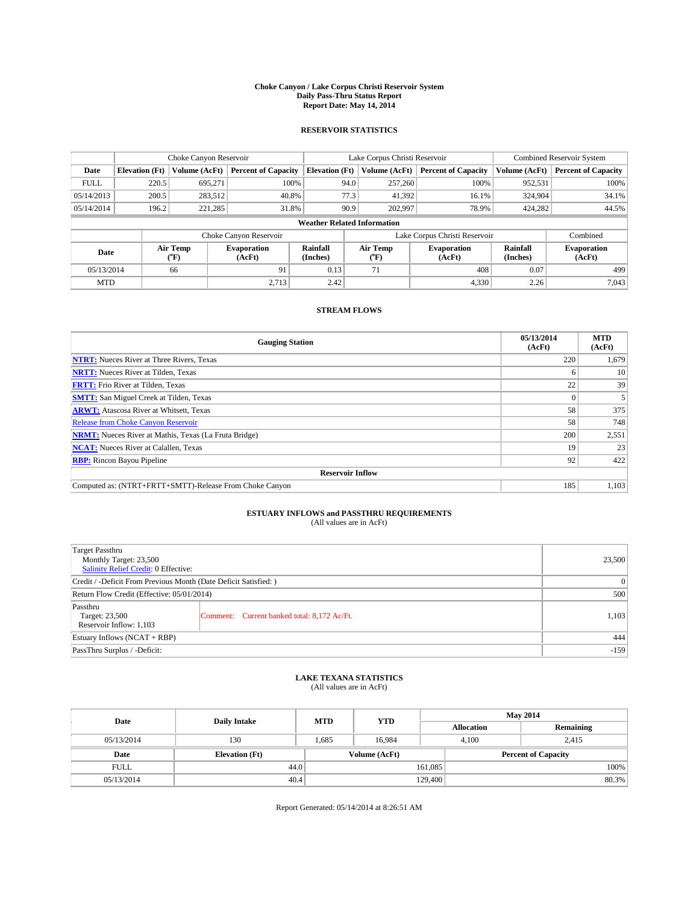#### **Choke Canyon / Lake Corpus Christi Reservoir System Daily Pass-Thru Status Report Report Date: May 14, 2014**

## **RESERVOIR STATISTICS**

|             |                       | Choke Canyon Reservoir             |                              |                                    | Lake Corpus Christi Reservoir | Combined Reservoir System     |                      |                              |
|-------------|-----------------------|------------------------------------|------------------------------|------------------------------------|-------------------------------|-------------------------------|----------------------|------------------------------|
| Date        | <b>Elevation</b> (Ft) | Volume (AcFt)                      | <b>Percent of Capacity</b>   | <b>Elevation</b> (Ft)              | Volume (AcFt)                 | <b>Percent of Capacity</b>    | Volume (AcFt)        | <b>Percent of Capacity</b>   |
| <b>FULL</b> | 220.5                 | 695,271                            | 100%                         | 94.0                               | 257,260                       | 100%                          | 952,531              | 100%                         |
| 05/14/2013  | 200.5                 | 283,512                            | 40.8%                        | 77.3                               | 41,392                        | 16.1%                         | 324,904              | 34.1%                        |
| 05/14/2014  | 196.2                 | 221,285                            | 31.8%                        | 90.9                               | 202,997                       | 78.9%                         | 424,282              | 44.5%                        |
|             |                       |                                    |                              | <b>Weather Related Information</b> |                               |                               |                      |                              |
|             |                       |                                    | Choke Canyon Reservoir       |                                    |                               | Lake Corpus Christi Reservoir |                      | Combined                     |
| Date        |                       | Air Temp<br>${}^{\prime\prime}$ F) | <b>Evaporation</b><br>(AcFt) | Rainfall<br>(Inches)               | Air Temp<br>("F)              | <b>Evaporation</b><br>(AcFt)  | Rainfall<br>(Inches) | <b>Evaporation</b><br>(AcFt) |
|             | 05/13/2014<br>66      |                                    | 91                           | 0.13                               | 71                            | 408                           | 0.07                 | 499                          |
| <b>MTD</b>  |                       |                                    | 2.713                        | 2.42                               |                               | 4,330                         | 2.26                 | 7.043                        |

# **STREAM FLOWS**

| <b>Gauging Station</b>                                       | 05/13/2014<br>(AcFt) | <b>MTD</b><br>(AcFt) |  |  |  |  |
|--------------------------------------------------------------|----------------------|----------------------|--|--|--|--|
| <b>NTRT:</b> Nueces River at Three Rivers, Texas             | 220                  | 1,679                |  |  |  |  |
| <b>NRTT:</b> Nueces River at Tilden, Texas                   | o                    | 10                   |  |  |  |  |
| <b>FRTT:</b> Frio River at Tilden, Texas                     | 22                   | 39                   |  |  |  |  |
| <b>SMTT:</b> San Miguel Creek at Tilden, Texas               | $\Omega$             |                      |  |  |  |  |
| <b>ARWT:</b> Atascosa River at Whitsett, Texas               | 58                   | 375                  |  |  |  |  |
| <b>Release from Choke Canyon Reservoir</b>                   | 58                   | 748                  |  |  |  |  |
| <b>NRMT:</b> Nueces River at Mathis, Texas (La Fruta Bridge) | 200                  | 2,551                |  |  |  |  |
| <b>NCAT:</b> Nueces River at Calallen, Texas                 | 19                   | 23                   |  |  |  |  |
| <b>RBP:</b> Rincon Bayou Pipeline                            | 92                   | 422                  |  |  |  |  |
| <b>Reservoir Inflow</b>                                      |                      |                      |  |  |  |  |
| Computed as: (NTRT+FRTT+SMTT)-Release From Choke Canyon      | 185                  | 1,103                |  |  |  |  |

# **ESTUARY INFLOWS and PASSTHRU REQUIREMENTS**<br>(All values are in AcFt)

| <b>Target Passthru</b><br>Monthly Target: 23,500<br><b>Salinity Relief Credit: 0 Effective:</b> |                                             | 23,500 |
|-------------------------------------------------------------------------------------------------|---------------------------------------------|--------|
| Credit / -Deficit From Previous Month (Date Deficit Satisfied: )                                | $\Omega$                                    |        |
| Return Flow Credit (Effective: 05/01/2014)                                                      | 500                                         |        |
| Passthru<br>Target: 23,500<br>Reservoir Inflow: 1,103                                           | Comment: Current banked total: 8,172 Ac/Ft. | 1,103  |
| Estuary Inflows $(NCAT + RBP)$                                                                  | 444                                         |        |
| PassThru Surplus / -Deficit:                                                                    | $-159$                                      |        |

### **LAKE TEXANA STATISTICS**

(All values are in AcFt)

| Date        | <b>Daily Intake</b>   | <b>MTD</b> | <b>YTD</b>    | <b>May 2014</b>            |                |           |       |
|-------------|-----------------------|------------|---------------|----------------------------|----------------|-----------|-------|
|             |                       |            |               | <b>Allocation</b>          |                | Remaining |       |
| 05/13/2014  | 130                   | .685       | 16.984        |                            | 4.100<br>2,415 |           |       |
| Date        | <b>Elevation</b> (Ft) |            | Volume (AcFt) | <b>Percent of Capacity</b> |                |           |       |
| <b>FULL</b> | 44.0                  |            |               | 161,085                    |                |           | 100%  |
| 05/13/2014  | 40.4                  |            |               | 129,400                    |                |           | 80.3% |

Report Generated: 05/14/2014 at 8:26:51 AM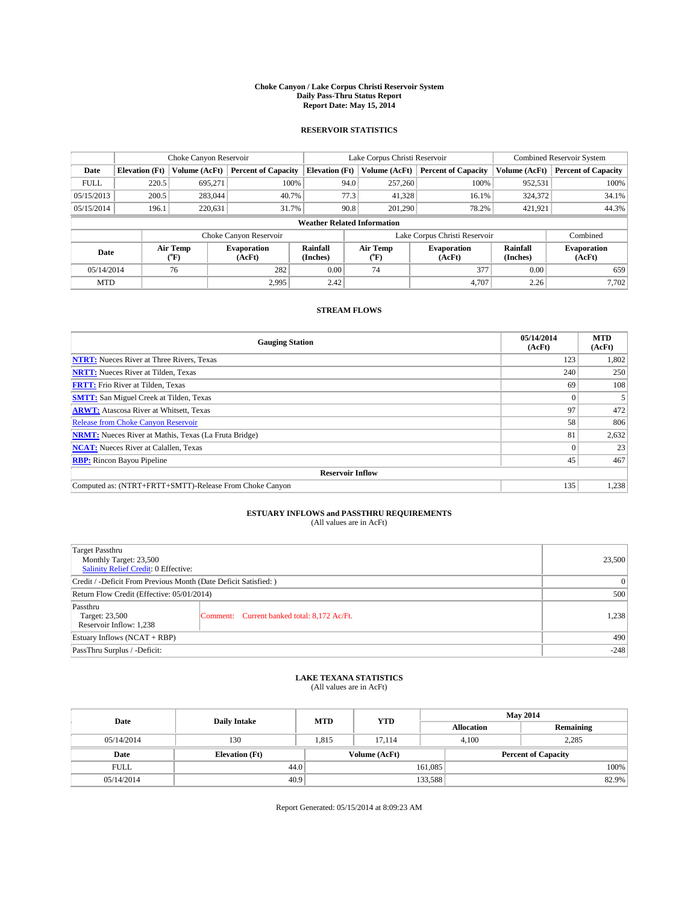#### **Choke Canyon / Lake Corpus Christi Reservoir System Daily Pass-Thru Status Report Report Date: May 15, 2014**

## **RESERVOIR STATISTICS**

|             |                       | Choke Canyon Reservoir |                              |                                    | Lake Corpus Christi Reservoir | <b>Combined Reservoir System</b> |                      |                              |
|-------------|-----------------------|------------------------|------------------------------|------------------------------------|-------------------------------|----------------------------------|----------------------|------------------------------|
| Date        | <b>Elevation</b> (Ft) | Volume (AcFt)          | <b>Percent of Capacity</b>   | <b>Elevation</b> (Ft)              | Volume (AcFt)                 | <b>Percent of Capacity</b>       | Volume (AcFt)        | <b>Percent of Capacity</b>   |
| <b>FULL</b> | 220.5                 | 695,271                | 100%                         | 94.0                               | 257,260                       | 100%                             | 952,531              | 100%                         |
| 05/15/2013  | 200.5                 | 283,044                | 40.7%                        | 77.3                               | 41,328                        | 16.1%                            | 324,372              | 34.1%                        |
| 05/15/2014  | 196.1                 | 220,631                | 31.7%                        | 90.8                               | 201.290                       | 78.2%                            | 421,921              | 44.3%                        |
|             |                       |                        |                              | <b>Weather Related Information</b> |                               |                                  |                      |                              |
|             |                       |                        | Choke Canyon Reservoir       |                                    | Lake Corpus Christi Reservoir |                                  | Combined             |                              |
| Date        |                       | Air Temp<br>(°F)       | <b>Evaporation</b><br>(AcFt) | Rainfall<br>(Inches)               | Air Temp<br>$\rm ^{o}F)$      | <b>Evaporation</b><br>(AcFt)     | Rainfall<br>(Inches) | <b>Evaporation</b><br>(AcFt) |
|             | 05/14/2014<br>76      |                        | 282                          | 0.00                               | 74                            | 377                              | 0.00                 | 659                          |
| <b>MTD</b>  |                       |                        | 2,995                        | 2.42                               |                               | 4.707                            | 2.26                 | 7.702                        |

# **STREAM FLOWS**

| <b>Gauging Station</b>                                       | 05/14/2014<br>(AcFt) | <b>MTD</b><br>(AcFt) |  |  |  |  |
|--------------------------------------------------------------|----------------------|----------------------|--|--|--|--|
| <b>NTRT:</b> Nueces River at Three Rivers, Texas             | 123                  | 1,802                |  |  |  |  |
| <b>NRTT:</b> Nueces River at Tilden, Texas                   | 240                  | 250                  |  |  |  |  |
| <b>FRTT:</b> Frio River at Tilden, Texas                     | 69                   | 108                  |  |  |  |  |
| <b>SMTT:</b> San Miguel Creek at Tilden, Texas               | $\Omega$             |                      |  |  |  |  |
| <b>ARWT:</b> Atascosa River at Whitsett, Texas               | 97                   | 472                  |  |  |  |  |
| <b>Release from Choke Canyon Reservoir</b>                   | 58                   | 806                  |  |  |  |  |
| <b>NRMT:</b> Nueces River at Mathis, Texas (La Fruta Bridge) | 81                   | 2,632                |  |  |  |  |
| <b>NCAT:</b> Nueces River at Calallen, Texas                 | $\Omega$             | 23                   |  |  |  |  |
| <b>RBP:</b> Rincon Bayou Pipeline                            | 45                   | 467                  |  |  |  |  |
| <b>Reservoir Inflow</b>                                      |                      |                      |  |  |  |  |
| Computed as: (NTRT+FRTT+SMTT)-Release From Choke Canyon      | 135                  | 1,238                |  |  |  |  |

# **ESTUARY INFLOWS and PASSTHRU REQUIREMENTS**<br>(All values are in AcFt)

| Target Passthru<br>Monthly Target: 23,500<br>Salinity Relief Credit: 0 Effective: |                                             | 23,500 |
|-----------------------------------------------------------------------------------|---------------------------------------------|--------|
| Credit / -Deficit From Previous Month (Date Deficit Satisfied: )                  | 0                                           |        |
| Return Flow Credit (Effective: 05/01/2014)                                        | 500                                         |        |
| Passthru<br>Target: 23,500<br>Reservoir Inflow: 1,238                             | Comment: Current banked total: 8,172 Ac/Ft. | 1,238  |
| Estuary Inflows (NCAT + RBP)                                                      | 490                                         |        |
| PassThru Surplus / -Deficit:                                                      | $-248$                                      |        |

### **LAKE TEXANA STATISTICS**

(All values are in AcFt)

| Date        | <b>Daily Intake</b>   | <b>MTD</b> | <b>YTD</b>    | <b>May 2014</b>   |                            |           |  |
|-------------|-----------------------|------------|---------------|-------------------|----------------------------|-----------|--|
|             |                       |            |               | <b>Allocation</b> |                            | Remaining |  |
| 05/14/2014  | 130                   | 1.815      | 17.114        |                   | 2,285<br>4.100             |           |  |
| Date        | <b>Elevation</b> (Ft) |            | Volume (AcFt) |                   | <b>Percent of Capacity</b> |           |  |
| <b>FULL</b> | 44.0                  |            |               | 161,085           |                            | 100%      |  |
| 05/14/2014  | 40.9                  |            |               | 133,588           |                            | 82.9%     |  |

Report Generated: 05/15/2014 at 8:09:23 AM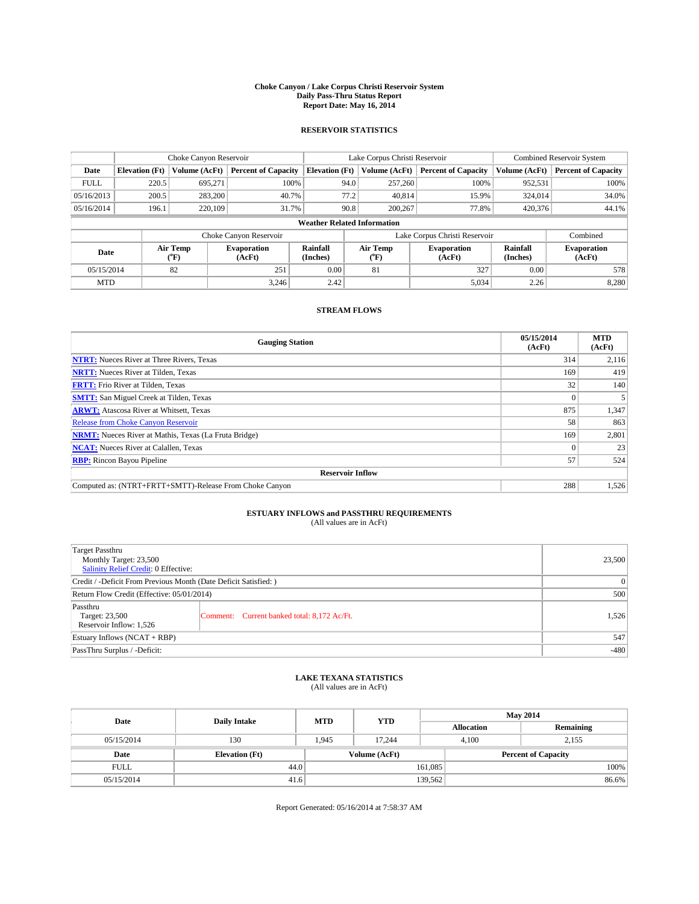#### **Choke Canyon / Lake Corpus Christi Reservoir System Daily Pass-Thru Status Report Report Date: May 16, 2014**

## **RESERVOIR STATISTICS**

|             |                       | Choke Canyon Reservoir             |                              |                                    | Lake Corpus Christi Reservoir | Combined Reservoir System    |                      |                              |
|-------------|-----------------------|------------------------------------|------------------------------|------------------------------------|-------------------------------|------------------------------|----------------------|------------------------------|
| Date        | <b>Elevation</b> (Ft) | Volume (AcFt)                      | <b>Percent of Capacity</b>   | <b>Elevation</b> (Ft)              | Volume (AcFt)                 | <b>Percent of Capacity</b>   | Volume (AcFt)        | <b>Percent of Capacity</b>   |
| <b>FULL</b> | 220.5                 | 695,271                            | 100%                         | 94.0                               | 257,260                       | 100%                         | 952,531              | 100%                         |
| 05/16/2013  | 200.5                 | 283,200                            | 40.7%                        | 77.2                               | 40.814                        | 15.9%                        | 324,014              | 34.0%                        |
| 05/16/2014  | 196.1                 | 220,109                            | 31.7%                        | 90.8                               | 200,267                       | 77.8%                        | 420,376              | 44.1%                        |
|             |                       |                                    |                              | <b>Weather Related Information</b> |                               |                              |                      |                              |
|             |                       |                                    | Choke Canyon Reservoir       |                                    | Lake Corpus Christi Reservoir |                              | Combined             |                              |
| Date        |                       | Air Temp<br>${}^{\prime\prime}$ F) | <b>Evaporation</b><br>(AcFt) | Rainfall<br>(Inches)               | Air Temp<br>("F)              | <b>Evaporation</b><br>(AcFt) | Rainfall<br>(Inches) | <b>Evaporation</b><br>(AcFt) |
| 05/15/2014  |                       | 82                                 | 251                          | 0.00                               | 81                            | 327                          | 0.00                 | 578                          |
| <b>MTD</b>  |                       |                                    | 3.246                        | 2.42                               |                               | 5,034                        | 2.26                 | 8,280                        |

# **STREAM FLOWS**

| <b>Gauging Station</b>                                       | 05/15/2014<br>(AcFt) | <b>MTD</b><br>(AcFt) |  |  |  |  |  |
|--------------------------------------------------------------|----------------------|----------------------|--|--|--|--|--|
| <b>NTRT:</b> Nueces River at Three Rivers, Texas             | 314                  | 2,116                |  |  |  |  |  |
| <b>NRTT:</b> Nueces River at Tilden, Texas                   | 169                  | 419                  |  |  |  |  |  |
| <b>FRTT:</b> Frio River at Tilden, Texas                     | 32                   | 140                  |  |  |  |  |  |
| <b>SMTT:</b> San Miguel Creek at Tilden, Texas               | $\Omega$             |                      |  |  |  |  |  |
| <b>ARWT:</b> Atascosa River at Whitsett, Texas               | 875                  | 1,347                |  |  |  |  |  |
| <b>Release from Choke Canyon Reservoir</b>                   | 58                   | 863                  |  |  |  |  |  |
| <b>NRMT:</b> Nueces River at Mathis, Texas (La Fruta Bridge) | 169                  | 2,801                |  |  |  |  |  |
| <b>NCAT:</b> Nueces River at Calallen, Texas                 | $\Omega$             | 23                   |  |  |  |  |  |
| <b>RBP:</b> Rincon Bayou Pipeline                            | 57                   | 524                  |  |  |  |  |  |
| <b>Reservoir Inflow</b>                                      |                      |                      |  |  |  |  |  |
| Computed as: (NTRT+FRTT+SMTT)-Release From Choke Canyon      | 288                  | 1,526                |  |  |  |  |  |

# **ESTUARY INFLOWS and PASSTHRU REQUIREMENTS**<br>(All values are in AcFt)

| <b>Target Passthru</b><br>Monthly Target: 23,500<br><b>Salinity Relief Credit: 0 Effective:</b> |                                             | 23,500 |  |  |
|-------------------------------------------------------------------------------------------------|---------------------------------------------|--------|--|--|
| Credit / -Deficit From Previous Month (Date Deficit Satisfied: )                                |                                             |        |  |  |
| Return Flow Credit (Effective: 05/01/2014)                                                      | 500                                         |        |  |  |
| Passthru<br>Target: 23,500<br>Reservoir Inflow: 1,526                                           | Comment: Current banked total: 8,172 Ac/Ft. | 1,526  |  |  |
| Estuary Inflows $(NCAT + RBP)$                                                                  | 547                                         |        |  |  |
| PassThru Surplus / -Deficit:                                                                    | $-480$                                      |        |  |  |

### **LAKE TEXANA STATISTICS**

(All values are in AcFt)

| Date        | <b>Daily Intake</b>   | <b>MTD</b> | <b>YTD</b>    | <b>May 2014</b>   |                            |           |  |
|-------------|-----------------------|------------|---------------|-------------------|----------------------------|-----------|--|
|             |                       |            |               | <b>Allocation</b> |                            | Remaining |  |
| 05/15/2014  | 130                   | 1.945      | 17.244        |                   | 4.100<br>2,155             |           |  |
| Date        | <b>Elevation</b> (Ft) |            | Volume (AcFt) |                   | <b>Percent of Capacity</b> |           |  |
| <b>FULL</b> | 44.0                  |            |               | 161,085           |                            | 100%      |  |
| 05/15/2014  | 41.6                  |            |               | 139,562           |                            | 86.6%     |  |

Report Generated: 05/16/2014 at 7:58:37 AM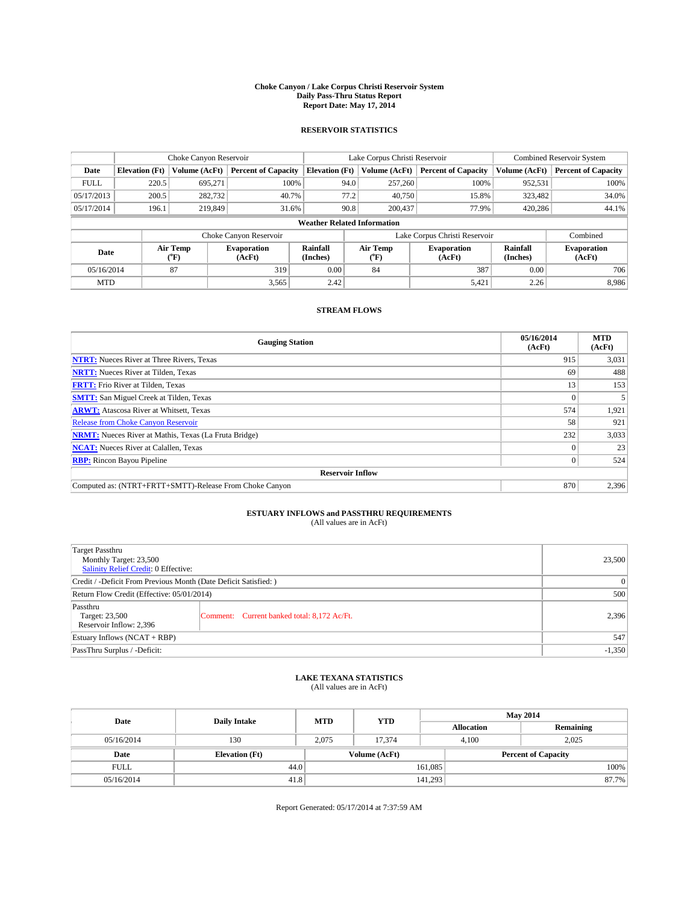#### **Choke Canyon / Lake Corpus Christi Reservoir System Daily Pass-Thru Status Report Report Date: May 17, 2014**

## **RESERVOIR STATISTICS**

|             | Choke Canyon Reservoir |                  |                              |                                    | Lake Corpus Christi Reservoir | Combined Reservoir System    |                      |                              |
|-------------|------------------------|------------------|------------------------------|------------------------------------|-------------------------------|------------------------------|----------------------|------------------------------|
| Date        | <b>Elevation</b> (Ft)  | Volume (AcFt)    | <b>Percent of Capacity</b>   | <b>Elevation</b> (Ft)              | Volume (AcFt)                 | <b>Percent of Capacity</b>   | Volume (AcFt)        | <b>Percent of Capacity</b>   |
| <b>FULL</b> | 220.5                  | 695,271          | 100%                         | 94.0                               | 257,260                       | 100%                         | 952,531              | 100%                         |
| 05/17/2013  | 200.5                  | 282,732          | 40.7%                        | 77.2                               | 40.750                        | 15.8%                        | 323,482              | 34.0%                        |
| 05/17/2014  | 196.1                  | 219,849          | 31.6%                        | 90.8                               | 200,437                       | 77.9%                        | 420,286              | 44.1%                        |
|             |                        |                  |                              | <b>Weather Related Information</b> |                               |                              |                      |                              |
|             |                        |                  | Choke Canyon Reservoir       |                                    | Lake Corpus Christi Reservoir |                              | Combined             |                              |
| Date        |                        | Air Temp<br>(°F) | <b>Evaporation</b><br>(AcFt) | Rainfall<br>(Inches)               | Air Temp<br>("F)              | <b>Evaporation</b><br>(AcFt) | Rainfall<br>(Inches) | <b>Evaporation</b><br>(AcFt) |
| 05/16/2014  |                        | 87               | 319                          | 0.00                               | 84                            | 387                          | 0.00                 | 706                          |
| <b>MTD</b>  |                        |                  | 3,565                        | 2.42                               |                               | 5,421                        | 2.26                 | 8.986                        |

## **STREAM FLOWS**

| <b>Gauging Station</b>                                       | 05/16/2014<br>(AcFt) | <b>MTD</b><br>(AcFt) |  |  |  |  |  |
|--------------------------------------------------------------|----------------------|----------------------|--|--|--|--|--|
| <b>NTRT:</b> Nueces River at Three Rivers, Texas             | 915                  | 3,031                |  |  |  |  |  |
| <b>NRTT:</b> Nueces River at Tilden, Texas                   | 69                   | 488                  |  |  |  |  |  |
| <b>FRTT:</b> Frio River at Tilden, Texas                     | 13                   | 153                  |  |  |  |  |  |
| <b>SMTT:</b> San Miguel Creek at Tilden, Texas               |                      |                      |  |  |  |  |  |
| <b>ARWT:</b> Atascosa River at Whitsett, Texas               | 574                  | 1,921                |  |  |  |  |  |
| <b>Release from Choke Canyon Reservoir</b>                   | 58                   | 921                  |  |  |  |  |  |
| <b>NRMT:</b> Nueces River at Mathis, Texas (La Fruta Bridge) | 232                  | 3,033                |  |  |  |  |  |
| <b>NCAT:</b> Nueces River at Calallen, Texas                 |                      | 23                   |  |  |  |  |  |
| <b>RBP:</b> Rincon Bayou Pipeline                            | $\Omega$             | 524                  |  |  |  |  |  |
| <b>Reservoir Inflow</b>                                      |                      |                      |  |  |  |  |  |
| Computed as: (NTRT+FRTT+SMTT)-Release From Choke Canyon      | 870                  | 2,396                |  |  |  |  |  |

# **ESTUARY INFLOWS and PASSTHRU REQUIREMENTS**<br>(All values are in AcFt)

| <b>Target Passthru</b><br>Monthly Target: 23,500<br>Salinity Relief Credit: 0 Effective: |                                             |       |  |  |
|------------------------------------------------------------------------------------------|---------------------------------------------|-------|--|--|
| Credit / -Deficit From Previous Month (Date Deficit Satisfied: )                         |                                             |       |  |  |
| Return Flow Credit (Effective: 05/01/2014)                                               |                                             |       |  |  |
| Passthru<br>Target: 23,500<br>Reservoir Inflow: 2,396                                    | Comment: Current banked total: 8,172 Ac/Ft. | 2,396 |  |  |
| Estuary Inflows $(NCAT + RBP)$                                                           |                                             |       |  |  |
| PassThru Surplus / -Deficit:                                                             |                                             |       |  |  |

## **LAKE TEXANA STATISTICS**

(All values are in AcFt)

| Date        | <b>Daily Intake</b>   | <b>MTD</b> | <b>YTD</b>    | <b>May 2014</b>   |                            |           |  |
|-------------|-----------------------|------------|---------------|-------------------|----------------------------|-----------|--|
|             |                       |            |               | <b>Allocation</b> |                            | Remaining |  |
| 05/16/2014  | 130                   | 2.075      | 17.374        | 4.100             |                            | 2,025     |  |
| Date        | <b>Elevation</b> (Ft) |            | Volume (AcFt) |                   | <b>Percent of Capacity</b> |           |  |
| <b>FULL</b> | 44.0                  |            |               | 161,085           |                            | 100%      |  |
| 05/16/2014  | 41.8                  |            |               | 141,293           |                            | 87.7%     |  |

Report Generated: 05/17/2014 at 7:37:59 AM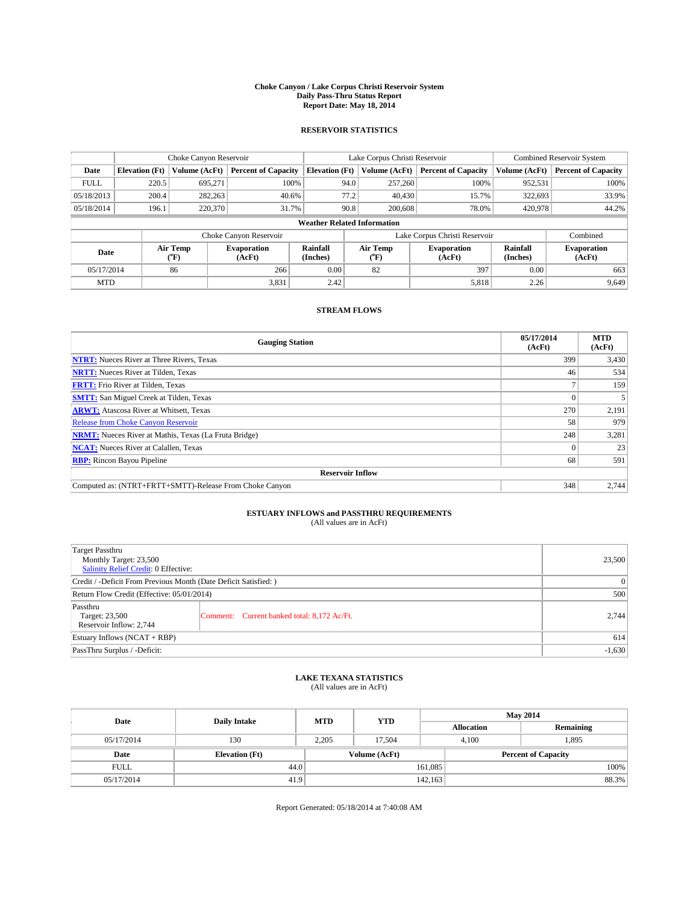#### **Choke Canyon / Lake Corpus Christi Reservoir System Daily Pass-Thru Status Report Report Date: May 18, 2014**

## **RESERVOIR STATISTICS**

|             | Choke Canyon Reservoir |                  |                              |                                    | Lake Corpus Christi Reservoir |                          |                              |                      | <b>Combined Reservoir System</b> |  |  |
|-------------|------------------------|------------------|------------------------------|------------------------------------|-------------------------------|--------------------------|------------------------------|----------------------|----------------------------------|--|--|
| Date        | <b>Elevation</b> (Ft)  | Volume (AcFt)    | <b>Percent of Capacity</b>   | <b>Elevation</b> (Ft)              |                               | Volume (AcFt)            | <b>Percent of Capacity</b>   | Volume (AcFt)        | <b>Percent of Capacity</b>       |  |  |
| <b>FULL</b> | 220.5                  | 695,271          | 100%                         |                                    | 94.0                          | 257,260                  | 100%                         | 952,531              | 100%                             |  |  |
| 05/18/2013  | 200.4                  | 282,263          | 40.6%                        |                                    | 77.2                          | 40,430                   | 15.7%                        | 322,693              | 33.9%                            |  |  |
| 05/18/2014  | 196.1                  | 220,370          | 31.7%                        |                                    | 90.8                          | 200,608                  | 78.0%                        | 420,978              | 44.2%                            |  |  |
|             |                        |                  |                              | <b>Weather Related Information</b> |                               |                          |                              |                      |                                  |  |  |
|             |                        |                  | Choke Canyon Reservoir       |                                    | Lake Corpus Christi Reservoir |                          |                              |                      | Combined                         |  |  |
| Date        |                        | Air Temp<br>(°F) | <b>Evaporation</b><br>(AcFt) | Rainfall<br>(Inches)               |                               | Air Temp<br>$\rm ^{o}F)$ | <b>Evaporation</b><br>(AcFt) | Rainfall<br>(Inches) | <b>Evaporation</b><br>(AcFt)     |  |  |
| 05/17/2014  |                        | 86               | 266                          | 0.00                               |                               | 82                       | 397                          | 0.00                 | 663                              |  |  |
| <b>MTD</b>  |                        |                  | 3,831                        | 2.42                               |                               |                          | 5,818                        | 2.26                 | 9,649                            |  |  |

# **STREAM FLOWS**

| <b>Gauging Station</b>                                       | 05/17/2014<br>(AcFt) | <b>MTD</b><br>(AcFt) |  |  |  |  |  |
|--------------------------------------------------------------|----------------------|----------------------|--|--|--|--|--|
| <b>NTRT:</b> Nueces River at Three Rivers, Texas             | 399                  | 3,430                |  |  |  |  |  |
| <b>NRTT:</b> Nueces River at Tilden, Texas                   | 46                   | 534                  |  |  |  |  |  |
| <b>FRTT:</b> Frio River at Tilden, Texas                     |                      | 159                  |  |  |  |  |  |
| <b>SMTT:</b> San Miguel Creek at Tilden, Texas               | $\theta$             |                      |  |  |  |  |  |
| <b>ARWT:</b> Atascosa River at Whitsett, Texas               | 270                  | 2,191                |  |  |  |  |  |
| Release from Choke Canyon Reservoir                          | 58                   | 979                  |  |  |  |  |  |
| <b>NRMT:</b> Nueces River at Mathis, Texas (La Fruta Bridge) | 248                  | 3,281                |  |  |  |  |  |
| <b>NCAT:</b> Nueces River at Calallen, Texas                 | $\Omega$             | 23                   |  |  |  |  |  |
| <b>RBP:</b> Rincon Bayou Pipeline                            | 68                   | 591                  |  |  |  |  |  |
| <b>Reservoir Inflow</b>                                      |                      |                      |  |  |  |  |  |
| Computed as: (NTRT+FRTT+SMTT)-Release From Choke Canyon      | 348                  | 2,744                |  |  |  |  |  |

# **ESTUARY INFLOWS and PASSTHRU REQUIREMENTS**<br>(All values are in AcFt)

| Target Passthru<br>Monthly Target: 23,500<br>Salinity Relief Credit: 0 Effective: |                                             | 23,500 |  |  |
|-----------------------------------------------------------------------------------|---------------------------------------------|--------|--|--|
| Credit / -Deficit From Previous Month (Date Deficit Satisfied: )                  |                                             |        |  |  |
| Return Flow Credit (Effective: 05/01/2014)                                        | 500                                         |        |  |  |
| Passthru<br>Target: 23,500<br>Reservoir Inflow: 2,744                             | Comment: Current banked total: 8,172 Ac/Ft. | 2.744  |  |  |
| Estuary Inflows (NCAT + RBP)                                                      | 614                                         |        |  |  |
| PassThru Surplus / -Deficit:                                                      | $-1,630$                                    |        |  |  |

### **LAKE TEXANA STATISTICS**

(All values are in AcFt)

| Date        | <b>Daily Intake</b>   | <b>MTD</b> | <b>YTD</b>    | <b>May 2014</b>   |                            |           |       |
|-------------|-----------------------|------------|---------------|-------------------|----------------------------|-----------|-------|
|             |                       |            |               | <b>Allocation</b> |                            | Remaining |       |
| 05/17/2014  | 130                   | 2.205      | 17.504        |                   | 4.100<br>1,895             |           |       |
| Date        | <b>Elevation</b> (Ft) |            | Volume (AcFt) |                   | <b>Percent of Capacity</b> |           |       |
| <b>FULL</b> | 44.0                  |            |               | 161,085           |                            |           | 100%  |
| 05/17/2014  | 41.9                  |            |               | 142,163           |                            |           | 88.3% |

Report Generated: 05/18/2014 at 7:40:08 AM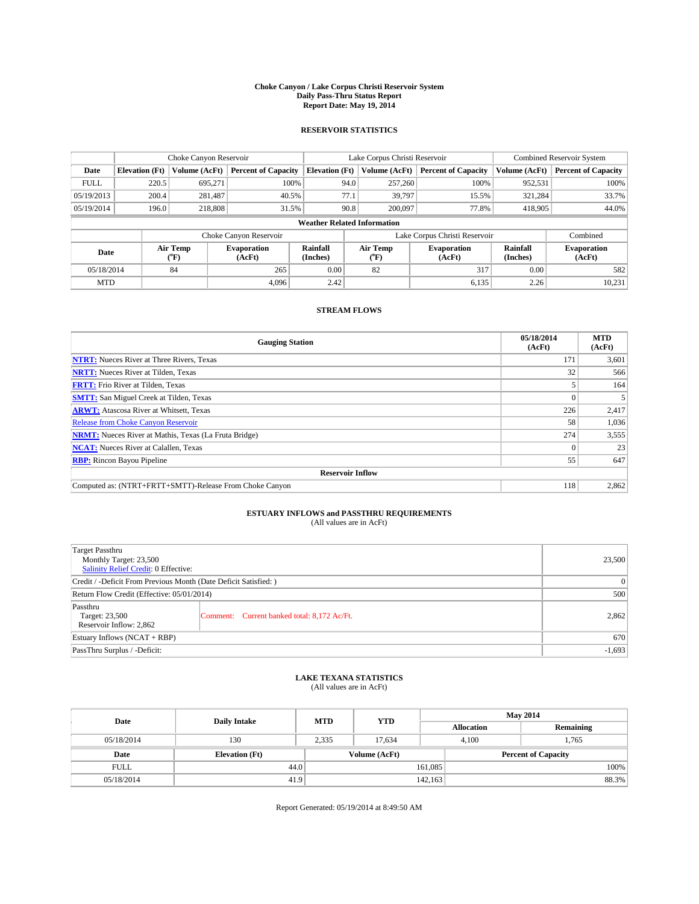#### **Choke Canyon / Lake Corpus Christi Reservoir System Daily Pass-Thru Status Report Report Date: May 19, 2014**

## **RESERVOIR STATISTICS**

|             | Choke Canyon Reservoir |                  | Lake Corpus Christi Reservoir |                                    |                               |                          | <b>Combined Reservoir System</b> |                      |                              |
|-------------|------------------------|------------------|-------------------------------|------------------------------------|-------------------------------|--------------------------|----------------------------------|----------------------|------------------------------|
| Date        | <b>Elevation</b> (Ft)  | Volume (AcFt)    | <b>Percent of Capacity</b>    | <b>Elevation</b> (Ft)              |                               | Volume (AcFt)            | <b>Percent of Capacity</b>       | Volume (AcFt)        | <b>Percent of Capacity</b>   |
| <b>FULL</b> | 220.5                  | 695,271          | 100%                          |                                    | 94.0                          | 257,260                  | 100%                             | 952,531              | 100%                         |
| 05/19/2013  | 200.4                  | 281,487          | 40.5%                         |                                    | 77.1                          | 39,797                   | 15.5%                            | 321,284              | 33.7%                        |
| 05/19/2014  | 196.0                  | 218,808          | 31.5%                         |                                    | 90.8                          | 200,097                  | 77.8%                            | 418,905              | 44.0%                        |
|             |                        |                  |                               | <b>Weather Related Information</b> |                               |                          |                                  |                      |                              |
|             |                        |                  | Choke Canyon Reservoir        |                                    | Lake Corpus Christi Reservoir |                          |                                  |                      | Combined                     |
| Date        |                        | Air Temp<br>(°F) | <b>Evaporation</b><br>(AcFt)  | Rainfall<br>(Inches)               |                               | Air Temp<br>$\rm ^{o}F)$ | <b>Evaporation</b><br>(AcFt)     | Rainfall<br>(Inches) | <b>Evaporation</b><br>(AcFt) |
|             | 05/18/2014<br>84       |                  | 265                           | 0.00                               |                               | 82                       | 317                              | 0.00                 | 582                          |
| <b>MTD</b>  |                        |                  | 4.096                         | 2.42                               |                               |                          | 6,135                            | 2.26                 | 10,231                       |

# **STREAM FLOWS**

| <b>Gauging Station</b>                                       | 05/18/2014<br>(AcFt) | <b>MTD</b><br>(AcFt) |  |  |  |  |
|--------------------------------------------------------------|----------------------|----------------------|--|--|--|--|
| <b>NTRT:</b> Nueces River at Three Rivers, Texas             | 171                  | 3,601                |  |  |  |  |
| <b>NRTT:</b> Nueces River at Tilden, Texas                   | 32                   | 566                  |  |  |  |  |
| <b>FRTT:</b> Frio River at Tilden, Texas                     |                      | 164                  |  |  |  |  |
| <b>SMTT:</b> San Miguel Creek at Tilden, Texas               | $\theta$             |                      |  |  |  |  |
| <b>ARWT:</b> Atascosa River at Whitsett, Texas               | 226                  | 2,417                |  |  |  |  |
| Release from Choke Canyon Reservoir                          | 58                   | 1,036                |  |  |  |  |
| <b>NRMT:</b> Nueces River at Mathis, Texas (La Fruta Bridge) | 274                  | 3,555                |  |  |  |  |
| <b>NCAT:</b> Nueces River at Calallen, Texas                 | $\Omega$             | 23                   |  |  |  |  |
| <b>RBP:</b> Rincon Bayou Pipeline                            | 55                   | 647                  |  |  |  |  |
| <b>Reservoir Inflow</b>                                      |                      |                      |  |  |  |  |
| Computed as: (NTRT+FRTT+SMTT)-Release From Choke Canyon      | 118                  | 2,862                |  |  |  |  |

# **ESTUARY INFLOWS and PASSTHRU REQUIREMENTS**<br>(All values are in AcFt)

| <b>Target Passthru</b><br>Monthly Target: 23,500<br>Salinity Relief Credit: 0 Effective: | 23,500                                      |       |
|------------------------------------------------------------------------------------------|---------------------------------------------|-------|
| Credit / -Deficit From Previous Month (Date Deficit Satisfied: )                         | $\theta$                                    |       |
| Return Flow Credit (Effective: 05/01/2014)                                               | 500                                         |       |
| Passthru<br>Target: 23,500<br>Reservoir Inflow: 2,862                                    | Comment: Current banked total: 8,172 Ac/Ft. | 2,862 |
| Estuary Inflows $(NCAT + RBP)$                                                           | 670                                         |       |
| PassThru Surplus / -Deficit:                                                             | $-1,693$                                    |       |

### **LAKE TEXANA STATISTICS**

(All values are in AcFt)

| Date        | <b>Daily Intake</b>   | <b>MTD</b> | <b>YTD</b>    | <b>May 2014</b>   |                            |           |  |
|-------------|-----------------------|------------|---------------|-------------------|----------------------------|-----------|--|
|             |                       |            |               | <b>Allocation</b> |                            | Remaining |  |
| 05/18/2014  | 130                   | 2,335      | 17.634        |                   | 1,765<br>4.100             |           |  |
| Date        | <b>Elevation</b> (Ft) |            | Volume (AcFt) |                   | <b>Percent of Capacity</b> |           |  |
| <b>FULL</b> | 44.0                  |            |               | 161,085           |                            | 100%      |  |
| 05/18/2014  | 41.9                  |            |               | 142, 163          |                            | 88.3%     |  |

Report Generated: 05/19/2014 at 8:49:50 AM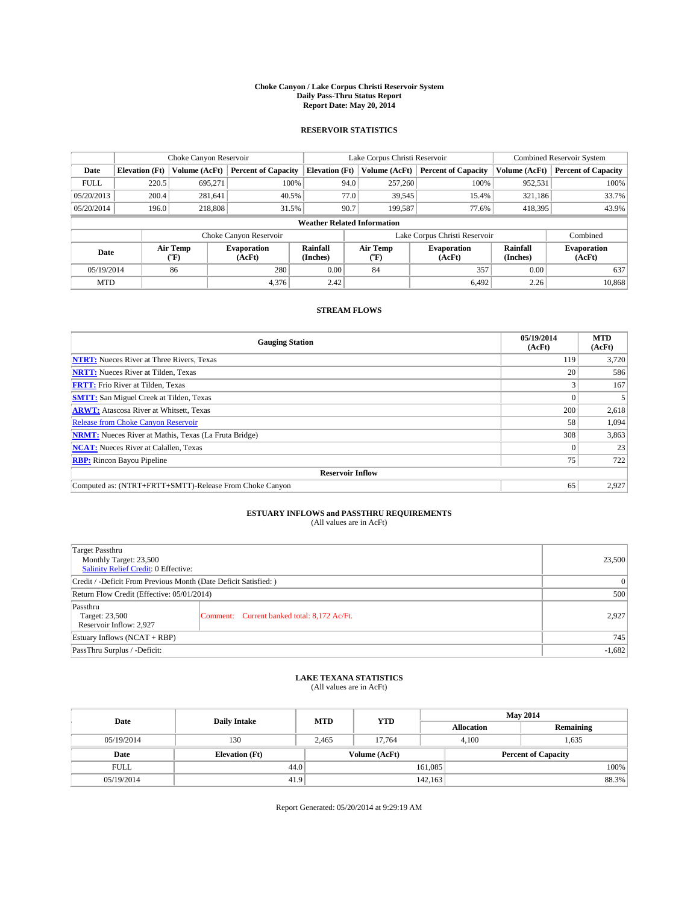#### **Choke Canyon / Lake Corpus Christi Reservoir System Daily Pass-Thru Status Report Report Date: May 20, 2014**

## **RESERVOIR STATISTICS**

|             |                       | Choke Canyon Reservoir                           |                            |                                    | Lake Corpus Christi Reservoir | Combined Reservoir System     |                      |                              |
|-------------|-----------------------|--------------------------------------------------|----------------------------|------------------------------------|-------------------------------|-------------------------------|----------------------|------------------------------|
| Date        | <b>Elevation</b> (Ft) | Volume (AcFt)                                    | <b>Percent of Capacity</b> | <b>Elevation</b> (Ft)              | Volume (AcFt)                 | <b>Percent of Capacity</b>    | Volume (AcFt)        | <b>Percent of Capacity</b>   |
| <b>FULL</b> | 220.5                 | 695,271                                          | 100%                       | 94.0                               | 257,260                       | 100%                          | 952,531              | 100%                         |
| 05/20/2013  | 200.4                 | 281,641                                          | 40.5%                      | 77.0                               | 39,545                        | 15.4%                         | 321,186              | 33.7%                        |
| 05/20/2014  | 196.0                 | 218,808                                          | 31.5%                      | 90.7                               | 199.587                       | 77.6%                         | 418,395              | 43.9%                        |
|             |                       |                                                  |                            | <b>Weather Related Information</b> |                               |                               |                      |                              |
|             |                       |                                                  | Choke Canyon Reservoir     |                                    |                               | Lake Corpus Christi Reservoir |                      | Combined                     |
| Date        |                       | Air Temp<br><b>Evaporation</b><br>(AcFt)<br>(°F) |                            | Rainfall<br>(Inches)               | Air Temp<br>$\rm ^{o}F)$      | <b>Evaporation</b><br>(AcFt)  | Rainfall<br>(Inches) | <b>Evaporation</b><br>(AcFt) |
|             | 86<br>05/19/2014      |                                                  | 280                        | 0.00                               | 84                            | 357                           | 0.00                 | 637                          |
| <b>MTD</b>  |                       |                                                  | 4,376                      | 2.42                               |                               | 6,492                         | 2.26                 | 10,868                       |

# **STREAM FLOWS**

| <b>Gauging Station</b>                                       | 05/19/2014<br>(AcFt) | <b>MTD</b><br>(AcFt) |  |  |  |  |
|--------------------------------------------------------------|----------------------|----------------------|--|--|--|--|
| <b>NTRT:</b> Nueces River at Three Rivers, Texas             | 119                  | 3,720                |  |  |  |  |
| <b>NRTT:</b> Nueces River at Tilden, Texas                   | 20                   | 586                  |  |  |  |  |
| <b>FRTT:</b> Frio River at Tilden, Texas                     |                      | 167                  |  |  |  |  |
| <b>SMTT:</b> San Miguel Creek at Tilden, Texas               | $\Omega$             |                      |  |  |  |  |
| <b>ARWT:</b> Atascosa River at Whitsett, Texas               | 200                  | 2,618                |  |  |  |  |
| <b>Release from Choke Canyon Reservoir</b>                   | 58                   | 1,094                |  |  |  |  |
| <b>NRMT:</b> Nueces River at Mathis, Texas (La Fruta Bridge) | 308                  | 3,863                |  |  |  |  |
| <b>NCAT:</b> Nueces River at Calallen, Texas                 | $\Omega$             | 23                   |  |  |  |  |
| <b>RBP:</b> Rincon Bayou Pipeline                            | 75                   | 722                  |  |  |  |  |
| <b>Reservoir Inflow</b>                                      |                      |                      |  |  |  |  |
| Computed as: (NTRT+FRTT+SMTT)-Release From Choke Canyon      | 65                   | 2,927                |  |  |  |  |

# **ESTUARY INFLOWS and PASSTHRU REQUIREMENTS**<br>(All values are in AcFt)

| <b>Target Passthru</b><br>Monthly Target: 23,500<br>Salinity Relief Credit: 0 Effective: | 23,500                                      |       |
|------------------------------------------------------------------------------------------|---------------------------------------------|-------|
| Credit / -Deficit From Previous Month (Date Deficit Satisfied: )                         | $\theta$                                    |       |
| Return Flow Credit (Effective: 05/01/2014)                                               | 500                                         |       |
| Passthru<br>Target: 23,500<br>Reservoir Inflow: 2,927                                    | Comment: Current banked total: 8,172 Ac/Ft. | 2.927 |
| Estuary Inflows $(NCAT + RBP)$                                                           | 745                                         |       |
| PassThru Surplus / -Deficit:                                                             | $-1,682$                                    |       |

### **LAKE TEXANA STATISTICS**

(All values are in AcFt)

| Date        | <b>Daily Intake</b>   | <b>MTD</b> | <b>YTD</b>    | <b>May 2014</b>   |                            |  |  |
|-------------|-----------------------|------------|---------------|-------------------|----------------------------|--|--|
|             |                       |            |               | <b>Allocation</b> | Remaining                  |  |  |
| 05/19/2014  | 130                   | 2.465      | 17.764        | 4.100             | 1,635                      |  |  |
| Date        | <b>Elevation (Ft)</b> |            | Volume (AcFt) |                   | <b>Percent of Capacity</b> |  |  |
| <b>FULL</b> | 44.0                  |            |               | 161,085           | 100%                       |  |  |
| 05/19/2014  | 41.9                  |            |               | 142, 163          | 88.3%                      |  |  |

Report Generated: 05/20/2014 at 9:29:19 AM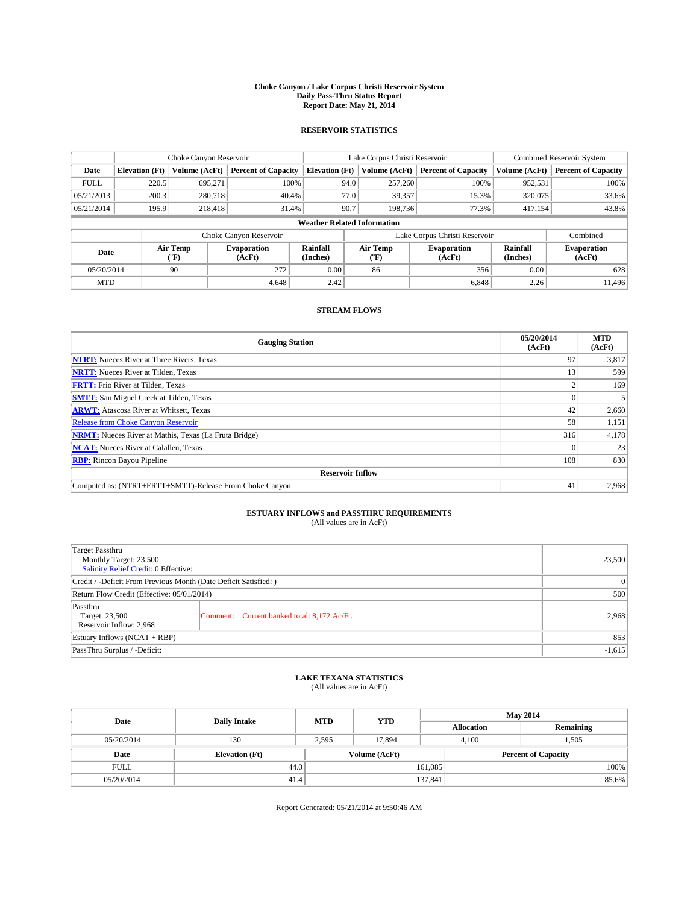#### **Choke Canyon / Lake Corpus Christi Reservoir System Daily Pass-Thru Status Report Report Date: May 21, 2014**

## **RESERVOIR STATISTICS**

|                                                                                  |                       | Choke Canyon Reservoir |                              |                                    | Lake Corpus Christi Reservoir | Combined Reservoir System     |               |                            |
|----------------------------------------------------------------------------------|-----------------------|------------------------|------------------------------|------------------------------------|-------------------------------|-------------------------------|---------------|----------------------------|
| Date                                                                             | <b>Elevation</b> (Ft) | Volume (AcFt)          | <b>Percent of Capacity</b>   | <b>Elevation</b> (Ft)              | Volume (AcFt)                 | <b>Percent of Capacity</b>    | Volume (AcFt) | <b>Percent of Capacity</b> |
| <b>FULL</b>                                                                      | 220.5                 | 695,271                | 100%                         | 94.0                               | 257,260                       | 100%                          | 952,531       | 100%                       |
| 05/21/2013                                                                       | 200.3                 | 280,718                | 40.4%                        | 77.0                               | 39,357                        | 15.3%                         | 320,075       | 33.6%                      |
| 05/21/2014                                                                       | 195.9                 | 218,418                | 31.4%                        | 90.7                               | 198,736                       | 77.3%                         | 417,154       | 43.8%                      |
|                                                                                  |                       |                        |                              | <b>Weather Related Information</b> |                               |                               |               |                            |
|                                                                                  |                       |                        | Choke Canyon Reservoir       |                                    |                               | Lake Corpus Christi Reservoir |               | Combined                   |
| Air Temp<br>Rainfall<br><b>Evaporation</b><br>Date<br>(Inches)<br>(AcFt)<br>(°F) |                       | Air Temp<br>("F)       | <b>Evaporation</b><br>(AcFt) | <b>Rainfall</b><br>(Inches)        | <b>Evaporation</b><br>(AcFt)  |                               |               |                            |
| 05/20/2014                                                                       |                       | 90                     | 272                          | 0.00                               | 86                            | 356                           | 0.00          | 628                        |
| <b>MTD</b>                                                                       |                       |                        | 4.648                        | 2.42                               |                               | 6,848                         | 2.26          | 11.496                     |

# **STREAM FLOWS**

| <b>Gauging Station</b>                                       | 05/20/2014<br>(AcFt) | <b>MTD</b><br>(AcFt) |  |  |  |  |
|--------------------------------------------------------------|----------------------|----------------------|--|--|--|--|
| <b>NTRT:</b> Nueces River at Three Rivers, Texas             | 97                   | 3,817                |  |  |  |  |
| <b>NRTT:</b> Nueces River at Tilden, Texas                   | 13                   | 599                  |  |  |  |  |
| <b>FRTT:</b> Frio River at Tilden, Texas                     |                      | 169                  |  |  |  |  |
| <b>SMTT:</b> San Miguel Creek at Tilden, Texas               | $\Omega$             |                      |  |  |  |  |
| <b>ARWT:</b> Atascosa River at Whitsett, Texas               | 42                   | 2,660                |  |  |  |  |
| <b>Release from Choke Canyon Reservoir</b>                   | 58                   | 1,151                |  |  |  |  |
| <b>NRMT:</b> Nueces River at Mathis, Texas (La Fruta Bridge) | 316                  | 4,178                |  |  |  |  |
| <b>NCAT:</b> Nueces River at Calallen, Texas                 | $\theta$             | 23                   |  |  |  |  |
| <b>RBP:</b> Rincon Bayou Pipeline                            | 108                  | 830                  |  |  |  |  |
| <b>Reservoir Inflow</b>                                      |                      |                      |  |  |  |  |
| Computed as: (NTRT+FRTT+SMTT)-Release From Choke Canyon      | 41                   | 2,968                |  |  |  |  |

# **ESTUARY INFLOWS and PASSTHRU REQUIREMENTS**<br>(All values are in AcFt)

| <b>Target Passthru</b><br>Monthly Target: 23,500<br><b>Salinity Relief Credit: 0 Effective:</b> |                                             | 23,500 |
|-------------------------------------------------------------------------------------------------|---------------------------------------------|--------|
| Credit / -Deficit From Previous Month (Date Deficit Satisfied: )                                | $\Omega$                                    |        |
| Return Flow Credit (Effective: 05/01/2014)                                                      | 500                                         |        |
| Passthru<br>Target: 23,500<br>Reservoir Inflow: 2,968                                           | Comment: Current banked total: 8,172 Ac/Ft. | 2,968  |
| Estuary Inflows $(NCAT + RBP)$                                                                  | 853                                         |        |
| PassThru Surplus / -Deficit:                                                                    | $-1,615$                                    |        |

### **LAKE TEXANA STATISTICS**

(All values are in AcFt)

| Date        | <b>Daily Intake</b>   | <b>MTD</b> | <b>YTD</b>    | <b>May 2014</b>   |                            |           |  |
|-------------|-----------------------|------------|---------------|-------------------|----------------------------|-----------|--|
|             |                       |            |               | <b>Allocation</b> |                            | Remaining |  |
| 05/20/2014  | 130                   | 2.595      | 17.894        |                   | 4.100<br>1,505             |           |  |
| Date        | <b>Elevation (Ft)</b> |            | Volume (AcFt) |                   | <b>Percent of Capacity</b> |           |  |
| <b>FULL</b> | 44.0                  |            |               | 161,085           |                            | 100%      |  |
| 05/20/2014  | 41.4                  |            |               | 137,841           |                            | 85.6%     |  |

Report Generated: 05/21/2014 at 9:50:46 AM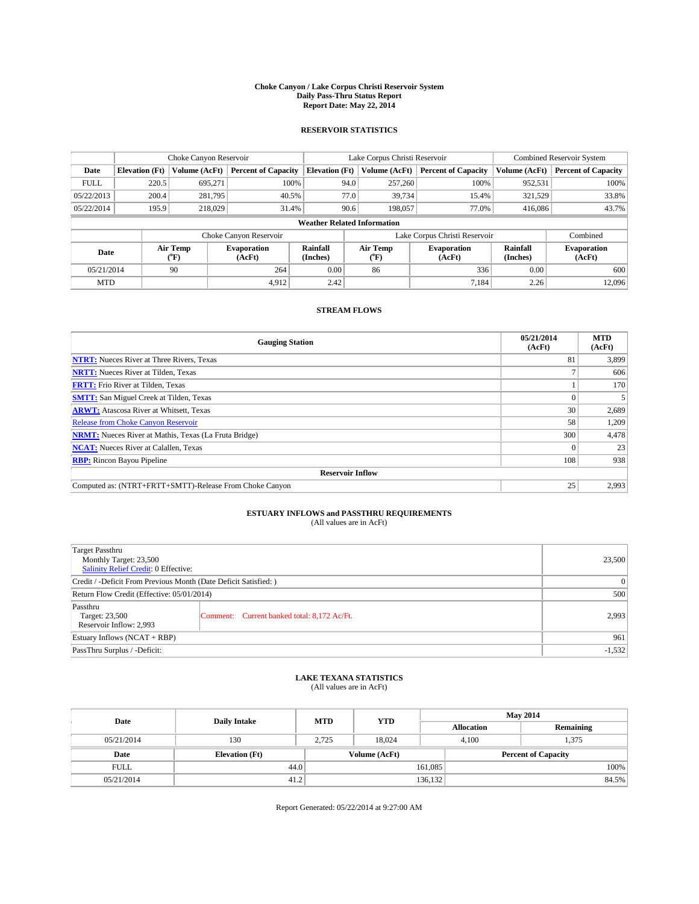#### **Choke Canyon / Lake Corpus Christi Reservoir System Daily Pass-Thru Status Report Report Date: May 22, 2014**

## **RESERVOIR STATISTICS**

|             | Choke Canyon Reservoir             |                  |                              |                       | Lake Corpus Christi Reservoir | Combined Reservoir System     |                             |                              |  |
|-------------|------------------------------------|------------------|------------------------------|-----------------------|-------------------------------|-------------------------------|-----------------------------|------------------------------|--|
| Date        | <b>Elevation</b> (Ft)              | Volume (AcFt)    | <b>Percent of Capacity</b>   | <b>Elevation</b> (Ft) | Volume (AcFt)                 | <b>Percent of Capacity</b>    | Volume (AcFt)               | <b>Percent of Capacity</b>   |  |
| <b>FULL</b> | 220.5                              | 695,271          | 100%                         |                       | 257,260<br>94.0               | 100%                          | 952,531                     | 100%                         |  |
| 05/22/2013  | 200.4                              | 281,795          | 40.5%                        |                       | 77.0<br>39,734                | 15.4%                         | 321,529                     | 33.8%                        |  |
| 05/22/2014  | 195.9                              | 218,029          | 31.4%                        |                       | 90.6<br>198,057               | 77.0%                         | 416,086                     | 43.7%                        |  |
|             | <b>Weather Related Information</b> |                  |                              |                       |                               |                               |                             |                              |  |
|             |                                    |                  | Choke Canyon Reservoir       |                       |                               | Lake Corpus Christi Reservoir |                             | Combined                     |  |
| Date        |                                    | Air Temp<br>(°F) | <b>Evaporation</b><br>(AcFt) | Rainfall<br>(Inches)  | Air Temp<br>$\rm ^{(o}F)$     | <b>Evaporation</b><br>(AcFt)  | <b>Rainfall</b><br>(Inches) | <b>Evaporation</b><br>(AcFt) |  |
| 05/21/2014  | 90                                 |                  | 264                          | 0.00                  | 86                            | 336                           | 0.00                        | 600                          |  |
| <b>MTD</b>  |                                    |                  | 4.912                        | 2.42                  |                               | 7.184                         | 2.26                        | 12.096                       |  |

# **STREAM FLOWS**

| <b>Gauging Station</b>                                       | 05/21/2014<br>(AcFt) | <b>MTD</b><br>(AcFt) |  |  |  |  |
|--------------------------------------------------------------|----------------------|----------------------|--|--|--|--|
| <b>NTRT:</b> Nueces River at Three Rivers, Texas             | 81                   | 3,899                |  |  |  |  |
| <b>NRTT:</b> Nueces River at Tilden, Texas                   |                      | 606                  |  |  |  |  |
| <b>FRTT:</b> Frio River at Tilden, Texas                     |                      | 170                  |  |  |  |  |
| <b>SMTT:</b> San Miguel Creek at Tilden, Texas               | $\theta$             |                      |  |  |  |  |
| <b>ARWT:</b> Atascosa River at Whitsett, Texas               | 30                   | 2,689                |  |  |  |  |
| <b>Release from Choke Canyon Reservoir</b>                   | 58                   | 1,209                |  |  |  |  |
| <b>NRMT:</b> Nueces River at Mathis, Texas (La Fruta Bridge) | 300                  | 4,478                |  |  |  |  |
| <b>NCAT:</b> Nueces River at Calallen, Texas                 | $\theta$             | 23                   |  |  |  |  |
| <b>RBP:</b> Rincon Bayou Pipeline                            | 108                  | 938                  |  |  |  |  |
| <b>Reservoir Inflow</b>                                      |                      |                      |  |  |  |  |
| Computed as: (NTRT+FRTT+SMTT)-Release From Choke Canyon      | 25                   | 2,993                |  |  |  |  |

# **ESTUARY INFLOWS and PASSTHRU REQUIREMENTS**<br>(All values are in AcFt)

| <b>Target Passthru</b><br>Monthly Target: 23,500<br>Salinity Relief Credit: 0 Effective: | 23,500                                      |       |
|------------------------------------------------------------------------------------------|---------------------------------------------|-------|
| Credit / -Deficit From Previous Month (Date Deficit Satisfied: )                         | $\theta$                                    |       |
| Return Flow Credit (Effective: 05/01/2014)                                               | 500                                         |       |
| Passthru<br>Target: 23,500<br>Reservoir Inflow: 2,993                                    | Comment: Current banked total: 8,172 Ac/Ft. | 2.993 |
| Estuary Inflows $(NCAT + RBP)$                                                           | 961                                         |       |
| PassThru Surplus / -Deficit:                                                             | $-1,532$                                    |       |

### **LAKE TEXANA STATISTICS**

(All values are in AcFt)

| Date        | <b>Daily Intake</b>   | <b>MTD</b>    | <b>YTD</b> | <b>May 2014</b>            |  |           |
|-------------|-----------------------|---------------|------------|----------------------------|--|-----------|
|             |                       |               |            | <b>Allocation</b>          |  | Remaining |
| 05/21/2014  | 130                   | 2.725         | 18.024     | 4.100                      |  | 1,375     |
| Date        | <b>Elevation (Ft)</b> | Volume (AcFt) |            | <b>Percent of Capacity</b> |  |           |
| <b>FULL</b> | 44.0                  |               |            | 161,085                    |  | 100%      |
| 05/21/2014  | 41.2                  |               |            | 136,132                    |  | 84.5%     |

Report Generated: 05/22/2014 at 9:27:00 AM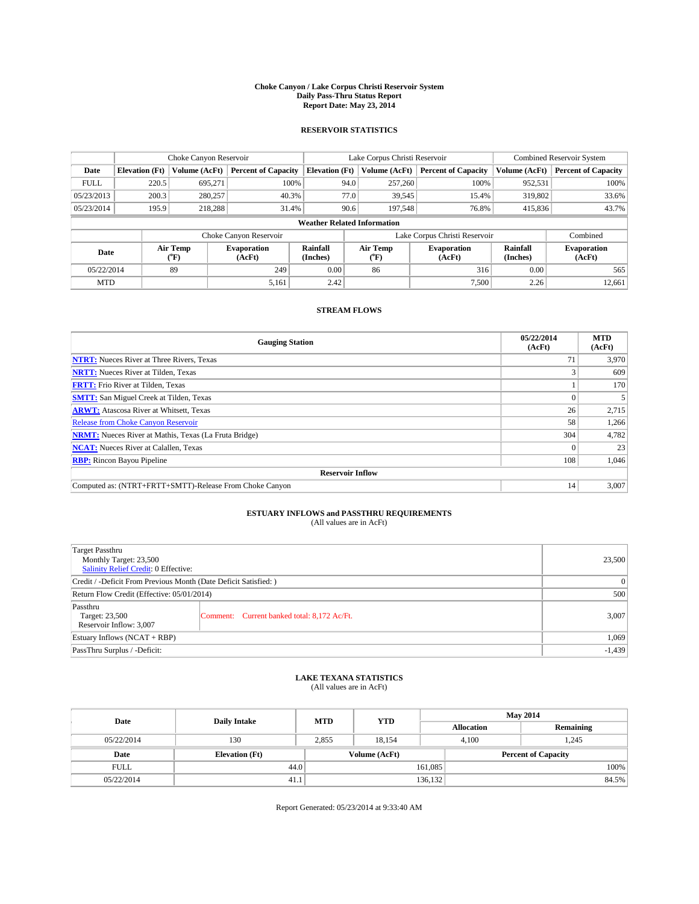#### **Choke Canyon / Lake Corpus Christi Reservoir System Daily Pass-Thru Status Report Report Date: May 23, 2014**

## **RESERVOIR STATISTICS**

|             | Choke Canyon Reservoir             |                  |                              |                       | Lake Corpus Christi Reservoir | Combined Reservoir System     |                             |                              |  |
|-------------|------------------------------------|------------------|------------------------------|-----------------------|-------------------------------|-------------------------------|-----------------------------|------------------------------|--|
| Date        | <b>Elevation</b> (Ft)              | Volume (AcFt)    | <b>Percent of Capacity</b>   | <b>Elevation</b> (Ft) | Volume (AcFt)                 | <b>Percent of Capacity</b>    | Volume (AcFt)               | <b>Percent of Capacity</b>   |  |
| <b>FULL</b> | 220.5                              | 695,271          | 100%                         | 94.0                  | 257,260                       | 100%                          | 952,531                     | 100%                         |  |
| 05/23/2013  | 200.3                              | 280,257          | 40.3%                        | 77.0                  | 39,545                        | 15.4%                         | 319,802                     | 33.6%                        |  |
| 05/23/2014  | 195.9                              | 218.288          | 31.4%                        | 90.6                  | 197.548                       | 76.8%                         | 415,836                     | 43.7%                        |  |
|             | <b>Weather Related Information</b> |                  |                              |                       |                               |                               |                             |                              |  |
|             |                                    |                  | Choke Canyon Reservoir       |                       |                               | Lake Corpus Christi Reservoir |                             | Combined                     |  |
| Date        |                                    | Air Temp<br>(°F) | <b>Evaporation</b><br>(AcFt) | Rainfall<br>(Inches)  | Air Temp<br>("F)              | <b>Evaporation</b><br>(AcFt)  | <b>Rainfall</b><br>(Inches) | <b>Evaporation</b><br>(AcFt) |  |
|             | 89<br>05/22/2014                   |                  | 249                          | 0.00                  | 86                            | 316                           | 0.00                        | 565                          |  |
| <b>MTD</b>  |                                    |                  | 5,161                        | 2.42                  |                               | 7,500                         | 2.26                        | 12,661                       |  |

## **STREAM FLOWS**

| <b>Gauging Station</b>                                       | 05/22/2014<br>(AcFt) | <b>MTD</b><br>(AcFt) |  |  |  |  |
|--------------------------------------------------------------|----------------------|----------------------|--|--|--|--|
| <b>NTRT:</b> Nueces River at Three Rivers, Texas             | 71                   | 3,970                |  |  |  |  |
| <b>NRTT:</b> Nueces River at Tilden, Texas                   |                      | 609                  |  |  |  |  |
| <b>FRTT:</b> Frio River at Tilden, Texas                     |                      | 170                  |  |  |  |  |
| <b>SMTT:</b> San Miguel Creek at Tilden, Texas               |                      |                      |  |  |  |  |
| <b>ARWT:</b> Atascosa River at Whitsett, Texas               | 26                   | 2,715                |  |  |  |  |
| <b>Release from Choke Canyon Reservoir</b>                   | 58                   | 1,266                |  |  |  |  |
| <b>NRMT:</b> Nueces River at Mathis, Texas (La Fruta Bridge) | 304                  | 4,782                |  |  |  |  |
| <b>NCAT:</b> Nueces River at Calallen, Texas                 |                      | 23                   |  |  |  |  |
| <b>RBP:</b> Rincon Bayou Pipeline                            | 108                  | 1,046                |  |  |  |  |
| <b>Reservoir Inflow</b>                                      |                      |                      |  |  |  |  |
| Computed as: (NTRT+FRTT+SMTT)-Release From Choke Canyon      | 14                   | 3,007                |  |  |  |  |

# **ESTUARY INFLOWS and PASSTHRU REQUIREMENTS**<br>(All values are in AcFt)

| Target Passthru                                                  | 23,500                                      |       |  |  |  |
|------------------------------------------------------------------|---------------------------------------------|-------|--|--|--|
|                                                                  | Monthly Target: 23,500                      |       |  |  |  |
| <b>Salinity Relief Credit: 0 Effective:</b>                      |                                             |       |  |  |  |
| Credit / -Deficit From Previous Month (Date Deficit Satisfied: ) | $\Omega$                                    |       |  |  |  |
| Return Flow Credit (Effective: 05/01/2014)                       | 500                                         |       |  |  |  |
| Passthru                                                         |                                             |       |  |  |  |
| Target: 23,500                                                   | Comment: Current banked total: 8,172 Ac/Ft. | 3,007 |  |  |  |
| Reservoir Inflow: 3,007                                          |                                             |       |  |  |  |
| Estuary Inflows $(NCAT + RBP)$                                   | 1,069                                       |       |  |  |  |
| PassThru Surplus / -Deficit:                                     | $-1,439$                                    |       |  |  |  |

## **LAKE TEXANA STATISTICS**

(All values are in AcFt)

| Date        | <b>Daily Intake</b>   | <b>MTD</b> | <b>YTD</b>    | <b>May 2014</b> |                            |           |       |
|-------------|-----------------------|------------|---------------|-----------------|----------------------------|-----------|-------|
|             |                       |            |               |                 | <b>Allocation</b>          | Remaining |       |
| 05/22/2014  | 130                   | 2.855      | 18.154        |                 | 4.100<br>1.245             |           |       |
| Date        | <b>Elevation (Ft)</b> |            | Volume (AcFt) |                 | <b>Percent of Capacity</b> |           |       |
| <b>FULL</b> | 44.0                  |            |               | 161,085         |                            |           | 100%  |
| 05/22/2014  | 41.1                  |            |               | 136,132         |                            |           | 84.5% |

Report Generated: 05/23/2014 at 9:33:40 AM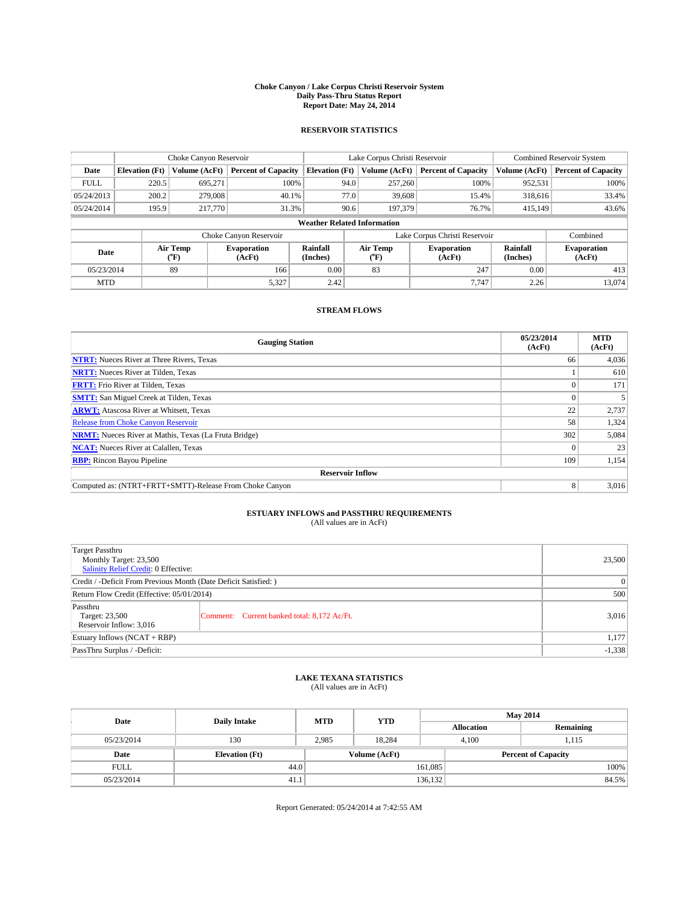#### **Choke Canyon / Lake Corpus Christi Reservoir System Daily Pass-Thru Status Report Report Date: May 24, 2014**

## **RESERVOIR STATISTICS**

|             | Choke Canyon Reservoir             |                  |                              |                             | Lake Corpus Christi Reservoir | Combined Reservoir System     |                             |                              |  |
|-------------|------------------------------------|------------------|------------------------------|-----------------------------|-------------------------------|-------------------------------|-----------------------------|------------------------------|--|
| Date        | <b>Elevation</b> (Ft)              | Volume (AcFt)    | <b>Percent of Capacity</b>   | <b>Elevation</b> (Ft)       | Volume (AcFt)                 | <b>Percent of Capacity</b>    | Volume (AcFt)               | <b>Percent of Capacity</b>   |  |
| <b>FULL</b> | 220.5                              | 695,271          | 100%                         | 94.0                        | 257,260                       | 100%                          | 952,531                     | 100%                         |  |
| 05/24/2013  | 200.2                              | 279,008          | 40.1%                        | 77.0                        | 39,608                        | 15.4%                         | 318,616                     | 33.4%                        |  |
| 05/24/2014  | 195.9                              | 217,770          | 31.3%                        | 90.6                        | 197,379                       | 76.7%                         | 415,149                     | 43.6%                        |  |
|             | <b>Weather Related Information</b> |                  |                              |                             |                               |                               |                             |                              |  |
|             |                                    |                  | Choke Canyon Reservoir       |                             |                               | Lake Corpus Christi Reservoir |                             | Combined                     |  |
| Date        |                                    | Air Temp<br>(°F) | <b>Evaporation</b><br>(AcFt) | <b>Rainfall</b><br>(Inches) | Air Temp<br>("F)              | <b>Evaporation</b><br>(AcFt)  | <b>Rainfall</b><br>(Inches) | <b>Evaporation</b><br>(AcFt) |  |
|             | 05/23/2014<br>89                   |                  | 166                          | 0.00                        | 83                            | 247                           | 0.00                        | 413                          |  |
| <b>MTD</b>  |                                    |                  | 5,327                        | 2.42                        |                               | 7.747                         | 2.26                        | 13.074                       |  |

# **STREAM FLOWS**

| <b>Gauging Station</b>                                       | 05/23/2014<br>(AcFt) | <b>MTD</b><br>(AcFt) |  |  |  |  |
|--------------------------------------------------------------|----------------------|----------------------|--|--|--|--|
| <b>NTRT:</b> Nueces River at Three Rivers, Texas             | 66                   | 4,036                |  |  |  |  |
| <b>NRTT:</b> Nueces River at Tilden, Texas                   |                      | 610                  |  |  |  |  |
| <b>FRTT:</b> Frio River at Tilden, Texas                     |                      | 171                  |  |  |  |  |
| <b>SMTT:</b> San Miguel Creek at Tilden, Texas               |                      |                      |  |  |  |  |
| <b>ARWT:</b> Atascosa River at Whitsett, Texas               | 22                   | 2,737                |  |  |  |  |
| <b>Release from Choke Canyon Reservoir</b>                   | 58                   | 1,324                |  |  |  |  |
| <b>NRMT:</b> Nueces River at Mathis, Texas (La Fruta Bridge) | 302                  | 5,084                |  |  |  |  |
| <b>NCAT:</b> Nueces River at Calallen, Texas                 | $\Omega$             | 23                   |  |  |  |  |
| <b>RBP:</b> Rincon Bayou Pipeline                            | 109                  | 1,154                |  |  |  |  |
| <b>Reservoir Inflow</b>                                      |                      |                      |  |  |  |  |
| Computed as: (NTRT+FRTT+SMTT)-Release From Choke Canyon      | 8                    | 3,016                |  |  |  |  |

# **ESTUARY INFLOWS and PASSTHRU REQUIREMENTS**<br>(All values are in AcFt)

| <b>Target Passthru</b><br>Monthly Target: 23,500<br>Salinity Relief Credit: 0 Effective: |                                             |       |  |  |
|------------------------------------------------------------------------------------------|---------------------------------------------|-------|--|--|
| Credit / -Deficit From Previous Month (Date Deficit Satisfied: )                         | $\theta$                                    |       |  |  |
| Return Flow Credit (Effective: 05/01/2014)                                               | 500                                         |       |  |  |
| Passthru<br>Target: 23,500<br>Reservoir Inflow: 3,016                                    | Comment: Current banked total: 8,172 Ac/Ft. | 3,016 |  |  |
| Estuary Inflows $(NCAT + RBP)$                                                           | 1,177                                       |       |  |  |
| PassThru Surplus / -Deficit:                                                             | $-1,338$                                    |       |  |  |

### **LAKE TEXANA STATISTICS**

(All values are in AcFt)

| Date        | <b>Daily Intake</b>   | <b>MTD</b> | <b>YTD</b>    | <b>May 2014</b>   |                            |  |
|-------------|-----------------------|------------|---------------|-------------------|----------------------------|--|
|             |                       |            |               | <b>Allocation</b> | Remaining                  |  |
| 05/23/2014  | 130                   | 2.985      | 18.284        | 4.100             | 1.115                      |  |
| Date        | <b>Elevation (Ft)</b> |            | Volume (AcFt) |                   | <b>Percent of Capacity</b> |  |
| <b>FULL</b> | 44.0                  |            |               | 161,085           | 100%                       |  |
| 05/23/2014  | 41.1                  |            |               | 136,132           | 84.5%                      |  |

Report Generated: 05/24/2014 at 7:42:55 AM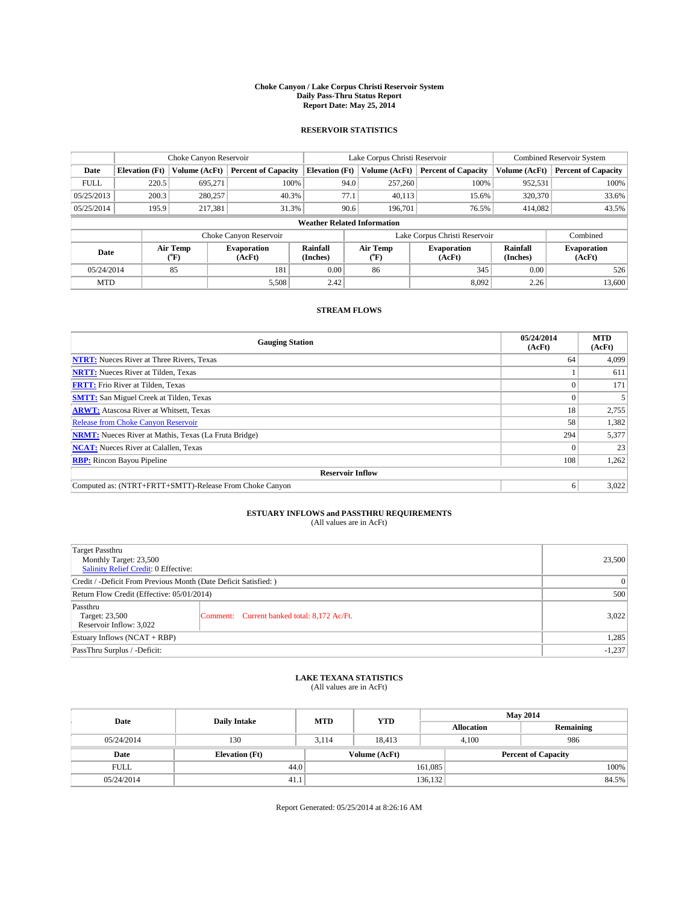#### **Choke Canyon / Lake Corpus Christi Reservoir System Daily Pass-Thru Status Report Report Date: May 25, 2014**

## **RESERVOIR STATISTICS**

|             | Choke Canyon Reservoir |                  |                              |                                    | Lake Corpus Christi Reservoir |                          |                               |                      | <b>Combined Reservoir System</b> |  |
|-------------|------------------------|------------------|------------------------------|------------------------------------|-------------------------------|--------------------------|-------------------------------|----------------------|----------------------------------|--|
| Date        | <b>Elevation</b> (Ft)  | Volume (AcFt)    | <b>Percent of Capacity</b>   | <b>Elevation</b> (Ft)              |                               | Volume (AcFt)            | <b>Percent of Capacity</b>    | Volume (AcFt)        | <b>Percent of Capacity</b>       |  |
| <b>FULL</b> | 220.5                  | 695,271          | 100%                         |                                    | 94.0                          | 257,260                  | 100%                          | 952,531              | 100%                             |  |
| 05/25/2013  | 200.3                  | 280,257          | 40.3%                        |                                    | 77.1                          | 40,113                   | 15.6%                         | 320,370              | 33.6%                            |  |
| 05/25/2014  | 195.9                  | 217.381          | 31.3%                        |                                    | 90.6                          | 196.701                  | 76.5%                         | 414.082              | 43.5%                            |  |
|             |                        |                  |                              | <b>Weather Related Information</b> |                               |                          |                               |                      |                                  |  |
|             |                        |                  | Choke Canyon Reservoir       |                                    |                               |                          | Lake Corpus Christi Reservoir |                      | Combined                         |  |
| Date        |                        | Air Temp<br>(°F) | <b>Evaporation</b><br>(AcFt) | Rainfall<br>(Inches)               |                               | Air Temp<br>$\rm ^{o}F)$ | <b>Evaporation</b><br>(AcFt)  | Rainfall<br>(Inches) | <b>Evaporation</b><br>(AcFt)     |  |
|             | 85<br>05/24/2014       |                  | 181                          | 0.00                               |                               | 86                       | 345                           | 0.00                 | 526                              |  |
| <b>MTD</b>  |                        |                  | 5,508                        | 2.42                               |                               |                          | 8,092                         | 2.26                 | 13,600                           |  |

# **STREAM FLOWS**

| <b>Gauging Station</b>                                       | 05/24/2014<br>(AcFt) | <b>MTD</b><br>(AcFt) |  |  |  |  |
|--------------------------------------------------------------|----------------------|----------------------|--|--|--|--|
| <b>NTRT:</b> Nueces River at Three Rivers, Texas             | 64                   | 4,099                |  |  |  |  |
| <b>NRTT:</b> Nueces River at Tilden, Texas                   |                      | 611                  |  |  |  |  |
| <b>FRTT:</b> Frio River at Tilden, Texas                     | $\theta$             | 171                  |  |  |  |  |
| <b>SMTT:</b> San Miguel Creek at Tilden, Texas               | $\theta$             |                      |  |  |  |  |
| <b>ARWT:</b> Atascosa River at Whitsett, Texas               | 18                   | 2,755                |  |  |  |  |
| <b>Release from Choke Canyon Reservoir</b>                   | 58                   | 1,382                |  |  |  |  |
| <b>NRMT:</b> Nueces River at Mathis, Texas (La Fruta Bridge) | 294                  | 5,377                |  |  |  |  |
| <b>NCAT:</b> Nueces River at Calallen, Texas                 | $\theta$             | 23                   |  |  |  |  |
| <b>RBP:</b> Rincon Bayou Pipeline                            | 108                  | 1,262                |  |  |  |  |
| <b>Reservoir Inflow</b>                                      |                      |                      |  |  |  |  |
| Computed as: (NTRT+FRTT+SMTT)-Release From Choke Canyon      | 6                    | 3,022                |  |  |  |  |

# **ESTUARY INFLOWS and PASSTHRU REQUIREMENTS**<br>(All values are in AcFt)

| <b>Target Passthru</b><br>Monthly Target: 23,500<br><b>Salinity Relief Credit: 0 Effective:</b> |                                             | 23,500 |
|-------------------------------------------------------------------------------------------------|---------------------------------------------|--------|
| Credit / -Deficit From Previous Month (Date Deficit Satisfied: )                                | 0                                           |        |
| Return Flow Credit (Effective: 05/01/2014)                                                      | 500                                         |        |
| Passthru<br>Target: 23,500<br>Reservoir Inflow: 3,022                                           | Comment: Current banked total: 8,172 Ac/Ft. | 3,022  |
| Estuary Inflows $(NCAT + RBP)$                                                                  | 1,285                                       |        |
| PassThru Surplus / -Deficit:                                                                    | $-1,237$                                    |        |

### **LAKE TEXANA STATISTICS**

(All values are in AcFt)

| Date        | <b>Daily Intake</b>   | <b>MTD</b> | <b>YTD</b>    | <b>May 2014</b>   |                            |  |  |
|-------------|-----------------------|------------|---------------|-------------------|----------------------------|--|--|
|             |                       |            |               | <b>Allocation</b> | Remaining                  |  |  |
| 05/24/2014  | 130                   | 3.114      | 18.413        | 4.100             | 986                        |  |  |
| Date        | <b>Elevation (Ft)</b> |            | Volume (AcFt) |                   | <b>Percent of Capacity</b> |  |  |
| <b>FULL</b> | 44.0                  |            |               | 161,085           | 100%                       |  |  |
| 05/24/2014  | 41.1                  |            |               | 136,132           | 84.5%                      |  |  |

Report Generated: 05/25/2014 at 8:26:16 AM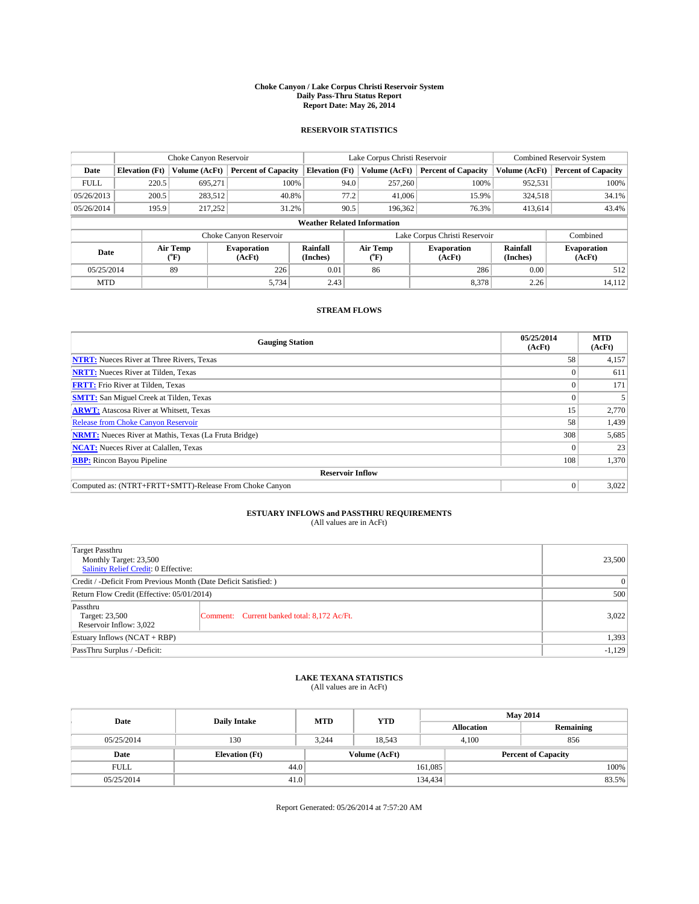#### **Choke Canyon / Lake Corpus Christi Reservoir System Daily Pass-Thru Status Report Report Date: May 26, 2014**

## **RESERVOIR STATISTICS**

|             | Choke Canyon Reservoir             |                  |                              |                       | Lake Corpus Christi Reservoir | Combined Reservoir System     |                             |                              |  |
|-------------|------------------------------------|------------------|------------------------------|-----------------------|-------------------------------|-------------------------------|-----------------------------|------------------------------|--|
| Date        | <b>Elevation</b> (Ft)              | Volume (AcFt)    | <b>Percent of Capacity</b>   | <b>Elevation</b> (Ft) | Volume (AcFt)                 | <b>Percent of Capacity</b>    | Volume (AcFt)               | <b>Percent of Capacity</b>   |  |
| <b>FULL</b> | 220.5                              | 695,271          | 100%                         | 94.0                  | 257,260                       | 100%                          | 952,531                     | 100%                         |  |
| 05/26/2013  | 200.5                              | 283,512          | 40.8%                        | 77.2                  | 41,006                        | 15.9%                         | 324,518                     | 34.1%                        |  |
| 05/26/2014  | 195.9                              | 217.252          | 31.2%                        | 90.5                  | 196,362                       | 76.3%                         | 413,614                     | 43.4%                        |  |
|             | <b>Weather Related Information</b> |                  |                              |                       |                               |                               |                             |                              |  |
|             |                                    |                  | Choke Canyon Reservoir       |                       |                               | Lake Corpus Christi Reservoir |                             | Combined                     |  |
| Date        |                                    | Air Temp<br>(°F) | <b>Evaporation</b><br>(AcFt) | Rainfall<br>(Inches)  | Air Temp<br>$\rm ^{(o}F)$     | <b>Evaporation</b><br>(AcFt)  | <b>Rainfall</b><br>(Inches) | <b>Evaporation</b><br>(AcFt) |  |
|             | 05/25/2014<br>89                   |                  | 226                          | 0.01                  | 86                            | 286                           | 0.00                        | 512                          |  |
| <b>MTD</b>  |                                    |                  | 5,734                        | 2.43                  |                               | 8,378                         | 2.26                        | 14,112                       |  |

# **STREAM FLOWS**

| <b>Gauging Station</b>                                       | 05/25/2014<br>(AcFt) | <b>MTD</b><br>(AcFt) |  |  |  |  |
|--------------------------------------------------------------|----------------------|----------------------|--|--|--|--|
| <b>NTRT:</b> Nueces River at Three Rivers, Texas             | 58                   | 4,157                |  |  |  |  |
| <b>NRTT:</b> Nueces River at Tilden, Texas                   |                      | 611                  |  |  |  |  |
| <b>FRTT:</b> Frio River at Tilden, Texas                     | $\theta$             | 171                  |  |  |  |  |
| <b>SMTT:</b> San Miguel Creek at Tilden, Texas               | $\Omega$             |                      |  |  |  |  |
| <b>ARWT:</b> Atascosa River at Whitsett, Texas               | 15                   | 2,770                |  |  |  |  |
| <b>Release from Choke Canyon Reservoir</b>                   | 58                   | 1,439                |  |  |  |  |
| <b>NRMT:</b> Nueces River at Mathis, Texas (La Fruta Bridge) | 308                  | 5,685                |  |  |  |  |
| <b>NCAT:</b> Nueces River at Calallen, Texas                 | $\theta$             | 23                   |  |  |  |  |
| <b>RBP:</b> Rincon Bayou Pipeline                            | 108                  | 1,370                |  |  |  |  |
| <b>Reservoir Inflow</b>                                      |                      |                      |  |  |  |  |
| Computed as: (NTRT+FRTT+SMTT)-Release From Choke Canyon      | $\Omega$             | 3,022                |  |  |  |  |

# **ESTUARY INFLOWS and PASSTHRU REQUIREMENTS**<br>(All values are in AcFt)

| <b>Target Passthru</b><br>Monthly Target: 23,500<br>Salinity Relief Credit: 0 Effective: | 23,500                                      |       |
|------------------------------------------------------------------------------------------|---------------------------------------------|-------|
| Credit / -Deficit From Previous Month (Date Deficit Satisfied: )                         | $\overline{0}$                              |       |
| Return Flow Credit (Effective: 05/01/2014)                                               | 500                                         |       |
| Passthru<br>Target: 23,500<br>Reservoir Inflow: 3,022                                    | Comment: Current banked total: 8,172 Ac/Ft. | 3,022 |
| Estuary Inflows $(NCAT + RBP)$                                                           | 1,393                                       |       |
| PassThru Surplus / -Deficit:                                                             | $-1,129$                                    |       |

### **LAKE TEXANA STATISTICS**

(All values are in AcFt)

| Date        | <b>Daily Intake</b>   | <b>MTD</b> | <b>YTD</b>    | <b>May 2014</b>   |                            |  |
|-------------|-----------------------|------------|---------------|-------------------|----------------------------|--|
|             |                       |            |               | <b>Allocation</b> | Remaining                  |  |
| 05/25/2014  | 130                   | 3.244      | 18.543        | 4.100             | 856                        |  |
| Date        | <b>Elevation (Ft)</b> |            | Volume (AcFt) |                   | <b>Percent of Capacity</b> |  |
| <b>FULL</b> | 44.0                  |            |               | 161,085           | 100%                       |  |
| 05/25/2014  | 41.0                  |            |               | 134,434           | 83.5%                      |  |

Report Generated: 05/26/2014 at 7:57:20 AM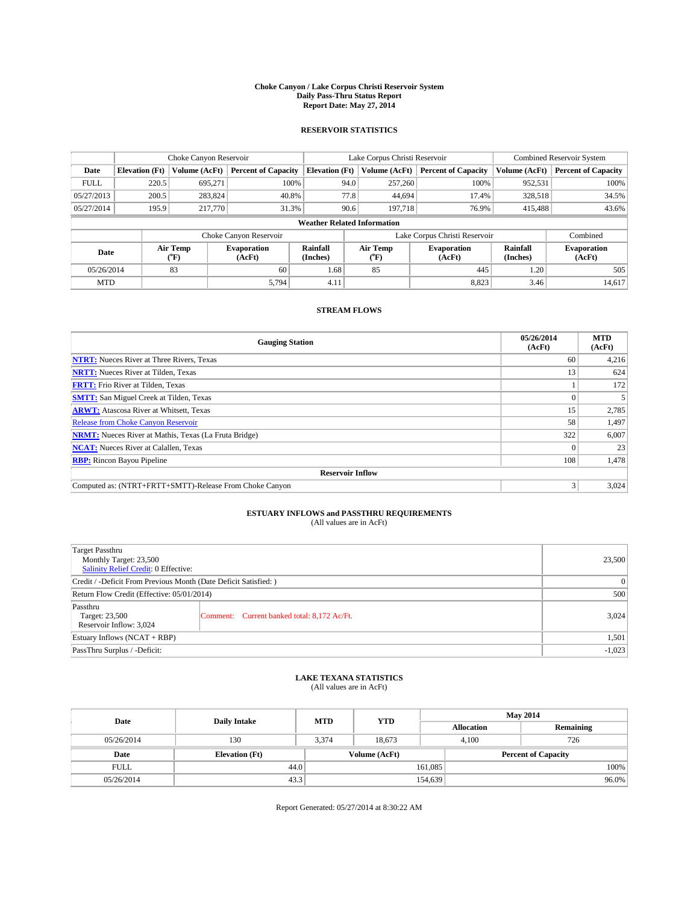#### **Choke Canyon / Lake Corpus Christi Reservoir System Daily Pass-Thru Status Report Report Date: May 27, 2014**

## **RESERVOIR STATISTICS**

|             | Choke Canyon Reservoir |                  |                              |                                    | Lake Corpus Christi Reservoir | Combined Reservoir System     |                             |                              |
|-------------|------------------------|------------------|------------------------------|------------------------------------|-------------------------------|-------------------------------|-----------------------------|------------------------------|
| Date        | <b>Elevation</b> (Ft)  | Volume (AcFt)    | <b>Percent of Capacity</b>   | <b>Elevation</b> (Ft)              | Volume (AcFt)                 | <b>Percent of Capacity</b>    | Volume (AcFt)               | <b>Percent of Capacity</b>   |
| <b>FULL</b> | 220.5                  | 695,271          | 100%                         | 94.0                               | 257,260                       | 100%                          | 952,531                     | 100%                         |
| 05/27/2013  | 200.5                  | 283,824          | 40.8%                        |                                    | 77.8<br>44.694                | 17.4%                         | 328,518                     | 34.5%                        |
| 05/27/2014  | 195.9                  | 217,770          | 31.3%                        | 90.6                               | 197.718                       | 76.9%                         | 415,488                     | 43.6%                        |
|             |                        |                  |                              | <b>Weather Related Information</b> |                               |                               |                             |                              |
|             |                        |                  | Choke Canyon Reservoir       |                                    |                               | Lake Corpus Christi Reservoir |                             | Combined                     |
| Date        |                        | Air Temp<br>(°F) | <b>Evaporation</b><br>(AcFt) | Rainfall<br>(Inches)               | Air Temp<br>("F)              | <b>Evaporation</b><br>(AcFt)  | <b>Rainfall</b><br>(Inches) | <b>Evaporation</b><br>(AcFt) |
|             | 83<br>05/26/2014       |                  | 60                           | 1.68                               | 85                            | 445                           | 1.20                        | 505                          |
| <b>MTD</b>  |                        |                  | 5,794                        | 4.11                               |                               | 8,823                         | 3.46                        | 14,617                       |

# **STREAM FLOWS**

| <b>Gauging Station</b>                                       | 05/26/2014<br>(AcFt) | <b>MTD</b><br>(AcFt) |  |  |  |  |
|--------------------------------------------------------------|----------------------|----------------------|--|--|--|--|
| <b>NTRT:</b> Nueces River at Three Rivers, Texas             | 60                   | 4,216                |  |  |  |  |
| <b>NRTT:</b> Nueces River at Tilden, Texas                   | 13                   | 624                  |  |  |  |  |
| <b>FRTT:</b> Frio River at Tilden, Texas                     |                      | 172                  |  |  |  |  |
| <b>SMTT:</b> San Miguel Creek at Tilden, Texas               | $\Omega$             |                      |  |  |  |  |
| <b>ARWT:</b> Atascosa River at Whitsett, Texas               | 15                   | 2,785                |  |  |  |  |
| Release from Choke Canyon Reservoir                          | 58                   | 1,497                |  |  |  |  |
| <b>NRMT:</b> Nueces River at Mathis, Texas (La Fruta Bridge) | 322                  | 6,007                |  |  |  |  |
| <b>NCAT:</b> Nueces River at Calallen, Texas                 | $\Omega$             | 23                   |  |  |  |  |
| <b>RBP:</b> Rincon Bayou Pipeline                            | 108                  | 1,478                |  |  |  |  |
| <b>Reservoir Inflow</b>                                      |                      |                      |  |  |  |  |
| Computed as: (NTRT+FRTT+SMTT)-Release From Choke Canyon      | 3                    | 3,024                |  |  |  |  |

# **ESTUARY INFLOWS and PASSTHRU REQUIREMENTS**<br>(All values are in AcFt)

| <b>Target Passthru</b><br>Monthly Target: 23,500<br>Salinity Relief Credit: 0 Effective: | 23,500                                      |       |
|------------------------------------------------------------------------------------------|---------------------------------------------|-------|
| Credit / -Deficit From Previous Month (Date Deficit Satisfied: )                         | $\theta$                                    |       |
| Return Flow Credit (Effective: 05/01/2014)                                               | 500                                         |       |
| Passthru<br>Target: 23,500<br>Reservoir Inflow: 3,024                                    | Comment: Current banked total: 8,172 Ac/Ft. | 3,024 |
| Estuary Inflows $(NCAT + RBP)$                                                           | 1,501                                       |       |
| PassThru Surplus / -Deficit:                                                             | $-1,023$                                    |       |

## **LAKE TEXANA STATISTICS**

(All values are in AcFt)

| Date        | <b>Daily Intake</b>   | <b>MTD</b> | <b>YTD</b>    | <b>May 2014</b>   |                            |           |  |
|-------------|-----------------------|------------|---------------|-------------------|----------------------------|-----------|--|
|             |                       |            |               | <b>Allocation</b> |                            | Remaining |  |
| 05/26/2014  | 130                   | 3.374      | 18.673        |                   | 726<br>4.100               |           |  |
| Date        | <b>Elevation</b> (Ft) |            | Volume (AcFt) |                   | <b>Percent of Capacity</b> |           |  |
| <b>FULL</b> | 44.0                  |            |               | 161,085           |                            | 100%      |  |
| 05/26/2014  | 43.3                  |            |               | 154,639           |                            | $96.0\%$  |  |

Report Generated: 05/27/2014 at 8:30:22 AM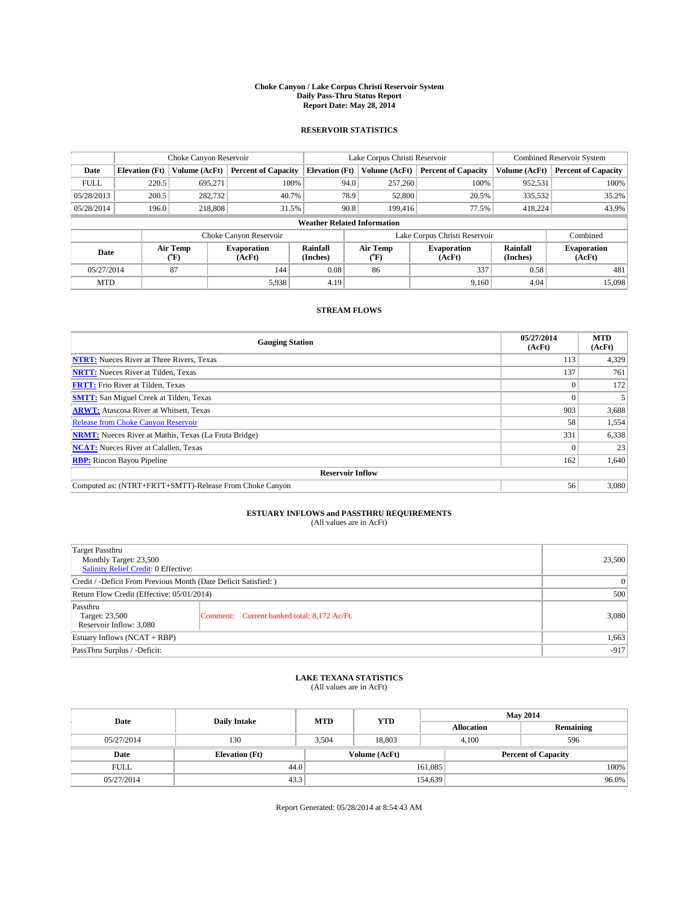#### **Choke Canyon / Lake Corpus Christi Reservoir System Daily Pass-Thru Status Report Report Date: May 28, 2014**

## **RESERVOIR STATISTICS**

|                                    | Choke Canyon Reservoir |                  |                              |                       | Lake Corpus Christi Reservoir |                               |                              |                             | Combined Reservoir System    |  |  |
|------------------------------------|------------------------|------------------|------------------------------|-----------------------|-------------------------------|-------------------------------|------------------------------|-----------------------------|------------------------------|--|--|
| Date                               | <b>Elevation</b> (Ft)  | Volume (AcFt)    | <b>Percent of Capacity</b>   | <b>Elevation</b> (Ft) |                               | Volume (AcFt)                 | <b>Percent of Capacity</b>   | Volume (AcFt)               | <b>Percent of Capacity</b>   |  |  |
| <b>FULL</b>                        | 220.5                  | 695,271          | 100%                         |                       | 94.0                          | 257,260                       | 100%                         | 952,531                     | 100%                         |  |  |
| 05/28/2013                         | 200.5                  | 282,732          | 40.7%                        |                       | 78.9                          | 52,800                        | 20.5%                        | 335,532                     | 35.2%                        |  |  |
| 05/28/2014                         | 196.0                  | 218,808          | 31.5%                        |                       | 90.8                          | 199,416                       | 77.5%                        | 418.224                     | 43.9%                        |  |  |
| <b>Weather Related Information</b> |                        |                  |                              |                       |                               |                               |                              |                             |                              |  |  |
|                                    |                        |                  | Choke Canyon Reservoir       |                       |                               | Lake Corpus Christi Reservoir |                              | Combined                    |                              |  |  |
| Date                               |                        | Air Temp<br>(°F) | <b>Evaporation</b><br>(AcFt) | Rainfall<br>(Inches)  |                               | Air Temp<br>("F)              | <b>Evaporation</b><br>(AcFt) | <b>Rainfall</b><br>(Inches) | <b>Evaporation</b><br>(AcFt) |  |  |
|                                    | 87<br>05/27/2014       |                  | 144                          | 0.08                  |                               | 86                            | 337                          | 0.58                        | 481                          |  |  |
| <b>MTD</b>                         |                        |                  | 5,938                        | 4.19                  |                               |                               | 9,160                        | 4.04                        | 15,098                       |  |  |

# **STREAM FLOWS**

| <b>Gauging Station</b>                                       | 05/27/2014<br>(AcFt) | <b>MTD</b><br>(AcFt) |  |  |  |  |
|--------------------------------------------------------------|----------------------|----------------------|--|--|--|--|
| <b>NTRT:</b> Nueces River at Three Rivers, Texas             | 113                  | 4,329                |  |  |  |  |
| <b>NRTT:</b> Nueces River at Tilden, Texas                   | 137                  | 761                  |  |  |  |  |
| <b>FRTT:</b> Frio River at Tilden, Texas                     | $\theta$             | 172                  |  |  |  |  |
| <b>SMTT:</b> San Miguel Creek at Tilden, Texas               | $\Omega$             |                      |  |  |  |  |
| <b>ARWT:</b> Atascosa River at Whitsett, Texas               | 903                  | 3,688                |  |  |  |  |
| <b>Release from Choke Canyon Reservoir</b>                   | 58                   | 1,554                |  |  |  |  |
| <b>NRMT:</b> Nueces River at Mathis, Texas (La Fruta Bridge) | 331                  | 6,338                |  |  |  |  |
| <b>NCAT:</b> Nueces River at Calallen, Texas                 | $\theta$             | 23                   |  |  |  |  |
| <b>RBP:</b> Rincon Bayou Pipeline                            | 162                  | 1,640                |  |  |  |  |
| <b>Reservoir Inflow</b>                                      |                      |                      |  |  |  |  |
| Computed as: (NTRT+FRTT+SMTT)-Release From Choke Canyon      | 56                   | 3,080                |  |  |  |  |

# **ESTUARY INFLOWS and PASSTHRU REQUIREMENTS**<br>(All values are in AcFt)

| <b>Target Passthru</b><br>Monthly Target: 23,500<br>Salinity Relief Credit: 0 Effective: |                                             |       |  |  |
|------------------------------------------------------------------------------------------|---------------------------------------------|-------|--|--|
| Credit / -Deficit From Previous Month (Date Deficit Satisfied: )                         | $\overline{0}$                              |       |  |  |
| Return Flow Credit (Effective: 05/01/2014)                                               | 500                                         |       |  |  |
| Passthru<br>Target: 23,500<br>Reservoir Inflow: 3,080                                    | Comment: Current banked total: 8,172 Ac/Ft. | 3,080 |  |  |
| Estuary Inflows $(NCAT + RBP)$                                                           | 1,663                                       |       |  |  |
| PassThru Surplus / -Deficit:                                                             | $-917$                                      |       |  |  |

### **LAKE TEXANA STATISTICS**

(All values are in AcFt)

| Date        | <b>Daily Intake</b>   | <b>MTD</b> | <b>YTD</b>    | <b>May 2014</b>            |              |           |  |
|-------------|-----------------------|------------|---------------|----------------------------|--------------|-----------|--|
|             |                       |            |               | <b>Allocation</b>          |              | Remaining |  |
| 05/27/2014  | 130                   | 3.504      | 18.803        |                            | 596<br>4.100 |           |  |
| Date        | <b>Elevation</b> (Ft) |            | Volume (AcFt) | <b>Percent of Capacity</b> |              |           |  |
| <b>FULL</b> | 44.0                  |            |               | 161,085                    |              | 100%      |  |
| 05/27/2014  | 43.3                  |            |               | 154,639                    |              | $96.0\%$  |  |

Report Generated: 05/28/2014 at 8:54:43 AM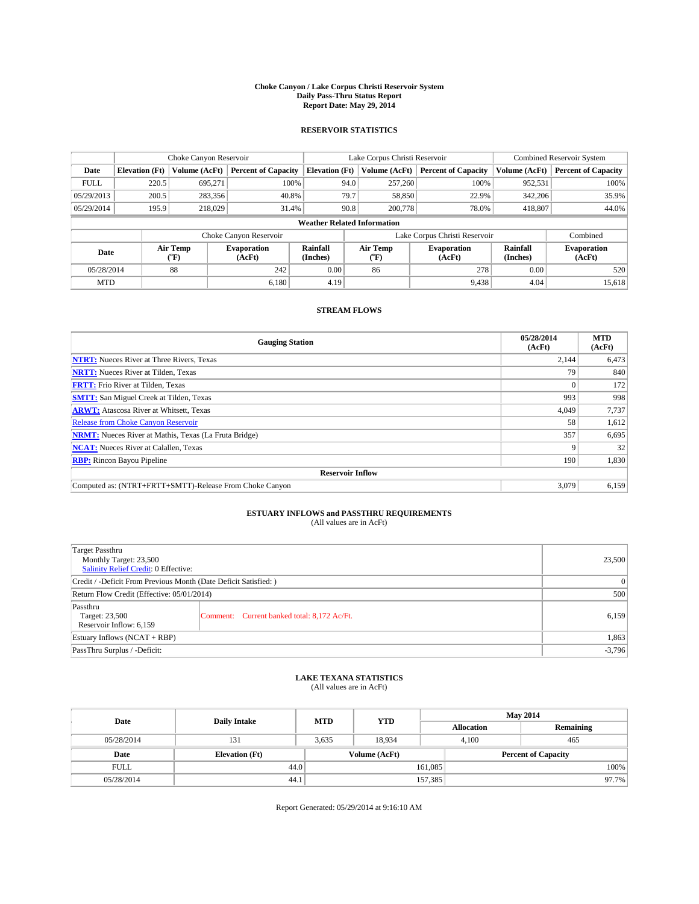#### **Choke Canyon / Lake Corpus Christi Reservoir System Daily Pass-Thru Status Report Report Date: May 29, 2014**

## **RESERVOIR STATISTICS**

|             |                                    | Choke Canyon Reservoir             |                              |                       | Lake Corpus Christi Reservoir | Combined Reservoir System     |                      |                              |  |
|-------------|------------------------------------|------------------------------------|------------------------------|-----------------------|-------------------------------|-------------------------------|----------------------|------------------------------|--|
| Date        | <b>Elevation</b> (Ft)              | Volume (AcFt)                      | <b>Percent of Capacity</b>   | <b>Elevation</b> (Ft) | Volume (AcFt)                 | <b>Percent of Capacity</b>    | Volume (AcFt)        | <b>Percent of Capacity</b>   |  |
| <b>FULL</b> | 220.5                              | 695,271                            | 100%                         | 94.0                  | 257,260                       | 100%                          | 952,531              | 100%                         |  |
| 05/29/2013  | 200.5                              | 283,356                            | 40.8%                        | 79.7                  | 58,850                        | 22.9%                         | 342,206              | 35.9%                        |  |
| 05/29/2014  | 195.9                              | 218,029                            | 31.4%                        | 90.8                  | 200,778                       | 78.0%                         | 418,807              | 44.0%                        |  |
|             | <b>Weather Related Information</b> |                                    |                              |                       |                               |                               |                      |                              |  |
|             |                                    |                                    | Choke Canyon Reservoir       |                       |                               | Lake Corpus Christi Reservoir |                      | Combined                     |  |
| Date        |                                    | Air Temp<br>${}^{\prime\prime}$ F) | <b>Evaporation</b><br>(AcFt) | Rainfall<br>(Inches)  | Air Temp<br>$\rm ^{(o}F)$     | <b>Evaporation</b><br>(AcFt)  | Rainfall<br>(Inches) | <b>Evaporation</b><br>(AcFt) |  |
| 05/28/2014  |                                    | 88                                 | 242                          | 0.00                  | 86                            | 278                           | 0.00                 | 520                          |  |
| <b>MTD</b>  |                                    |                                    | 6.180                        | 4.19                  |                               | 9,438                         | 4.04                 | 15.618                       |  |

# **STREAM FLOWS**

| <b>Gauging Station</b>                                       | 05/28/2014<br>(AcFt) | <b>MTD</b><br>(AcFt) |  |  |  |  |
|--------------------------------------------------------------|----------------------|----------------------|--|--|--|--|
| <b>NTRT:</b> Nueces River at Three Rivers, Texas             | 2,144                | 6,473                |  |  |  |  |
| <b>NRTT:</b> Nueces River at Tilden, Texas                   | 79                   | 840                  |  |  |  |  |
| <b>FRTT:</b> Frio River at Tilden, Texas                     | $\Omega$             | 172                  |  |  |  |  |
| <b>SMTT:</b> San Miguel Creek at Tilden, Texas               | 993                  | 998                  |  |  |  |  |
| <b>ARWT:</b> Atascosa River at Whitsett, Texas               | 4,049                | 7,737                |  |  |  |  |
| <b>Release from Choke Canyon Reservoir</b>                   | 58                   | 1,612                |  |  |  |  |
| <b>NRMT:</b> Nueces River at Mathis, Texas (La Fruta Bridge) | 357                  | 6,695                |  |  |  |  |
| <b>NCAT:</b> Nueces River at Calallen, Texas                 | q                    | 32                   |  |  |  |  |
| <b>RBP:</b> Rincon Bayou Pipeline                            | 190                  | 1,830                |  |  |  |  |
| <b>Reservoir Inflow</b>                                      |                      |                      |  |  |  |  |
| Computed as: (NTRT+FRTT+SMTT)-Release From Choke Canyon      | 3,079                | 6,159                |  |  |  |  |

# **ESTUARY INFLOWS and PASSTHRU REQUIREMENTS**<br>(All values are in AcFt)

| <b>Target Passthru</b><br>Monthly Target: 23,500<br>Salinity Relief Credit: 0 Effective: | 23,500                                      |       |
|------------------------------------------------------------------------------------------|---------------------------------------------|-------|
| Credit / -Deficit From Previous Month (Date Deficit Satisfied: )                         | $\overline{0}$                              |       |
| Return Flow Credit (Effective: 05/01/2014)                                               | 500                                         |       |
| Passthru<br>Target: 23,500<br>Reservoir Inflow: 6,159                                    | Comment: Current banked total: 8,172 Ac/Ft. | 6,159 |
| Estuary Inflows $(NCAT + RBP)$                                                           | 1,863                                       |       |
| PassThru Surplus / -Deficit:                                                             | $-3,796$                                    |       |

### **LAKE TEXANA STATISTICS**

(All values are in AcFt)

| Date        | <b>Daily Intake</b>   | <b>MTD</b> | <b>YTD</b>    | <b>May 2014</b>            |              |           |  |
|-------------|-----------------------|------------|---------------|----------------------------|--------------|-----------|--|
|             |                       |            |               | <b>Allocation</b>          |              | Remaining |  |
| 05/28/2014  | 131                   | 3,635      | 18.934        |                            | 4.100<br>465 |           |  |
| Date        | <b>Elevation</b> (Ft) |            | Volume (AcFt) | <b>Percent of Capacity</b> |              |           |  |
| <b>FULL</b> | 44.0                  |            |               | 161,085                    |              | 100%      |  |
| 05/28/2014  | 44.1                  |            |               | 157,385                    |              | 97.7%     |  |

Report Generated: 05/29/2014 at 9:16:10 AM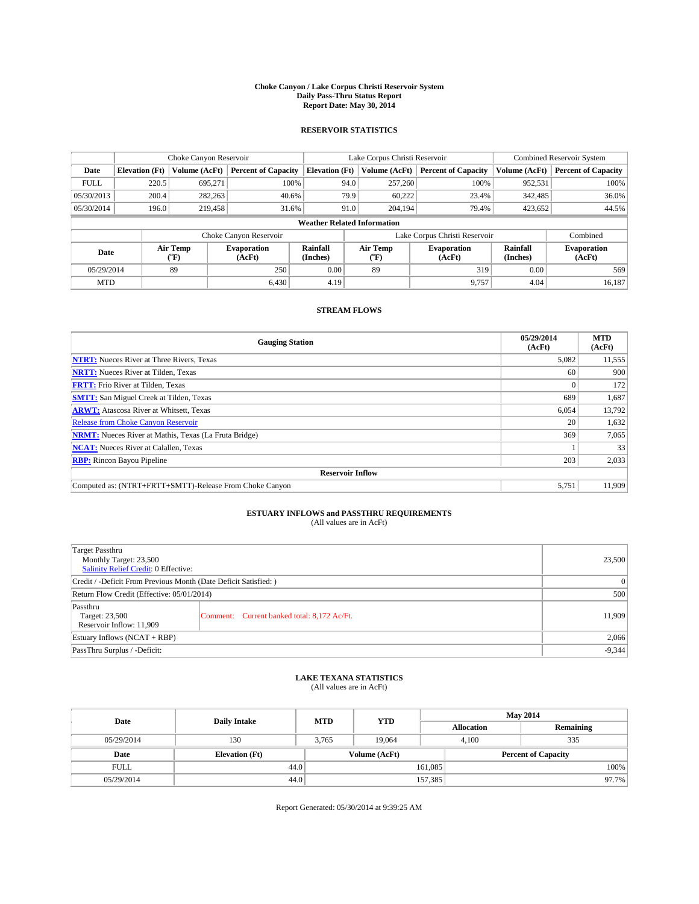#### **Choke Canyon / Lake Corpus Christi Reservoir System Daily Pass-Thru Status Report Report Date: May 30, 2014**

## **RESERVOIR STATISTICS**

|             |                       | Choke Canyon Reservoir |                              |                                    | Lake Corpus Christi Reservoir | Combined Reservoir System     |                      |                              |
|-------------|-----------------------|------------------------|------------------------------|------------------------------------|-------------------------------|-------------------------------|----------------------|------------------------------|
| Date        | <b>Elevation</b> (Ft) | Volume (AcFt)          | <b>Percent of Capacity</b>   | <b>Elevation</b> (Ft)              | Volume (AcFt)                 | <b>Percent of Capacity</b>    | Volume (AcFt)        | <b>Percent of Capacity</b>   |
| <b>FULL</b> | 220.5                 | 695,271                | 100%                         | 94.0                               | 257,260                       | 100%                          | 952,531              | 100%                         |
| 05/30/2013  | 200.4                 | 282,263                | 40.6%                        | 79.9                               | 60.222                        | 23.4%                         | 342,485              | 36.0%                        |
| 05/30/2014  | 196.0                 | 219,458                | 31.6%                        | 91.0                               | 204,194                       | 79.4%                         | 423,652              | 44.5%                        |
|             |                       |                        |                              | <b>Weather Related Information</b> |                               |                               |                      |                              |
|             |                       |                        | Choke Canyon Reservoir       |                                    |                               | Lake Corpus Christi Reservoir |                      | Combined                     |
| Date        |                       | Air Temp<br>(°F)       | <b>Evaporation</b><br>(AcFt) | Rainfall<br>(Inches)               | Air Temp<br>("F)              | <b>Evaporation</b><br>(AcFt)  | Rainfall<br>(Inches) | <b>Evaporation</b><br>(AcFt) |
| 05/29/2014  |                       | 89                     | 250                          | 0.00                               | 89                            | 319                           | 0.00                 | 569                          |
| <b>MTD</b>  |                       |                        | 6.430                        | 4.19                               |                               | 9.757                         | 4.04                 | 16.187                       |

## **STREAM FLOWS**

| <b>Gauging Station</b>                                       | 05/29/2014<br>(AcFt) | <b>MTD</b><br>(AcFt) |  |  |  |  |
|--------------------------------------------------------------|----------------------|----------------------|--|--|--|--|
| <b>NTRT:</b> Nueces River at Three Rivers, Texas             | 5,082                | 11,555               |  |  |  |  |
| <b>NRTT:</b> Nueces River at Tilden, Texas                   | 60                   | 900                  |  |  |  |  |
| <b>FRTT:</b> Frio River at Tilden, Texas                     |                      | 172                  |  |  |  |  |
| <b>SMTT:</b> San Miguel Creek at Tilden, Texas               | 689                  | 1,687                |  |  |  |  |
| <b>ARWT:</b> Atascosa River at Whitsett, Texas               | 6,054                | 13,792               |  |  |  |  |
| <b>Release from Choke Canyon Reservoir</b>                   | 20                   | 1,632                |  |  |  |  |
| <b>NRMT:</b> Nueces River at Mathis, Texas (La Fruta Bridge) | 369                  | 7,065                |  |  |  |  |
| <b>NCAT:</b> Nueces River at Calallen, Texas                 |                      | 33                   |  |  |  |  |
| <b>RBP:</b> Rincon Bayou Pipeline                            | 203                  | 2,033                |  |  |  |  |
| <b>Reservoir Inflow</b>                                      |                      |                      |  |  |  |  |
| Computed as: (NTRT+FRTT+SMTT)-Release From Choke Canyon      | 5,751                | 11,909               |  |  |  |  |

# **ESTUARY INFLOWS and PASSTHRU REQUIREMENTS**<br>(All values are in AcFt)

| <b>Target Passthru</b><br>Monthly Target: 23,500<br><b>Salinity Relief Credit: 0 Effective:</b> |                                             | 23,500 |
|-------------------------------------------------------------------------------------------------|---------------------------------------------|--------|
| Credit / -Deficit From Previous Month (Date Deficit Satisfied: )                                | 0                                           |        |
| Return Flow Credit (Effective: 05/01/2014)                                                      | 500                                         |        |
| Passthru<br>Target: 23,500<br>Reservoir Inflow: 11,909                                          | Comment: Current banked total: 8,172 Ac/Ft. | 11,909 |
| Estuary Inflows $(NCAT + RBP)$                                                                  | 2,066                                       |        |
| PassThru Surplus / -Deficit:                                                                    | $-9,344$                                    |        |

### **LAKE TEXANA STATISTICS**

(All values are in AcFt)

| Date        | <b>Daily Intake</b>   | <b>MTD</b> | <b>YTD</b>    | <b>May 2014</b>            |              |           |  |
|-------------|-----------------------|------------|---------------|----------------------------|--------------|-----------|--|
|             |                       |            |               | <b>Allocation</b>          |              | Remaining |  |
| 05/29/2014  | 130                   | 3.765      | 19.064        |                            | 335<br>4.100 |           |  |
| Date        | <b>Elevation</b> (Ft) |            | Volume (AcFt) | <b>Percent of Capacity</b> |              |           |  |
| <b>FULL</b> | 44.0                  |            |               | 161,085                    |              | 100%      |  |
| 05/29/2014  | 44.0                  |            |               | 157,385                    |              | 97.7%     |  |

Report Generated: 05/30/2014 at 9:39:25 AM